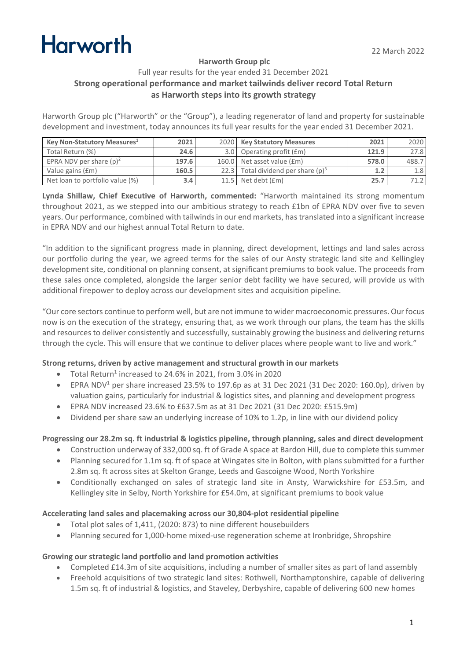# **Harworth**

#### **Harworth Group plc**

#### Full year results for the year ended 31 December 2021 **Strong operational performance and market tailwinds deliver record Total Return as Harworth steps into its growth strategy**

Harworth Group plc ("Harworth" or the "Group"), a leading regenerator of land and property for sustainable development and investment, today announces its full year results for the year ended 31 December 2021.

| Key Non-Statutory Measures <sup>1</sup> | 2021  | 2020 Key Statutory Measures           | 2021  | 2020             |
|-----------------------------------------|-------|---------------------------------------|-------|------------------|
| Total Return (%)                        | 24.6  | 3.0 Operating profit (£m)             | 121.9 | 27.8             |
| EPRA NDV per share $(p)^2$              | 197.6 | 160.0 Net asset value (£m)            | 578.0 | 488.7            |
| Value gains (£m)                        | 160.5 | 22.3 Total dividend per share $(p)^3$ | 1.2   | 1.8 <sub>1</sub> |
| Net loan to portfolio value (%)         | 3.4   | 11.5 Net debt $(fm)$                  | 25.7  |                  |

**Lynda Shillaw, Chief Executive of Harworth, commented:** "Harworth maintained its strong momentum throughout 2021, as we stepped into our ambitious strategy to reach £1bn of EPRA NDV over five to seven years. Our performance, combined with tailwinds in our end markets, has translated into a significant increase in EPRA NDV and our highest annual Total Return to date.

"In addition to the significant progress made in planning, direct development, lettings and land sales across our portfolio during the year, we agreed terms for the sales of our Ansty strategic land site and Kellingley development site, conditional on planning consent, at significant premiums to book value. The proceeds from these sales once completed, alongside the larger senior debt facility we have secured, will provide us with additional firepower to deploy across our development sites and acquisition pipeline.

"Our core sectors continue to perform well, but are not immune to wider macroeconomic pressures. Our focus now is on the execution of the strategy, ensuring that, as we work through our plans, the team has the skills and resources to deliver consistently and successfully, sustainably growing the business and delivering returns through the cycle. This will ensure that we continue to deliver places where people want to live and work."

#### **Strong returns, driven by active management and structural growth in our markets**

- Total Return<sup>1</sup> increased to 24.6% in 2021, from 3.0% in 2020
- EPRA NDV<sup>1</sup> per share increased 23.5% to 197.6p as at 31 Dec 2021 (31 Dec 2020: 160.0p), driven by valuation gains, particularly for industrial & logistics sites, and planning and development progress
- EPRA NDV increased 23.6% to £637.5m as at 31 Dec 2021 (31 Dec 2020: £515.9m)
- Dividend per share saw an underlying increase of 10% to 1.2p, in line with our dividend policy

#### **Progressing our 28.2m sq. ft industrial & logistics pipeline, through planning, sales and direct development**

- Construction underway of 332,000 sq. ft of Grade A space at Bardon Hill, due to complete this summer
- Planning secured for 1.1m sq. ft of space at Wingates site in Bolton, with plans submitted for a further 2.8m sq. ft across sites at Skelton Grange, Leeds and Gascoigne Wood, North Yorkshire
- Conditionally exchanged on sales of strategic land site in Ansty, Warwickshire for £53.5m, and Kellingley site in Selby, North Yorkshire for £54.0m, at significant premiums to book value

#### **Accelerating land sales and placemaking across our 30,804-plot residential pipeline**

- Total plot sales of 1,411, (2020: 873) to nine different housebuilders
- Planning secured for 1,000-home mixed-use regeneration scheme at Ironbridge, Shropshire

#### **Growing our strategic land portfolio and land promotion activities**

- Completed £14.3m of site acquisitions, including a number of smaller sites as part of land assembly
- Freehold acquisitions of two strategic land sites: Rothwell, Northamptonshire, capable of delivering 1.5m sq. ft of industrial & logistics, and Staveley, Derbyshire, capable of delivering 600 new homes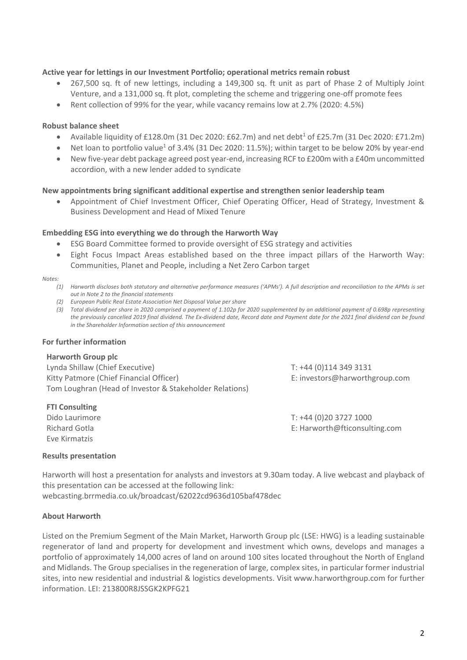#### **Active year for lettings in our Investment Portfolio; operational metrics remain robust**

- 267,500 sq. ft of new lettings, including a 149,300 sq. ft unit as part of Phase 2 of Multiply Joint Venture, and a 131,000 sq. ft plot, completing the scheme and triggering one-off promote fees
- Rent collection of 99% for the year, while vacancy remains low at 2.7% (2020: 4.5%)

#### **Robust balance sheet**

- Available liquidity of £128.0m (31 Dec 2020: £62.7m) and net debt<sup>1</sup> of £25.7m (31 Dec 2020: £71.2m)
- Net loan to portfolio value<sup>1</sup> of 3.4% (31 Dec 2020: 11.5%); within target to be below 20% by year-end
- New five-year debt package agreed post year-end, increasing RCF to £200m with a £40m uncommitted accordion, with a new lender added to syndicate

#### **New appointments bring significant additional expertise and strengthen senior leadership team**

• Appointment of Chief Investment Officer, Chief Operating Officer, Head of Strategy, Investment & Business Development and Head of Mixed Tenure

#### **Embedding ESG into everything we do through the Harworth Way**

- ESG Board Committee formed to provide oversight of ESG strategy and activities
- Eight Focus Impact Areas established based on the three impact pillars of the Harworth Way: Communities, Planet and People, including a Net Zero Carbon target

#### *Notes:*

- *(1) Harworth discloses both statutory and alternative performance measures ('APMs'). A full description and reconciliation to the APMs is set out in Note 2 to the financial statements*
- *(2) European Public Real Estate Association Net Disposal Value per share*
- *(3) Total dividend per share in 2020 comprised a payment of 1.102p for 2020 supplemented by an additional payment of 0.698p representing the previously cancelled 2019 final dividend. The Ex-dividend date, Record date and Payment date for the 2021 final dividend can be found in the Shareholder Information section of this announcement*

#### **For further information**

#### **Harworth Group plc**

Lynda Shillaw (Chief Executive) Kitty Patmore (Chief Financial Officer) Tom Loughran (Head of Investor & Stakeholder Relations)

T: +44 (0)114 349 3131 E: investors@harworthgroup.com

**FTI Consulting** Dido Laurimore Richard Gotla Eve Kirmatzis

T: +44 (0)20 3727 1000 E: Harworth@fticonsulting.com

#### **Results presentation**

Harworth will host a presentation for analysts and investors at 9.30am today. A live webcast and playback of this presentation can be accessed at the following link: webcasting.brrmedia.co.uk/broadcast/62022cd9636d105baf478dec

#### **About Harworth**

Listed on the Premium Segment of the Main Market, Harworth Group plc (LSE: HWG) is a leading sustainable regenerator of land and property for development and investment which owns, develops and manages a portfolio of approximately 14,000 acres of land on around 100 sites located throughout the North of England and Midlands. The Group specialises in the regeneration of large, complex sites, in particular former industrial sites, into new residential and industrial & logistics developments. Visit www.harworthgroup.com for further information. LEI: 213800R8JSSGK2KPFG21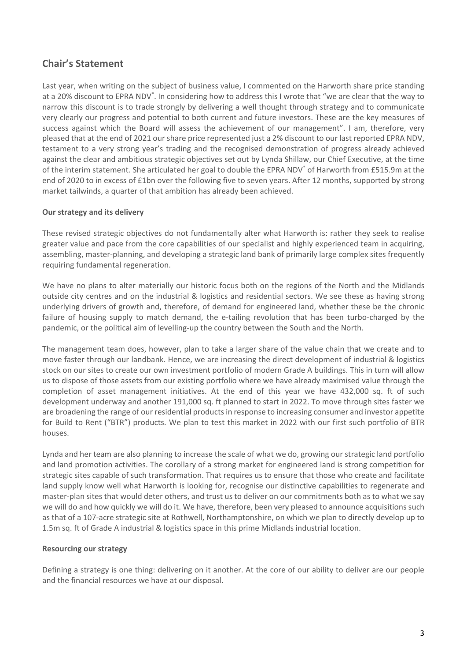### **Chair's Statement**

Last year, when writing on the subject of business value, I commented on the Harworth share price standing at a 20% discount to EPRA NDV<sup>\*</sup>. In considering how to address this I wrote that "we are clear that the way to narrow this discount is to trade strongly by delivering a well thought through strategy and to communicate very clearly our progress and potential to both current and future investors. These are the key measures of success against which the Board will assess the achievement of our management". I am, therefore, very pleased that at the end of 2021 our share price represented just a 2% discount to our last reported EPRA NDV, testament to a very strong year's trading and the recognised demonstration of progress already achieved against the clear and ambitious strategic objectives set out by Lynda Shillaw, our Chief Executive, at the time of the interim statement. She articulated her goal to double the EPRA NDV\* of Harworth from £515.9m at the end of 2020 to in excess of £1bn over the following five to seven years. After 12 months, supported by strong market tailwinds, a quarter of that ambition has already been achieved.

#### **Our strategy and its delivery**

These revised strategic objectives do not fundamentally alter what Harworth is: rather they seek to realise greater value and pace from the core capabilities of our specialist and highly experienced team in acquiring, assembling, master-planning, and developing a strategic land bank of primarily large complex sites frequently requiring fundamental regeneration.

We have no plans to alter materially our historic focus both on the regions of the North and the Midlands outside city centres and on the industrial & logistics and residential sectors. We see these as having strong underlying drivers of growth and, therefore, of demand for engineered land, whether these be the chronic failure of housing supply to match demand, the e-tailing revolution that has been turbo-charged by the pandemic, or the political aim of levelling-up the country between the South and the North.

The management team does, however, plan to take a larger share of the value chain that we create and to move faster through our landbank. Hence, we are increasing the direct development of industrial & logistics stock on our sites to create our own investment portfolio of modern Grade A buildings. This in turn will allow us to dispose of those assets from our existing portfolio where we have already maximised value through the completion of asset management initiatives. At the end of this year we have 432,000 sq. ft of such development underway and another 191,000 sq. ft planned to start in 2022. To move through sites faster we are broadening the range of our residential products in response to increasing consumer and investor appetite for Build to Rent ("BTR") products. We plan to test this market in 2022 with our first such portfolio of BTR houses.

Lynda and her team are also planning to increase the scale of what we do, growing our strategic land portfolio and land promotion activities. The corollary of a strong market for engineered land is strong competition for strategic sites capable of such transformation. That requires us to ensure that those who create and facilitate land supply know well what Harworth is looking for, recognise our distinctive capabilities to regenerate and master-plan sites that would deter others, and trust us to deliver on our commitments both as to what we say we will do and how quickly we will do it. We have, therefore, been very pleased to announce acquisitions such as that of a 107-acre strategic site at Rothwell, Northamptonshire, on which we plan to directly develop up to 1.5m sq. ft of Grade A industrial & logistics space in this prime Midlands industrial location.

#### **Resourcing our strategy**

Defining a strategy is one thing: delivering on it another. At the core of our ability to deliver are our people and the financial resources we have at our disposal.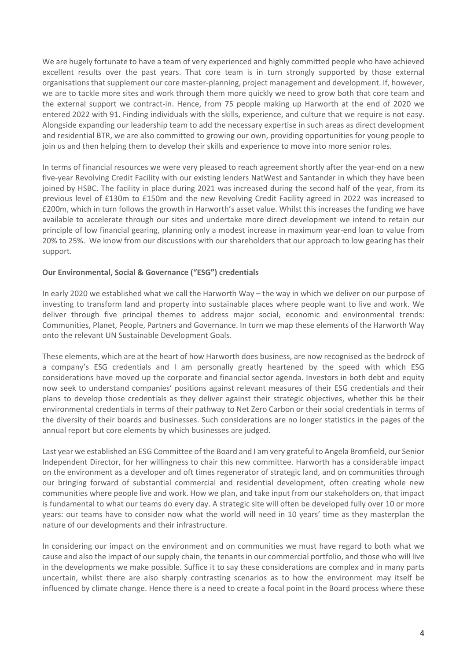We are hugely fortunate to have a team of very experienced and highly committed people who have achieved excellent results over the past years. That core team is in turn strongly supported by those external organisations that supplement our core master-planning, project management and development. If, however, we are to tackle more sites and work through them more quickly we need to grow both that core team and the external support we contract-in. Hence, from 75 people making up Harworth at the end of 2020 we entered 2022 with 91. Finding individuals with the skills, experience, and culture that we require is not easy. Alongside expanding our leadership team to add the necessary expertise in such areas as direct development and residential BTR, we are also committed to growing our own, providing opportunities for young people to join us and then helping them to develop their skills and experience to move into more senior roles.

In terms of financial resources we were very pleased to reach agreement shortly after the year-end on a new five-year Revolving Credit Facility with our existing lenders NatWest and Santander in which they have been joined by HSBC. The facility in place during 2021 was increased during the second half of the year, from its previous level of £130m to £150m and the new Revolving Credit Facility agreed in 2022 was increased to £200m, which in turn follows the growth in Harworth's asset value. Whilst this increases the funding we have available to accelerate through our sites and undertake more direct development we intend to retain our principle of low financial gearing, planning only a modest increase in maximum year-end loan to value from 20% to 25%. We know from our discussions with our shareholders that our approach to low gearing has their support.

#### **Our Environmental, Social & Governance ("ESG") credentials**

In early 2020 we established what we call the Harworth Way – the way in which we deliver on our purpose of investing to transform land and property into sustainable places where people want to live and work. We deliver through five principal themes to address major social, economic and environmental trends: Communities, Planet, People, Partners and Governance. In turn we map these elements of the Harworth Way onto the relevant UN Sustainable Development Goals.

These elements, which are at the heart of how Harworth does business, are now recognised as the bedrock of a company's ESG credentials and I am personally greatly heartened by the speed with which ESG considerations have moved up the corporate and financial sector agenda. Investors in both debt and equity now seek to understand companies' positions against relevant measures of their ESG credentials and their plans to develop those credentials as they deliver against their strategic objectives, whether this be their environmental credentials in terms of their pathway to Net Zero Carbon or their social credentials in terms of the diversity of their boards and businesses. Such considerations are no longer statistics in the pages of the annual report but core elements by which businesses are judged.

Last year we established an ESG Committee of the Board and I am very grateful to Angela Bromfield, our Senior Independent Director, for her willingness to chair this new committee. Harworth has a considerable impact on the environment as a developer and oft times regenerator of strategic land, and on communities through our bringing forward of substantial commercial and residential development, often creating whole new communities where people live and work. How we plan, and take input from our stakeholders on, that impact is fundamental to what our teams do every day. A strategic site will often be developed fully over 10 or more years: our teams have to consider now what the world will need in 10 years' time as they masterplan the nature of our developments and their infrastructure.

In considering our impact on the environment and on communities we must have regard to both what we cause and also the impact of our supply chain, the tenants in our commercial portfolio, and those who will live in the developments we make possible. Suffice it to say these considerations are complex and in many parts uncertain, whilst there are also sharply contrasting scenarios as to how the environment may itself be influenced by climate change. Hence there is a need to create a focal point in the Board process where these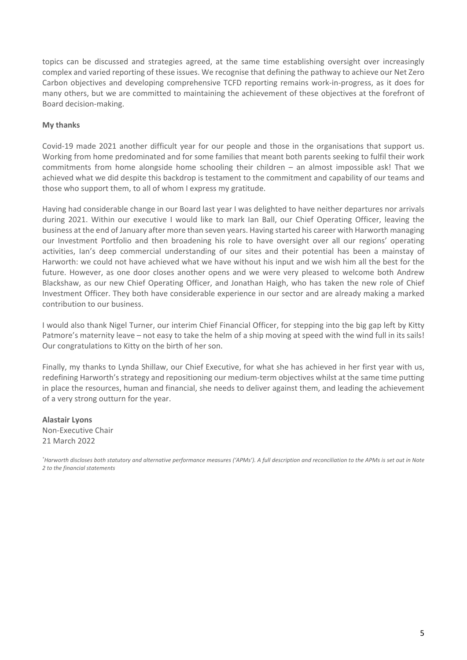topics can be discussed and strategies agreed, at the same time establishing oversight over increasingly complex and varied reporting of these issues. We recognise that defining the pathway to achieve our Net Zero Carbon objectives and developing comprehensive TCFD reporting remains work-in-progress, as it does for many others, but we are committed to maintaining the achievement of these objectives at the forefront of Board decision-making.

#### **My thanks**

Covid-19 made 2021 another difficult year for our people and those in the organisations that support us. Working from home predominated and for some families that meant both parents seeking to fulfil their work commitments from home alongside home schooling their children – an almost impossible ask! That we achieved what we did despite this backdrop is testament to the commitment and capability of our teams and those who support them, to all of whom I express my gratitude.

Having had considerable change in our Board last year I was delighted to have neither departures nor arrivals during 2021. Within our executive I would like to mark Ian Ball, our Chief Operating Officer, leaving the business at the end of January after more than seven years. Having started his career with Harworth managing our Investment Portfolio and then broadening his role to have oversight over all our regions' operating activities, Ian's deep commercial understanding of our sites and their potential has been a mainstay of Harworth: we could not have achieved what we have without his input and we wish him all the best for the future. However, as one door closes another opens and we were very pleased to welcome both Andrew Blackshaw, as our new Chief Operating Officer, and Jonathan Haigh, who has taken the new role of Chief Investment Officer. They both have considerable experience in our sector and are already making a marked contribution to our business.

I would also thank Nigel Turner, our interim Chief Financial Officer, for stepping into the big gap left by Kitty Patmore's maternity leave – not easy to take the helm of a ship moving at speed with the wind full in its sails! Our congratulations to Kitty on the birth of her son.

Finally, my thanks to Lynda Shillaw, our Chief Executive, for what she has achieved in her first year with us, redefining Harworth's strategy and repositioning our medium-term objectives whilst at the same time putting in place the resources, human and financial, she needs to deliver against them, and leading the achievement of a very strong outturn for the year.

**Alastair Lyons** Non-Executive Chair 21 March 2022

*\* Harworth discloses both statutory and alternative performance measures ('APMs'). A full description and reconciliation to the APMs is set out in Note 2 to the financial statements*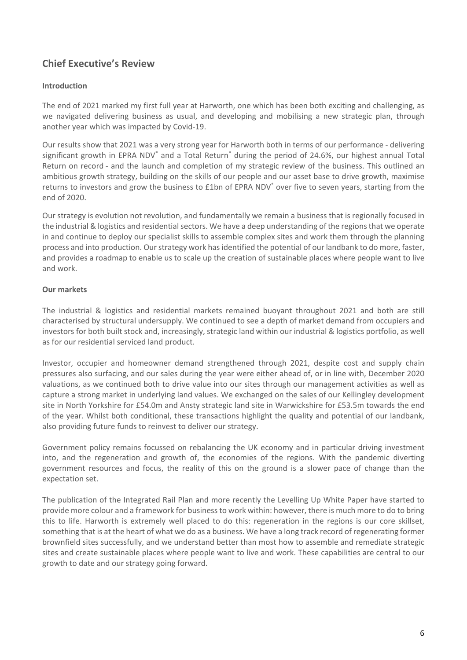### **Chief Executive's Review**

#### **Introduction**

The end of 2021 marked my first full year at Harworth, one which has been both exciting and challenging, as we navigated delivering business as usual, and developing and mobilising a new strategic plan, through another year which was impacted by Covid-19.

Our results show that 2021 was a very strong year for Harworth both in terms of our performance - delivering significant growth in EPRA NDV<sup>\*</sup> and a Total Return<sup>\*</sup> during the period of 24.6%, our highest annual Total Return on record - and the launch and completion of my strategic review of the business. This outlined an ambitious growth strategy, building on the skills of our people and our asset base to drive growth, maximise returns to investors and grow the business to £1bn of EPRA NDV\* over five to seven years, starting from the end of 2020.

Our strategy is evolution not revolution, and fundamentally we remain a business that is regionally focused in the industrial & logistics and residential sectors. We have a deep understanding of the regions that we operate in and continue to deploy our specialist skills to assemble complex sites and work them through the planning process and into production. Our strategy work has identified the potential of our landbank to do more, faster, and provides a roadmap to enable us to scale up the creation of sustainable places where people want to live and work.

#### **Our markets**

The industrial & logistics and residential markets remained buoyant throughout 2021 and both are still characterised by structural undersupply. We continued to see a depth of market demand from occupiers and investors for both built stock and, increasingly, strategic land within our industrial & logistics portfolio, as well as for our residential serviced land product.

Investor, occupier and homeowner demand strengthened through 2021, despite cost and supply chain pressures also surfacing, and our sales during the year were either ahead of, or in line with, December 2020 valuations, as we continued both to drive value into our sites through our management activities as well as capture a strong market in underlying land values. We exchanged on the sales of our Kellingley development site in North Yorkshire for £54.0m and Ansty strategic land site in Warwickshire for £53.5m towards the end of the year. Whilst both conditional, these transactions highlight the quality and potential of our landbank, also providing future funds to reinvest to deliver our strategy.

Government policy remains focussed on rebalancing the UK economy and in particular driving investment into, and the regeneration and growth of, the economies of the regions. With the pandemic diverting government resources and focus, the reality of this on the ground is a slower pace of change than the expectation set.

The publication of the Integrated Rail Plan and more recently the Levelling Up White Paper have started to provide more colour and a framework for business to work within: however, there is much more to do to bring this to life. Harworth is extremely well placed to do this: regeneration in the regions is our core skillset, something that is at the heart of what we do as a business. We have a long track record of regenerating former brownfield sites successfully, and we understand better than most how to assemble and remediate strategic sites and create sustainable places where people want to live and work. These capabilities are central to our growth to date and our strategy going forward.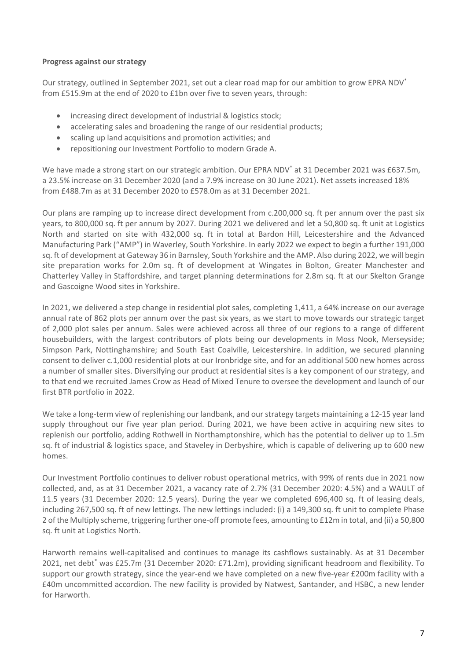#### **Progress against our strategy**

Our strategy, outlined in September 2021, set out a clear road map for our ambition to grow EPRA NDV\* from £515.9m at the end of 2020 to £1bn over five to seven years, through:

- increasing direct development of industrial & logistics stock;
- accelerating sales and broadening the range of our residential products;
- scaling up land acquisitions and promotion activities; and
- repositioning our Investment Portfolio to modern Grade A.

We have made a strong start on our strategic ambition. Our EPRA NDV<sup>\*</sup> at 31 December 2021 was £637.5m, a 23.5% increase on 31 December 2020 (and a 7.9% increase on 30 June 2021). Net assets increased 18% from £488.7m as at 31 December 2020 to £578.0m as at 31 December 2021.

Our plans are ramping up to increase direct development from c.200,000 sq. ft per annum over the past six years, to 800,000 sq. ft per annum by 2027. During 2021 we delivered and let a 50,800 sq. ft unit at Logistics North and started on site with 432,000 sq. ft in total at Bardon Hill, Leicestershire and the Advanced Manufacturing Park ("AMP") in Waverley, South Yorkshire. In early 2022 we expect to begin a further 191,000 sq. ft of development at Gateway 36 in Barnsley, South Yorkshire and the AMP. Also during 2022, we will begin site preparation works for 2.0m sq. ft of development at Wingates in Bolton, Greater Manchester and Chatterley Valley in Staffordshire, and target planning determinations for 2.8m sq. ft at our Skelton Grange and Gascoigne Wood sites in Yorkshire.

In 2021, we delivered a step change in residential plot sales, completing 1,411, a 64% increase on our average annual rate of 862 plots per annum over the past six years, as we start to move towards our strategic target of 2,000 plot sales per annum. Sales were achieved across all three of our regions to a range of different housebuilders, with the largest contributors of plots being our developments in Moss Nook, Merseyside; Simpson Park, Nottinghamshire; and South East Coalville, Leicestershire. In addition, we secured planning consent to deliver c.1,000 residential plots at our Ironbridge site, and for an additional 500 new homes across a number of smaller sites. Diversifying our product at residential sites is a key component of our strategy, and to that end we recruited James Crow as Head of Mixed Tenure to oversee the development and launch of our first BTR portfolio in 2022.

We take a long-term view of replenishing our landbank, and our strategy targets maintaining a 12-15 year land supply throughout our five year plan period. During 2021, we have been active in acquiring new sites to replenish our portfolio, adding Rothwell in Northamptonshire, which has the potential to deliver up to 1.5m sq. ft of industrial & logistics space, and Staveley in Derbyshire, which is capable of delivering up to 600 new homes.

Our Investment Portfolio continues to deliver robust operational metrics, with 99% of rents due in 2021 now collected, and, as at 31 December 2021, a vacancy rate of 2.7% (31 December 2020: 4.5%) and a WAULT of 11.5 years (31 December 2020: 12.5 years). During the year we completed 696,400 sq. ft of leasing deals, including 267,500 sq. ft of new lettings. The new lettings included: (i) a 149,300 sq. ft unit to complete Phase 2 of the Multiply scheme, triggering further one-off promote fees, amounting to £12m in total, and (ii) a 50,800 sq. ft unit at Logistics North.

Harworth remains well-capitalised and continues to manage its cashflows sustainably. As at 31 December 2021, net debt\* was £25.7m (31 December 2020: £71.2m), providing significant headroom and flexibility. To support our growth strategy, since the year-end we have completed on a new five-year £200m facility with a £40m uncommitted accordion. The new facility is provided by Natwest, Santander, and HSBC, a new lender for Harworth.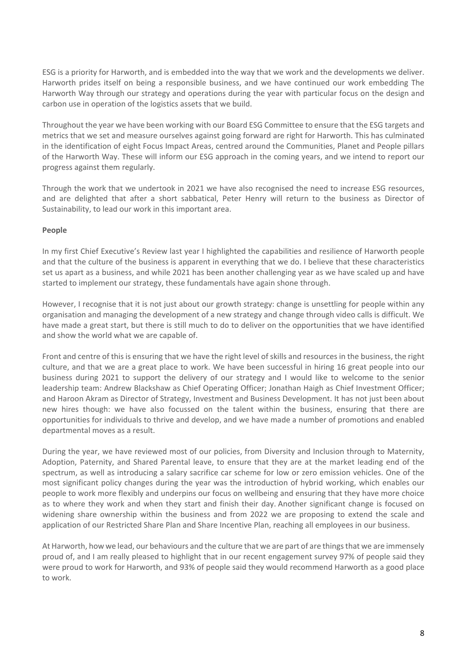ESG is a priority for Harworth, and is embedded into the way that we work and the developments we deliver. Harworth prides itself on being a responsible business, and we have continued our work embedding The Harworth Way through our strategy and operations during the year with particular focus on the design and carbon use in operation of the logistics assets that we build.

Throughout the year we have been working with our Board ESG Committee to ensure that the ESG targets and metrics that we set and measure ourselves against going forward are right for Harworth. This has culminated in the identification of eight Focus Impact Areas, centred around the Communities, Planet and People pillars of the Harworth Way. These will inform our ESG approach in the coming years, and we intend to report our progress against them regularly.

Through the work that we undertook in 2021 we have also recognised the need to increase ESG resources, and are delighted that after a short sabbatical, Peter Henry will return to the business as Director of Sustainability, to lead our work in this important area.

#### **People**

In my first Chief Executive's Review last year I highlighted the capabilities and resilience of Harworth people and that the culture of the business is apparent in everything that we do. I believe that these characteristics set us apart as a business, and while 2021 has been another challenging year as we have scaled up and have started to implement our strategy, these fundamentals have again shone through.

However, I recognise that it is not just about our growth strategy: change is unsettling for people within any organisation and managing the development of a new strategy and change through video calls is difficult. We have made a great start, but there is still much to do to deliver on the opportunities that we have identified and show the world what we are capable of.

Front and centre of this is ensuring that we have the right level of skills and resources in the business, the right culture, and that we are a great place to work. We have been successful in hiring 16 great people into our business during 2021 to support the delivery of our strategy and I would like to welcome to the senior leadership team: Andrew Blackshaw as Chief Operating Officer; Jonathan Haigh as Chief Investment Officer; and Haroon Akram as Director of Strategy, Investment and Business Development. It has not just been about new hires though: we have also focussed on the talent within the business, ensuring that there are opportunities for individuals to thrive and develop, and we have made a number of promotions and enabled departmental moves as a result.

During the year, we have reviewed most of our policies, from Diversity and Inclusion through to Maternity, Adoption, Paternity, and Shared Parental leave, to ensure that they are at the market leading end of the spectrum, as well as introducing a salary sacrifice car scheme for low or zero emission vehicles. One of the most significant policy changes during the year was the introduction of hybrid working, which enables our people to work more flexibly and underpins our focus on wellbeing and ensuring that they have more choice as to where they work and when they start and finish their day. Another significant change is focused on widening share ownership within the business and from 2022 we are proposing to extend the scale and application of our Restricted Share Plan and Share Incentive Plan, reaching all employees in our business.

At Harworth, how we lead, our behaviours and the culture that we are part of are things that we are immensely proud of, and I am really pleased to highlight that in our recent engagement survey 97% of people said they were proud to work for Harworth, and 93% of people said they would recommend Harworth as a good place to work.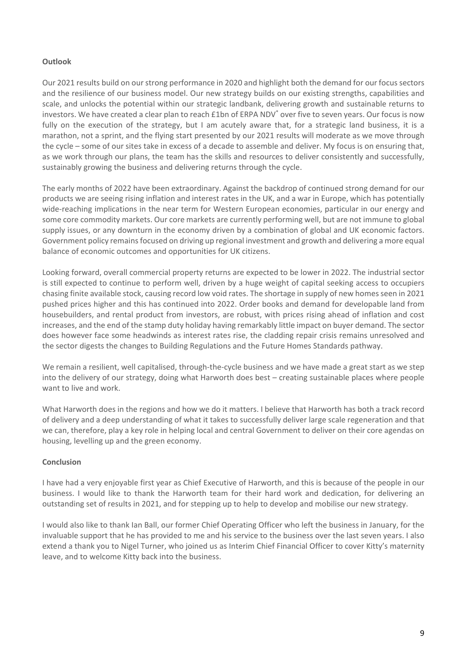#### **Outlook**

Our 2021 results build on our strong performance in 2020 and highlight both the demand for our focus sectors and the resilience of our business model. Our new strategy builds on our existing strengths, capabilities and scale, and unlocks the potential within our strategic landbank, delivering growth and sustainable returns to investors. We have created a clear plan to reach £1bn of ERPA NDV\* over five to seven years. Our focus is now fully on the execution of the strategy, but I am acutely aware that, for a strategic land business, it is a marathon, not a sprint, and the flying start presented by our 2021 results will moderate as we move through the cycle – some of our sites take in excess of a decade to assemble and deliver. My focus is on ensuring that, as we work through our plans, the team has the skills and resources to deliver consistently and successfully, sustainably growing the business and delivering returns through the cycle.

The early months of 2022 have been extraordinary. Against the backdrop of continued strong demand for our products we are seeing rising inflation and interest rates in the UK, and a war in Europe, which has potentially wide-reaching implications in the near term for Western European economies, particular in our energy and some core commodity markets. Our core markets are currently performing well, but are not immune to global supply issues, or any downturn in the economy driven by a combination of global and UK economic factors. Government policy remainsfocused on driving up regional investment and growth and delivering a more equal balance of economic outcomes and opportunities for UK citizens.

Looking forward, overall commercial property returns are expected to be lower in 2022. The industrial sector is still expected to continue to perform well, driven by a huge weight of capital seeking access to occupiers chasing finite available stock, causing record low void rates. The shortage in supply of new homes seen in 2021 pushed prices higher and this has continued into 2022. Order books and demand for developable land from housebuilders, and rental product from investors, are robust, with prices rising ahead of inflation and cost increases, and the end of the stamp duty holiday having remarkably little impact on buyer demand. The sector does however face some headwinds as interest rates rise, the cladding repair crisis remains unresolved and the sector digests the changes to Building Regulations and the Future Homes Standards pathway.

We remain a resilient, well capitalised, through-the-cycle business and we have made a great start as we step into the delivery of our strategy, doing what Harworth does best – creating sustainable places where people want to live and work.

What Harworth does in the regions and how we do it matters. I believe that Harworth has both a track record of delivery and a deep understanding of what it takes to successfully deliver large scale regeneration and that we can, therefore, play a key role in helping local and central Government to deliver on their core agendas on housing, levelling up and the green economy.

#### **Conclusion**

I have had a very enjoyable first year as Chief Executive of Harworth, and this is because of the people in our business. I would like to thank the Harworth team for their hard work and dedication, for delivering an outstanding set of results in 2021, and for stepping up to help to develop and mobilise our new strategy.

I would also like to thank Ian Ball, our former Chief Operating Officer who left the business in January, for the invaluable support that he has provided to me and his service to the business over the last seven years. I also extend a thank you to Nigel Turner, who joined us as Interim Chief Financial Officer to cover Kitty's maternity leave, and to welcome Kitty back into the business.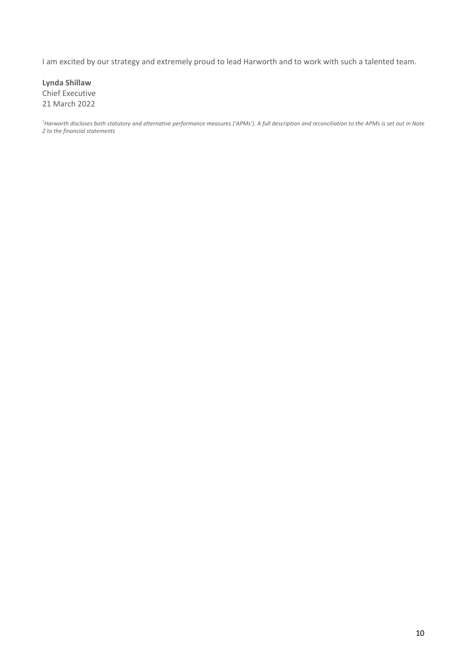I am excited by our strategy and extremely proud to lead Harworth and to work with such a talented team.

**Lynda Shillaw** Chief Executive 21 March 2022

*\* Harworth discloses both statutory and alternative performance measures ('APMs'). A full description and reconciliation to the APMs is set out in Note 2 to the financial statements*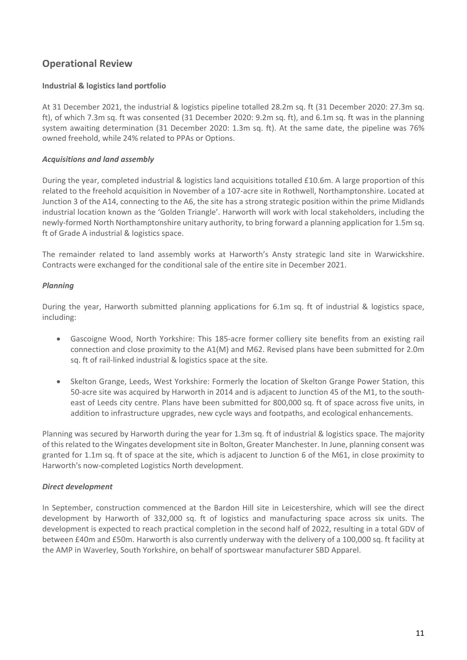### **Operational Review**

#### **Industrial & logistics land portfolio**

At 31 December 2021, the industrial & logistics pipeline totalled 28.2m sq. ft (31 December 2020: 27.3m sq. ft), of which 7.3m sq. ft was consented (31 December 2020: 9.2m sq. ft), and 6.1m sq. ft was in the planning system awaiting determination (31 December 2020: 1.3m sq. ft). At the same date, the pipeline was 76% owned freehold, while 24% related to PPAs or Options.

#### *Acquisitions and land assembly*

During the year, completed industrial & logistics land acquisitions totalled £10.6m. A large proportion of this related to the freehold acquisition in November of a 107-acre site in Rothwell, Northamptonshire. Located at Junction 3 of the A14, connecting to the A6, the site has a strong strategic position within the prime Midlands industrial location known as the 'Golden Triangle'. Harworth will work with local stakeholders, including the newly-formed North Northamptonshire unitary authority, to bring forward a planning application for 1.5m sq. ft of Grade A industrial & logistics space.

The remainder related to land assembly works at Harworth's Ansty strategic land site in Warwickshire. Contracts were exchanged for the conditional sale of the entire site in December 2021.

#### *Planning*

During the year, Harworth submitted planning applications for 6.1m sq. ft of industrial & logistics space, including:

- Gascoigne Wood, North Yorkshire: This 185-acre former colliery site benefits from an existing rail connection and close proximity to the A1(M) and M62. Revised plans have been submitted for 2.0m sq. ft of rail-linked industrial & logistics space at the site.
- Skelton Grange, Leeds, West Yorkshire: Formerly the location of Skelton Grange Power Station, this 50-acre site was acquired by Harworth in 2014 and is adjacent to Junction 45 of the M1, to the southeast of Leeds city centre. Plans have been submitted for 800,000 sq. ft of space across five units, in addition to infrastructure upgrades, new cycle ways and footpaths, and ecological enhancements.

Planning was secured by Harworth during the year for 1.3m sq. ft of industrial & logistics space. The majority of this related to the Wingates development site in Bolton, Greater Manchester. In June, planning consent was granted for 1.1m sq. ft of space at the site, which is adjacent to Junction 6 of the M61, in close proximity to Harworth's now-completed Logistics North development.

#### *Direct development*

In September, construction commenced at the Bardon Hill site in Leicestershire, which will see the direct development by Harworth of 332,000 sq. ft of logistics and manufacturing space across six units. The development is expected to reach practical completion in the second half of 2022, resulting in a total GDV of between £40m and £50m. Harworth is also currently underway with the delivery of a 100,000 sq. ft facility at the AMP in Waverley, South Yorkshire, on behalf of sportswear manufacturer SBD Apparel.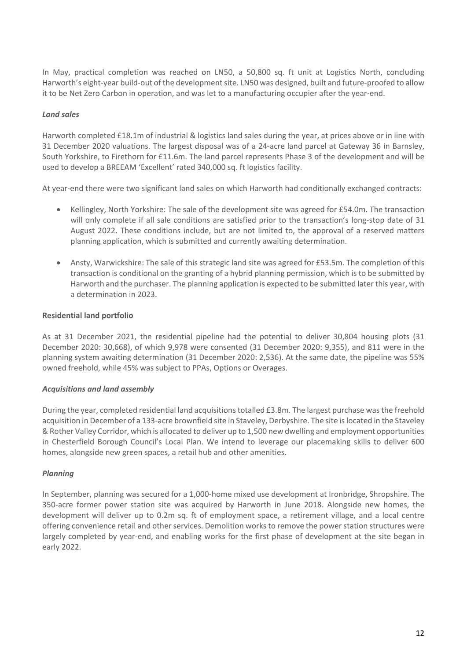In May, practical completion was reached on LN50, a 50,800 sq. ft unit at Logistics North, concluding Harworth's eight-year build-out of the developmentsite. LN50 was designed, built and future-proofed to allow it to be Net Zero Carbon in operation, and was let to a manufacturing occupier after the year-end.

#### *Land sales*

Harworth completed £18.1m of industrial & logistics land sales during the year, at prices above or in line with 31 December 2020 valuations. The largest disposal was of a 24-acre land parcel at Gateway 36 in Barnsley, South Yorkshire, to Firethorn for £11.6m. The land parcel represents Phase 3 of the development and will be used to develop a BREEAM 'Excellent' rated 340,000 sq. ft logistics facility.

At year-end there were two significant land sales on which Harworth had conditionally exchanged contracts:

- Kellingley, North Yorkshire: The sale of the development site was agreed for £54.0m. The transaction will only complete if all sale conditions are satisfied prior to the transaction's long-stop date of 31 August 2022. These conditions include, but are not limited to, the approval of a reserved matters planning application, which is submitted and currently awaiting determination.
- Ansty, Warwickshire: The sale of this strategic land site was agreed for £53.5m. The completion of this transaction is conditional on the granting of a hybrid planning permission, which is to be submitted by Harworth and the purchaser. The planning application is expected to be submitted later this year, with a determination in 2023.

#### **Residential land portfolio**

As at 31 December 2021, the residential pipeline had the potential to deliver 30,804 housing plots (31 December 2020: 30,668), of which 9,978 were consented (31 December 2020: 9,355), and 811 were in the planning system awaiting determination (31 December 2020: 2,536). At the same date, the pipeline was 55% owned freehold, while 45% was subject to PPAs, Options or Overages.

#### *Acquisitions and land assembly*

During the year, completed residential land acquisitions totalled £3.8m. The largest purchase was the freehold acquisition in December of a 133-acre brownfield site in Staveley, Derbyshire. The site is located in the Staveley & Rother Valley Corridor, which is allocated to deliver up to 1,500 new dwelling and employment opportunities in Chesterfield Borough Council's Local Plan. We intend to leverage our placemaking skills to deliver 600 homes, alongside new green spaces, a retail hub and other amenities.

#### *Planning*

In September, planning was secured for a 1,000-home mixed use development at Ironbridge, Shropshire. The 350-acre former power station site was acquired by Harworth in June 2018. Alongside new homes, the development will deliver up to 0.2m sq. ft of employment space, a retirement village, and a local centre offering convenience retail and other services. Demolition works to remove the power station structures were largely completed by year-end, and enabling works for the first phase of development at the site began in early 2022.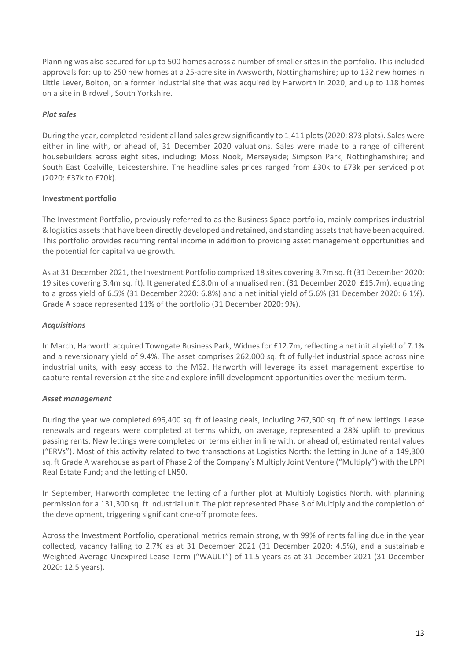Planning was also secured for up to 500 homes across a number of smaller sites in the portfolio. This included approvals for: up to 250 new homes at a 25-acre site in Awsworth, Nottinghamshire; up to 132 new homes in Little Lever, Bolton, on a former industrial site that was acquired by Harworth in 2020; and up to 118 homes on a site in Birdwell, South Yorkshire.

#### *Plot sales*

During the year, completed residential land sales grew significantly to 1,411 plots(2020: 873 plots). Sales were either in line with, or ahead of, 31 December 2020 valuations. Sales were made to a range of different housebuilders across eight sites, including: Moss Nook, Merseyside; Simpson Park, Nottinghamshire; and South East Coalville, Leicestershire. The headline sales prices ranged from £30k to £73k per serviced plot (2020: £37k to £70k).

#### **Investment portfolio**

The Investment Portfolio, previously referred to as the Business Space portfolio, mainly comprises industrial & logistics assetsthat have been directly developed and retained, and standing assets that have been acquired. This portfolio provides recurring rental income in addition to providing asset management opportunities and the potential for capital value growth.

As at 31 December 2021, the Investment Portfolio comprised 18 sites covering 3.7m sq. ft (31 December 2020: 19 sites covering 3.4m sq. ft). It generated £18.0m of annualised rent (31 December 2020: £15.7m), equating to a gross yield of 6.5% (31 December 2020: 6.8%) and a net initial yield of 5.6% (31 December 2020: 6.1%). Grade A space represented 11% of the portfolio (31 December 2020: 9%).

#### *Acquisitions*

In March, Harworth acquired Towngate Business Park, Widnes for £12.7m, reflecting a net initial yield of 7.1% and a reversionary yield of 9.4%. The asset comprises 262,000 sq. ft of fully-let industrial space across nine industrial units, with easy access to the M62. Harworth will leverage its asset management expertise to capture rental reversion at the site and explore infill development opportunities over the medium term.

#### *Asset management*

During the year we completed 696,400 sq. ft of leasing deals, including 267,500 sq. ft of new lettings. Lease renewals and regears were completed at terms which, on average, represented a 28% uplift to previous passing rents. New lettings were completed on terms either in line with, or ahead of, estimated rental values ("ERVs"). Most of this activity related to two transactions at Logistics North: the letting in June of a 149,300 sq. ft Grade A warehouse as part of Phase 2 of the Company's Multiply Joint Venture ("Multiply") with the LPPI Real Estate Fund; and the letting of LN50.

In September, Harworth completed the letting of a further plot at Multiply Logistics North, with planning permission for a 131,300 sq. ft industrial unit. The plot represented Phase 3 of Multiply and the completion of the development, triggering significant one-off promote fees.

Across the Investment Portfolio, operational metrics remain strong, with 99% of rents falling due in the year collected, vacancy falling to 2.7% as at 31 December 2021 (31 December 2020: 4.5%), and a sustainable Weighted Average Unexpired Lease Term ("WAULT") of 11.5 years as at 31 December 2021 (31 December 2020: 12.5 years).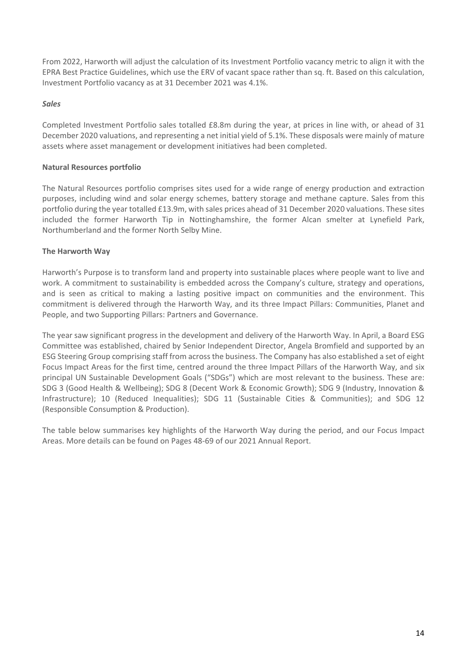From 2022, Harworth will adjust the calculation of its Investment Portfolio vacancy metric to align it with the EPRA Best Practice Guidelines, which use the ERV of vacant space rather than sq. ft. Based on this calculation, Investment Portfolio vacancy as at 31 December 2021 was 4.1%.

#### *Sales*

Completed Investment Portfolio sales totalled £8.8m during the year, at prices in line with, or ahead of 31 December 2020 valuations, and representing a net initial yield of 5.1%. These disposals were mainly of mature assets where asset management or development initiatives had been completed.

#### **Natural Resources portfolio**

The Natural Resources portfolio comprises sites used for a wide range of energy production and extraction purposes, including wind and solar energy schemes, battery storage and methane capture. Sales from this portfolio during the year totalled £13.9m, with sales prices ahead of 31 December 2020 valuations. These sites included the former Harworth Tip in Nottinghamshire, the former Alcan smelter at Lynefield Park, Northumberland and the former North Selby Mine.

#### **The Harworth Way**

Harworth's Purpose is to transform land and property into sustainable places where people want to live and work. A commitment to sustainability is embedded across the Company's culture, strategy and operations, and is seen as critical to making a lasting positive impact on communities and the environment. This commitment is delivered through the Harworth Way, and its three Impact Pillars: Communities, Planet and People, and two Supporting Pillars: Partners and Governance.

The year saw significant progress in the development and delivery of the Harworth Way. In April, a Board ESG Committee was established, chaired by Senior Independent Director, Angela Bromfield and supported by an ESG Steering Group comprising staff from across the business. The Company has also established a set of eight Focus Impact Areas for the first time, centred around the three Impact Pillars of the Harworth Way, and six principal UN Sustainable Development Goals ("SDGs") which are most relevant to the business. These are: SDG 3 (Good Health & Wellbeing); SDG 8 (Decent Work & Economic Growth); SDG 9 (Industry, Innovation & Infrastructure); 10 (Reduced Inequalities); SDG 11 (Sustainable Cities & Communities); and SDG 12 (Responsible Consumption & Production).

The table below summarises key highlights of the Harworth Way during the period, and our Focus Impact Areas. More details can be found on Pages 48-69 of our 2021 Annual Report.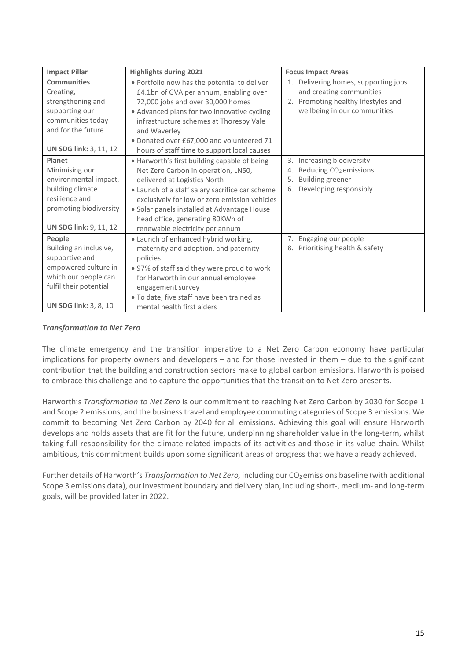| <b>Impact Pillar</b>          | <b>Highlights during 2021</b>                   | <b>Focus Impact Areas</b>                |
|-------------------------------|-------------------------------------------------|------------------------------------------|
| <b>Communities</b>            | . Portfolio now has the potential to deliver    | 1. Delivering homes, supporting jobs     |
| Creating,                     | £4.1bn of GVA per annum, enabling over          | and creating communities                 |
| strengthening and             | 72,000 jobs and over 30,000 homes               | 2. Promoting healthy lifestyles and      |
| supporting our                | • Advanced plans for two innovative cycling     | wellbeing in our communities             |
| communities today             | infrastructure schemes at Thoresby Vale         |                                          |
| and for the future            | and Waverley                                    |                                          |
|                               | . Donated over £67,000 and volunteered 71       |                                          |
| <b>UN SDG link: 3, 11, 12</b> | hours of staff time to support local causes     |                                          |
| Planet                        | . Harworth's first building capable of being    | 3. Increasing biodiversity               |
| Minimising our                | Net Zero Carbon in operation, LN50,             | Reducing CO <sub>2</sub> emissions<br>4. |
| environmental impact,         | delivered at Logistics North                    | 5.<br><b>Building greener</b>            |
| building climate              | • Launch of a staff salary sacrifice car scheme | Developing responsibly<br>6.             |
| resilience and                | exclusively for low or zero emission vehicles   |                                          |
| promoting biodiversity        | · Solar panels installed at Advantage House     |                                          |
|                               | head office, generating 80KWh of                |                                          |
| <b>UN SDG link: 9, 11, 12</b> | renewable electricity per annum                 |                                          |
| People                        | • Launch of enhanced hybrid working,            | 7. Engaging our people                   |
| Building an inclusive,        | maternity and adoption, and paternity           | 8. Prioritising health & safety          |
| supportive and                | policies                                        |                                          |
| empowered culture in          | • 97% of staff said they were proud to work     |                                          |
| which our people can          | for Harworth in our annual employee             |                                          |
| fulfil their potential        | engagement survey                               |                                          |
|                               | . To date, five staff have been trained as      |                                          |
| <b>UN SDG link: 3, 8, 10</b>  | mental health first aiders                      |                                          |

#### *Transformation to Net Zero*

The climate emergency and the transition imperative to a Net Zero Carbon economy have particular implications for property owners and developers – and for those invested in them – due to the significant contribution that the building and construction sectors make to global carbon emissions. Harworth is poised to embrace this challenge and to capture the opportunities that the transition to Net Zero presents.

Harworth's *Transformation to Net Zero* is our commitment to reaching Net Zero Carbon by 2030 for Scope 1 and Scope 2 emissions, and the business travel and employee commuting categories of Scope 3 emissions. We commit to becoming Net Zero Carbon by 2040 for all emissions. Achieving this goal will ensure Harworth develops and holds assets that are fit for the future, underpinning shareholder value in the long-term, whilst taking full responsibility for the climate-related impacts of its activities and those in its value chain. Whilst ambitious, this commitment builds upon some significant areas of progress that we have already achieved.

Further details of Harworth's *Transformation to Net Zero*, including our CO<sub>2</sub> emissions baseline (with additional Scope 3 emissions data), our investment boundary and delivery plan, including short-, medium- and long-term goals, will be provided later in 2022.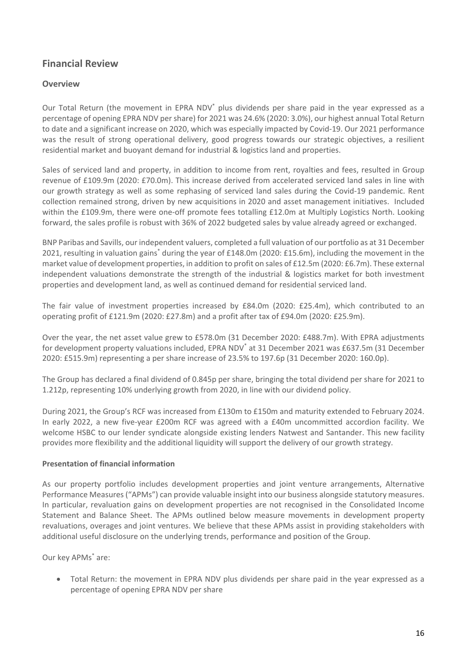### **Financial Review**

#### **Overview**

Our Total Return (the movement in EPRA NDV\* plus dividends per share paid in the year expressed as a percentage of opening EPRA NDV per share) for 2021 was 24.6% (2020: 3.0%), our highest annual Total Return to date and a significant increase on 2020, which was especially impacted by Covid-19. Our 2021 performance was the result of strong operational delivery, good progress towards our strategic objectives, a resilient residential market and buoyant demand for industrial & logistics land and properties.

Sales of serviced land and property, in addition to income from rent, royalties and fees, resulted in Group revenue of £109.9m (2020: £70.0m). This increase derived from accelerated serviced land sales in line with our growth strategy as well as some rephasing of serviced land sales during the Covid-19 pandemic. Rent collection remained strong, driven by new acquisitions in 2020 and asset management initiatives. Included within the £109.9m, there were one-off promote fees totalling £12.0m at Multiply Logistics North. Looking forward, the sales profile is robust with 36% of 2022 budgeted sales by value already agreed or exchanged.

BNP Paribas and Savills, our independent valuers, completed a full valuation of our portfolio as at 31 December 2021, resulting in valuation gains\* during the year of £148.0m (2020: £15.6m), including the movement in the market value of development properties, in addition to profit on sales of £12.5m (2020: £6.7m). These external independent valuations demonstrate the strength of the industrial & logistics market for both investment properties and development land, as well as continued demand for residential serviced land.

The fair value of investment properties increased by £84.0m (2020: £25.4m), which contributed to an operating profit of £121.9m (2020: £27.8m) and a profit after tax of £94.0m (2020: £25.9m).

Over the year, the net asset value grew to £578.0m (31 December 2020: £488.7m). With EPRA adjustments for development property valuations included, EPRA NDV\* at 31 December 2021 was £637.5m (31 December 2020: £515.9m) representing a per share increase of 23.5% to 197.6p (31 December 2020: 160.0p).

The Group has declared a final dividend of 0.845p per share, bringing the total dividend per share for 2021 to 1.212p, representing 10% underlying growth from 2020, in line with our dividend policy.

During 2021, the Group's RCF was increased from £130m to £150m and maturity extended to February 2024. In early 2022, a new five-year £200m RCF was agreed with a £40m uncommitted accordion facility. We welcome HSBC to our lender syndicate alongside existing lenders Natwest and Santander. This new facility provides more flexibility and the additional liquidity will support the delivery of our growth strategy.

#### **Presentation of financial information**

As our property portfolio includes development properties and joint venture arrangements, Alternative Performance Measures ("APMs") can provide valuable insight into our business alongside statutory measures. In particular, revaluation gains on development properties are not recognised in the Consolidated Income Statement and Balance Sheet. The APMs outlined below measure movements in development property revaluations, overages and joint ventures. We believe that these APMs assist in providing stakeholders with additional useful disclosure on the underlying trends, performance and position of the Group. 

Our key APMs\* are:

• Total Return: the movement in EPRA NDV plus dividends per share paid in the year expressed as a percentage of opening EPRA NDV per share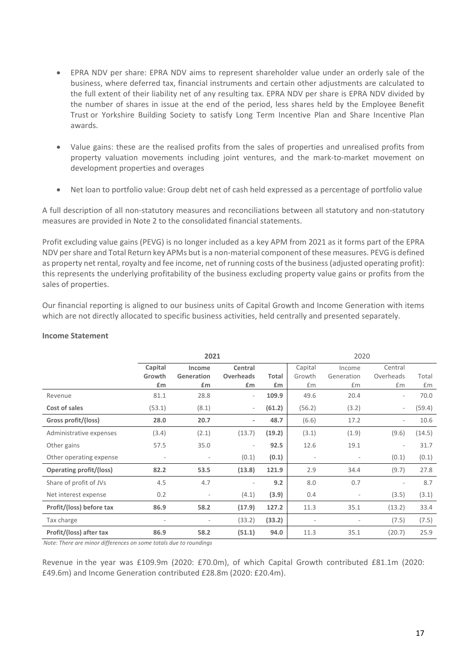- EPRA NDV per share: EPRA NDV aims to represent shareholder value under an orderly sale of the business, where deferred tax, financial instruments and certain other adjustments are calculated to the full extent of their liability net of any resulting tax. EPRA NDV per share is EPRA NDV divided by the number of shares in issue at the end of the period, less shares held by the Employee Benefit Trust or Yorkshire Building Society to satisfy Long Term Incentive Plan and Share Incentive Plan awards.
- Value gains: these are the realised profits from the sales of properties and unrealised profits from property valuation movements including joint ventures, and the mark-to-market movement on development properties and overages
- Net loan to portfolio value: Group debt net of cash held expressed as a percentage of portfolio value

A full description of all non-statutory measures and reconciliations between all statutory and non-statutory measures are provided in Note 2 to the consolidated financial statements.

Profit excluding value gains (PEVG) is no longer included as a key APM from 2021 as it forms part of the EPRA NDV per share and Total Return key APMs but is a non-material component of these measures. PEVG is defined as property net rental, royalty and fee income, net of running costs of the business (adjusted operating profit): this represents the underlying profitability of the business excluding property value gains or profits from the sales of properties.

Our financial reporting is aligned to our business units of Capital Growth and Income Generation with items which are not directly allocated to specific business activities, held centrally and presented separately.

|                                |         | 2021                     |                          |        |                          | 2020                     |                          |        |
|--------------------------------|---------|--------------------------|--------------------------|--------|--------------------------|--------------------------|--------------------------|--------|
|                                | Capital | Income                   | Central                  |        | Capital                  | Income                   | Central                  |        |
|                                | Growth  | Generation               | <b>Overheads</b>         | Total  | Growth                   | Generation               | Overheads                | Total  |
|                                | £m      | £m                       | £m                       | £m     | £m                       | £m                       | £m                       | £m     |
| Revenue                        | 81.1    | 28.8                     | $\overline{\phantom{a}}$ | 109.9  | 49.6                     | 20.4                     | $\overline{\phantom{a}}$ | 70.0   |
| Cost of sales                  | (53.1)  | (8.1)                    | $\overline{\phantom{a}}$ | (61.2) | (56.2)                   | (3.2)                    | $\overline{\phantom{0}}$ | (59.4) |
| Gross profit/(loss)            | 28.0    | 20.7                     | ٠                        | 48.7   | (6.6)                    | 17.2                     | $\overline{\phantom{m}}$ | 10.6   |
| Administrative expenses        | (3.4)   | (2.1)                    | (13.7)                   | (19.2) | (3.1)                    | (1.9)                    | (9.6)                    | (14.5) |
| Other gains                    | 57.5    | 35.0                     |                          | 92.5   | 12.6                     | 19.1                     | $\overline{\phantom{m}}$ | 31.7   |
| Other operating expense        |         | $\overline{\phantom{a}}$ | (0.1)                    | (0.1)  | $\overline{\phantom{a}}$ | $\overline{\phantom{a}}$ | (0.1)                    | (0.1)  |
| <b>Operating profit/(loss)</b> | 82.2    | 53.5                     | (13.8)                   | 121.9  | 2.9                      | 34.4                     | (9.7)                    | 27.8   |
| Share of profit of JVs         | 4.5     | 4.7                      |                          | 9.2    | 8.0                      | 0.7                      |                          | 8.7    |
| Net interest expense           | 0.2     | $\overline{\phantom{a}}$ | (4.1)                    | (3.9)  | 0.4                      | $\overline{\phantom{a}}$ | (3.5)                    | (3.1)  |
| Profit/(loss) before tax       | 86.9    | 58.2                     | (17.9)                   | 127.2  | 11.3                     | 35.1                     | (13.2)                   | 33.4   |
| Tax charge                     |         | $\overline{\phantom{a}}$ | (33.2)                   | (33.2) |                          | $\overline{\phantom{a}}$ | (7.5)                    | (7.5)  |
| Profit/(loss) after tax        | 86.9    | 58.2                     | (51.1)                   | 94.0   | 11.3                     | 35.1                     | (20.7)                   | 25.9   |

#### **Income Statement**

*Note: There are minor differences on some totals due to roundings* 

Revenue in the year was £109.9m (2020: £70.0m), of which Capital Growth contributed £81.1m (2020: £49.6m) and Income Generation contributed £28.8m (2020: £20.4m).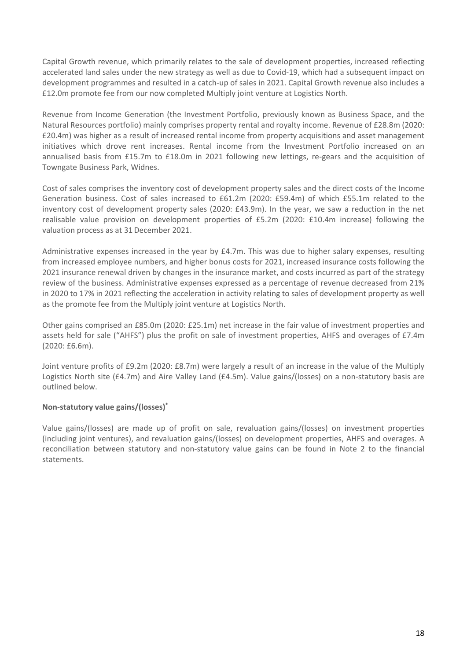Capital Growth revenue, which primarily relates to the sale of development properties, increased reflecting accelerated land sales under the new strategy as well as due to Covid-19, which had a subsequent impact on development programmes and resulted in a catch-up of sales in 2021. Capital Growth revenue also includes a £12.0m promote fee from our now completed Multiply joint venture at Logistics North.

Revenue from Income Generation (the Investment Portfolio, previously known as Business Space, and the Natural Resources portfolio) mainly comprises property rental and royalty income. Revenue of £28.8m (2020: £20.4m) was higher as a result of increased rental income from property acquisitions and asset management initiatives which drove rent increases. Rental income from the Investment Portfolio increased on an annualised basis from £15.7m to £18.0m in 2021 following new lettings, re-gears and the acquisition of Towngate Business Park, Widnes.

Cost of sales comprises the inventory cost of development property sales and the direct costs of the Income Generation business. Cost of sales increased to £61.2m (2020: £59.4m) of which £55.1m related to the inventory cost of development property sales (2020: £43.9m). In the year, we saw a reduction in the net realisable value provision on development properties of £5.2m (2020: £10.4m increase) following the valuation process as at 31December 2021.

Administrative expenses increased in the year by £4.7m. This was due to higher salary expenses, resulting from increased employee numbers, and higher bonus costs for 2021, increased insurance costs following the 2021 insurance renewal driven by changes in the insurance market, and costs incurred as part of the strategy review of the business. Administrative expenses expressed as a percentage of revenue decreased from 21% in 2020 to 17% in 2021 reflecting the acceleration in activity relating to sales of development property as well as the promote fee from the Multiply joint venture at Logistics North.

Other gains comprised an £85.0m (2020: £25.1m) net increase in the fair value of investment properties and assets held for sale ("AHFS") plus the profit on sale of investment properties, AHFS and overages of £7.4m (2020: £6.6m).

Joint venture profits of £9.2m (2020: £8.7m) were largely a result of an increase in the value of the Multiply Logistics North site (£4.7m) and Aire Valley Land (£4.5m). Value gains/(losses) on a non-statutory basis are outlined below.

#### **Non-statutory value gains/(losses)\***

Value gains/(losses) are made up of profit on sale, revaluation gains/(losses) on investment properties (including joint ventures), and revaluation gains/(losses) on development properties, AHFS and overages. A reconciliation between statutory and non-statutory value gains can be found in Note 2 to the financial statements.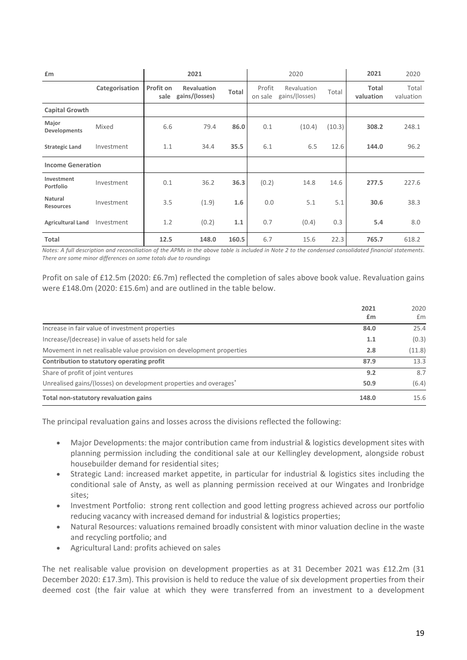| £m                          |                |                   | 2021                                 |       |                   | 2020                          |        | 2021               | 2020               |
|-----------------------------|----------------|-------------------|--------------------------------------|-------|-------------------|-------------------------------|--------|--------------------|--------------------|
|                             | Categorisation | Profit on<br>sale | <b>Revaluation</b><br>gains/(losses) | Total | Profit<br>on sale | Revaluation<br>gains/(losses) | Total  | Total<br>valuation | Total<br>valuation |
| <b>Capital Growth</b>       |                |                   |                                      |       |                   |                               |        |                    |                    |
| Major<br>Developments       | Mixed          | 6.6               | 79.4                                 | 86.0  | 0.1               | (10.4)                        | (10.3) | 308.2              | 248.1              |
| <b>Strategic Land</b>       | Investment     | 1.1               | 34.4                                 | 35.5  | 6.1               | 6.5                           | 12.6   | 144.0              | 96.2               |
| <b>Income Generation</b>    |                |                   |                                      |       |                   |                               |        |                    |                    |
| Investment<br>Portfolio     | Investment     | 0.1               | 36.2                                 | 36.3  | (0.2)             | 14.8                          | 14.6   | 277.5              | 227.6              |
| Natural<br><b>Resources</b> | Investment     | 3.5               | (1.9)                                | 1.6   | 0.0               | 5.1                           | 5.1    | 30.6               | 38.3               |
| <b>Agricultural Land</b>    | Investment     | 1.2               | (0.2)                                | 1.1   | 0.7               | (0.4)                         | 0.3    | 5.4                | 8.0                |
| Total                       |                | 12.5              | 148.0                                | 160.5 | 6.7               | 15.6                          | 22.3   | 765.7              | 618.2              |

*Notes: A full description and reconciliation of the APMs in the above table is included in Note 2 to the condensed consolidated financial statements*. *There are some minor differences on some totals due to roundings*

Profit on sale of £12.5m (2020: £6.7m) reflected the completion of sales above book value. Revaluation gains were £148.0m (2020: £15.6m) and are outlined in the table below.

|                                                                               | 2021<br>£m | 2020<br>£m |
|-------------------------------------------------------------------------------|------------|------------|
|                                                                               |            |            |
| Increase in fair value of investment properties                               | 84.0       | 25.4       |
| Increase/(decrease) in value of assets held for sale                          | 1.1        | (0.3)      |
| Movement in net realisable value provision on development properties          | 2.8        | (11.8)     |
| Contribution to statutory operating profit                                    | 87.9       | 13.3       |
| Share of profit of joint ventures                                             | 9.2        | 8.7        |
| Unrealised gains/(losses) on development properties and overages <sup>*</sup> | 50.9       | (6.4)      |
| Total non-statutory revaluation gains                                         | 148.0      | 15.6       |

The principal revaluation gains and losses across the divisions reflected the following:

- Major Developments: the major contribution came from industrial & logistics development sites with planning permission including the conditional sale at our Kellingley development, alongside robust housebuilder demand for residential sites;
- Strategic Land: increased market appetite, in particular for industrial & logistics sites including the conditional sale of Ansty, as well as planning permission received at our Wingates and Ironbridge sites;
- Investment Portfolio: strong rent collection and good letting progress achieved across our portfolio reducing vacancy with increased demand for industrial & logistics properties;
- Natural Resources: valuations remained broadly consistent with minor valuation decline in the waste and recycling portfolio; and
- Agricultural Land: profits achieved on sales

The net realisable value provision on development properties as at 31 December 2021 was £12.2m (31 December 2020: £17.3m). This provision is held to reduce the value of six development properties from their deemed cost (the fair value at which they were transferred from an investment to a development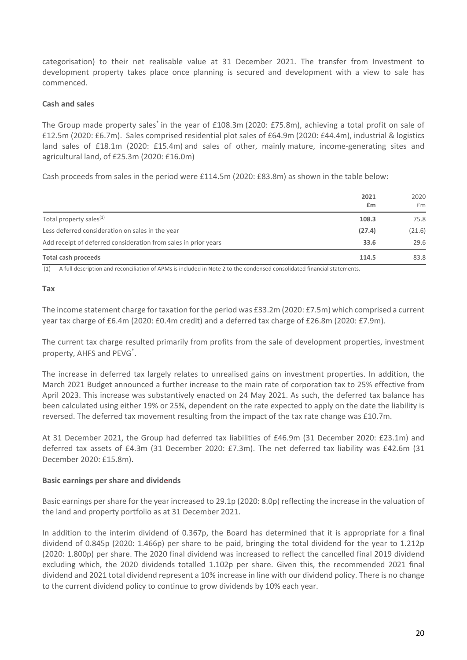categorisation) to their net realisable value at 31 December 2021. The transfer from Investment to development property takes place once planning is secured and development with a view to sale has commenced.

#### **Cash and sales**

The Group made property sales\* in the year of £108.3m (2020: £75.8m), achieving a total profit on sale of £12.5m (2020: £6.7m). Sales comprised residential plot sales of £64.9m (2020: £44.4m), industrial & logistics land sales of £18.1m (2020: £15.4m) and sales of other, mainly mature, income-generating sites and agricultural land, of £25.3m (2020: £16.0m)

Cash proceeds from sales in the period were £114.5m (2020: £83.8m) as shown in the table below:

|                                                                 | 2021<br>£m | 2020<br>£m |
|-----------------------------------------------------------------|------------|------------|
| Total property sales <sup>(1)</sup>                             | 108.3      | 75.8       |
| Less deferred consideration on sales in the year                | (27.4)     | (21.6)     |
| Add receipt of deferred consideration from sales in prior years | 33.6       | 29.6       |
| <b>Total cash proceeds</b>                                      | 114.5      | 83.8       |

(1) A full description and reconciliation of APMs is included in Note 2 to the condensed consolidated financial statements.

#### **Tax**

The income statement charge for taxation for the period was £33.2m (2020: £7.5m) which comprised a current year tax charge of £6.4m (2020: £0.4m credit) and a deferred tax charge of £26.8m (2020: £7.9m).

The current tax charge resulted primarily from profits from the sale of development properties, investment property, AHFS and PEVG<sup>\*</sup>.

The increase in deferred tax largely relates to unrealised gains on investment properties. In addition, the March 2021 Budget announced a further increase to the main rate of corporation tax to 25% effective from April 2023. This increase was substantively enacted on 24 May 2021. As such, the deferred tax balance has been calculated using either 19% or 25%, dependent on the rate expected to apply on the date the liability is reversed. The deferred tax movement resulting from the impact of the tax rate change was £10.7m.

At 31 December 2021, the Group had deferred tax liabilities of £46.9m (31 December 2020: £23.1m) and deferred tax assets of £4.3m (31 December 2020: £7.3m). The net deferred tax liability was £42.6m (31 December 2020: £15.8m).

#### **Basic earnings per share and dividends**

Basic earnings per share for the year increased to 29.1p (2020: 8.0p) reflecting the increase in the valuation of the land and property portfolio as at 31 December 2021.

In addition to the interim dividend of 0.367p, the Board has determined that it is appropriate for a final dividend of 0.845p (2020: 1.466p) per share to be paid, bringing the total dividend for the year to 1.212p (2020: 1.800p) per share. The 2020 final dividend was increased to reflect the cancelled final 2019 dividend excluding which, the 2020 dividends totalled 1.102p per share. Given this, the recommended 2021 final dividend and 2021 total dividend represent a 10% increase in line with our dividend policy. There is no change to the current dividend policy to continue to grow dividends by 10% each year.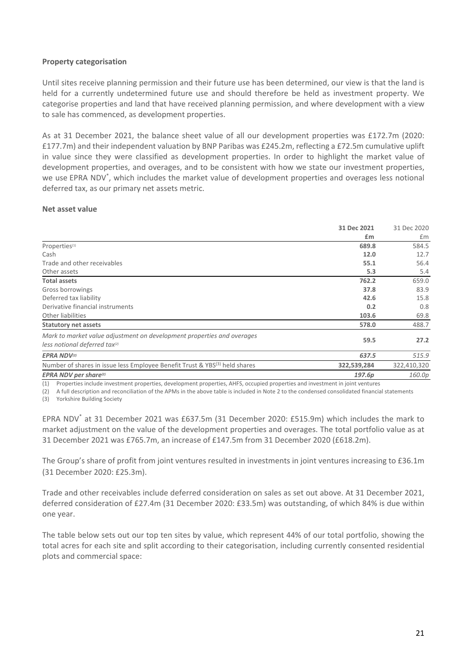#### **Property categorisation**

Until sites receive planning permission and their future use has been determined, our view is that the land is held for a currently undetermined future use and should therefore be held as investment property. We categorise properties and land that have received planning permission, and where development with a view to sale has commenced, as development properties. 

As at 31 December 2021, the balance sheet value of all our development properties was £172.7m (2020: £177.7m) and their independent valuation by BNP Paribas was £245.2m, reflecting a £72.5m cumulative uplift in value since they were classified as development properties. In order to highlight the market value of development properties, and overages, and to be consistent with how we state our investment properties, we use EPRA NDV<sup>\*</sup>, which includes the market value of development properties and overages less notional deferred tax, as our primary net assets metric.

#### **Net asset value**

|                                                                                        | 31 Dec 2021 | 31 Dec 2020 |
|----------------------------------------------------------------------------------------|-------------|-------------|
|                                                                                        | £m          | £m          |
| Properties <sup>(1)</sup>                                                              | 689.8       | 584.5       |
| Cash                                                                                   | 12.0        | 12.7        |
| Trade and other receivables                                                            | 55.1        | 56.4        |
| Other assets                                                                           | 5.3         | 5.4         |
| <b>Total assets</b>                                                                    | 762.2       | 659.0       |
| Gross borrowings                                                                       | 37.8        | 83.9        |
| Deferred tax liability                                                                 | 42.6        | 15.8        |
| Derivative financial instruments                                                       | 0.2         | 0.8         |
| Other liabilities                                                                      | 103.6       | 69.8        |
| <b>Statutory net assets</b>                                                            | 578.0       | 488.7       |
| Mark to market value adjustment on development properties and overages                 | 59.5        | 27.2        |
| less notional deferred tax <sup>(2)</sup>                                              |             |             |
| <b>EPRA NDV(2)</b>                                                                     | 637.5       | 515.9       |
| Number of shares in issue less Employee Benefit Trust & YBS <sup>(3)</sup> held shares | 322,539,284 | 322,410,320 |
| <b>EPRA NDV per share(2)</b>                                                           | 197.6p      | 160.0p      |

(1) Properties include investment properties, development properties, AHFS, occupied properties and investment in joint ventures

(2) A full description and reconciliation of the APMs in the above table is included in Note 2 to the condensed consolidated financial statements (3) Yorkshire Building Society

EPRA NDV\* at 31 December 2021 was £637.5m (31 December 2020: £515.9m) which includes the mark to market adjustment on the value of the development properties and overages. The total portfolio value as at 31 December 2021 was £765.7m, an increase of £147.5m from 31 December 2020 (£618.2m).

The Group's share of profit from joint ventures resulted in investments in joint ventures increasing to £36.1m (31 December 2020: £25.3m).

Trade and other receivables include deferred consideration on sales as set out above. At 31 December 2021, deferred consideration of £27.4m (31 December 2020: £33.5m) was outstanding, of which 84% is due within one year.

The table below sets out our top ten sites by value, which represent 44% of our total portfolio, showing the total acres for each site and split according to their categorisation, including currently consented residential plots and commercial space: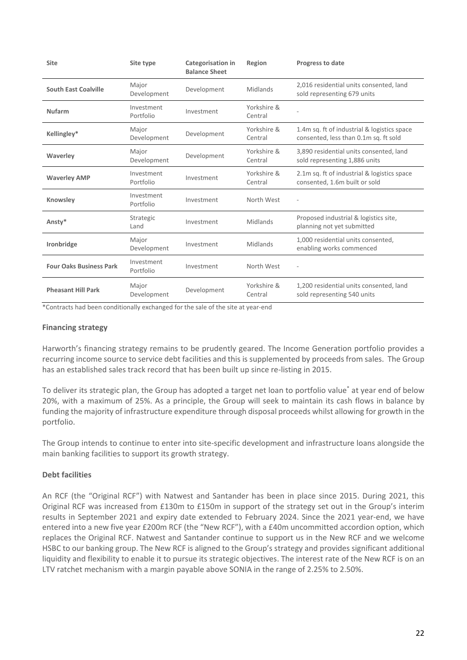| <b>Site</b>                    | Site type               | <b>Categorisation in</b><br><b>Balance Sheet</b> | Region                 | <b>Progress to date</b>                                                              |
|--------------------------------|-------------------------|--------------------------------------------------|------------------------|--------------------------------------------------------------------------------------|
| <b>South East Coalville</b>    | Major<br>Development    | Development                                      | Midlands               | 2,016 residential units consented, land<br>sold representing 679 units               |
| <b>Nufarm</b>                  | Investment<br>Portfolio | Investment                                       | Yorkshire &<br>Central |                                                                                      |
| Kellingley*                    | Major<br>Development    | Development                                      | Yorkshire &<br>Central | 1.4m sq. ft of industrial & logistics space<br>consented, less than 0.1m sq. ft sold |
| Waverley                       | Major<br>Development    | Development                                      | Yorkshire &<br>Central | 3,890 residential units consented, land<br>sold representing 1,886 units             |
| <b>Waverley AMP</b>            | Investment<br>Portfolio | Investment                                       | Yorkshire &<br>Central | 2.1m sq. ft of industrial & logistics space<br>consented, 1.6m built or sold         |
| Knowsley                       | Investment<br>Portfolio | Investment                                       | North West             |                                                                                      |
| Ansty*                         | Strategic<br>Land       | Investment                                       | Midlands               | Proposed industrial & logistics site,<br>planning not yet submitted                  |
| Ironbridge                     | Major<br>Development    | Investment                                       | Midlands               | 1,000 residential units consented,<br>enabling works commenced                       |
| <b>Four Oaks Business Park</b> | Investment<br>Portfolio | Investment                                       | North West             |                                                                                      |
| <b>Pheasant Hill Park</b>      | Major<br>Development    | Development                                      | Yorkshire &<br>Central | 1,200 residential units consented, land<br>sold representing 540 units               |

\*Contracts had been conditionally exchanged for the sale of the site at year-end

#### **Financing strategy**

Harworth's financing strategy remains to be prudently geared. The Income Generation portfolio provides a recurring income source to service debt facilities and this is supplemented by proceeds from sales. The Group has an established sales track record that has been built up since re-listing in 2015.

To deliver its strategic plan, the Group has adopted a target net loan to portfolio value\* at year end of below 20%, with a maximum of 25%. As a principle, the Group will seek to maintain its cash flows in balance by funding the majority of infrastructure expenditure through disposal proceeds whilst allowing for growth in the portfolio.

The Group intends to continue to enter into site-specific development and infrastructure loans alongside the main banking facilities to support its growth strategy.

#### **Debt facilities**

An RCF (the "Original RCF") with Natwest and Santander has been in place since 2015. During 2021, this Original RCF was increased from £130m to £150m in support of the strategy set out in the Group's interim results in September 2021 and expiry date extended to February 2024. Since the 2021 year-end, we have entered into a new five year £200m RCF (the "New RCF"), with a £40m uncommitted accordion option, which replaces the Original RCF. Natwest and Santander continue to support us in the New RCF and we welcome HSBC to our banking group. The New RCF is aligned to the Group's strategy and provides significant additional liquidity and flexibility to enable it to pursue its strategic objectives. The interest rate of the New RCF is on an LTV ratchet mechanism with a margin payable above SONIA in the range of 2.25% to 2.50%.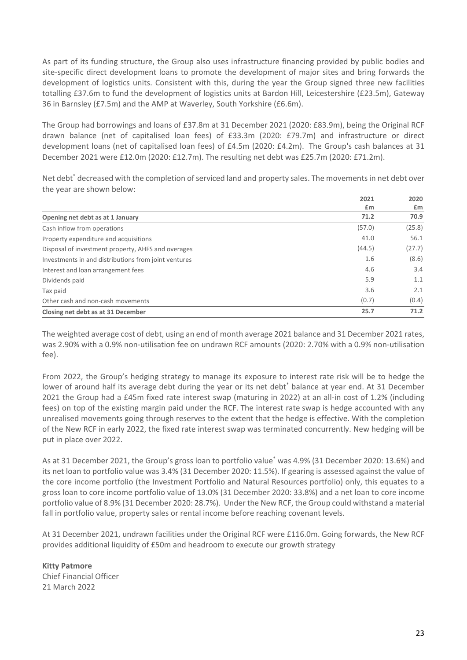As part of its funding structure, the Group also uses infrastructure financing provided by public bodies and site-specific direct development loans to promote the development of major sites and bring forwards the development of logistics units. Consistent with this, during the year the Group signed three new facilities totalling £37.6m to fund the development of logistics units at Bardon Hill, Leicestershire (£23.5m), Gateway 36 in Barnsley (£7.5m) and the AMP at Waverley, South Yorkshire (£6.6m).

The Group had borrowings and loans of £37.8m at 31 December 2021 (2020: £83.9m), being the Original RCF drawn balance (net of capitalised loan fees) of £33.3m (2020: £79.7m) and infrastructure or direct development loans (net of capitalised loan fees) of £4.5m (2020: £4.2m).  The Group's cash balances at 31 December 2021 were £12.0m (2020: £12.7m). The resulting net debt was £25.7m (2020: £71.2m). 

Net debt<sup>\*</sup> decreased with the completion of serviced land and property sales. The movements in net debt over the year are shown below:

|                                                      | 2021   | 2020   |
|------------------------------------------------------|--------|--------|
|                                                      | £m     | £m     |
| Opening net debt as at 1 January                     | 71.2   | 70.9   |
| Cash inflow from operations                          | (57.0) | (25.8) |
| Property expenditure and acquisitions                | 41.0   | 56.1   |
| Disposal of investment property, AHFS and overages   | (44.5) | (27.7) |
| Investments in and distributions from joint ventures | 1.6    | (8.6)  |
| Interest and loan arrangement fees                   | 4.6    | 3.4    |
| Dividends paid                                       | 5.9    | 1.1    |
| Tax paid                                             | 3.6    | 2.1    |
| Other cash and non-cash movements                    | (0.7)  | (0.4)  |
| Closing net debt as at 31 December                   | 25.7   | 71.2   |

The weighted average cost of debt, using an end of month average 2021 balance and 31 December 2021 rates, was 2.90% with a 0.9% non-utilisation fee on undrawn RCF amounts (2020: 2.70% with a 0.9% non-utilisation fee).

From 2022, the Group's hedging strategy to manage its exposure to interest rate risk will be to hedge the lower of around half its average debt during the year or its net debt<sup>\*</sup> balance at year end. At 31 December 2021 the Group had a £45m fixed rate interest swap (maturing in 2022) at an all-in cost of 1.2% (including fees) on top of the existing margin paid under the RCF. The interest rate swap is hedge accounted with any unrealised movements going through reserves to the extent that the hedge is effective. With the completion of the New RCF in early 2022, the fixed rate interest swap was terminated concurrently. New hedging will be put in place over 2022.

As at 31 December 2021, the Group's gross loan to portfolio value\* was 4.9% (31 December 2020: 13.6%) and its net loan to portfolio value was 3.4% (31 December 2020: 11.5%). If gearing is assessed against the value of the core income portfolio (the Investment Portfolio and Natural Resources portfolio) only, this equates to a gross loan to core income portfolio value of 13.0% (31 December 2020: 33.8%) and a net loan to core income portfolio value of 8.9% (31 December 2020: 28.7%). Under the New RCF, the Group could withstand a material fall in portfolio value, property sales or rental income before reaching covenant levels.

At 31 December 2021, undrawn facilities under the Original RCF were £116.0m. Going forwards, the New RCF provides additional liquidity of £50m and headroom to execute our growth strategy

**Kitty Patmore** Chief Financial Officer 21 March 2022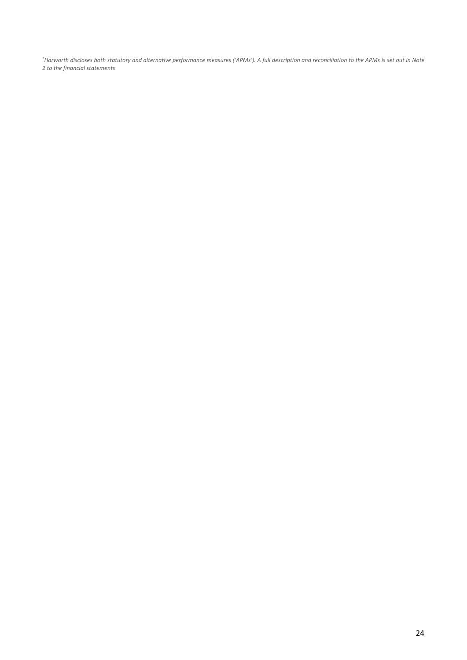*\* Harworth discloses both statutory and alternative performance measures ('APMs'). A full description and reconciliation to the APMs is set out in Note 2 to the financial statements*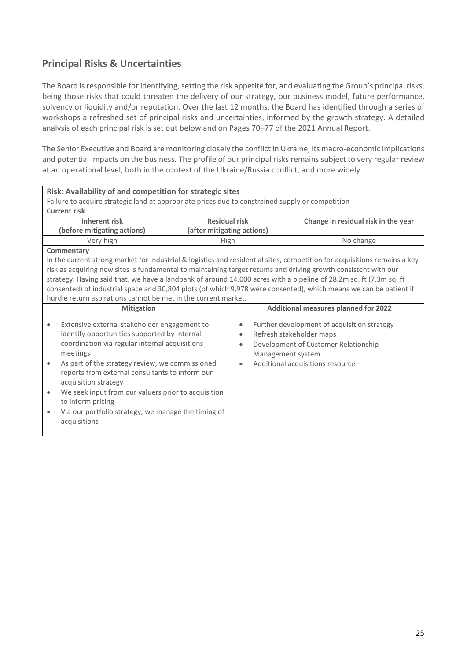### **Principal Risks & Uncertainties**

The Board is responsible for identifying, setting the risk appetite for, and evaluating the Group's principal risks, being those risks that could threaten the delivery of our strategy, our business model, future performance, solvency or liquidity and/or reputation. Over the last 12 months, the Board has identified through a series of workshops a refreshed set of principal risks and uncertainties, informed by the growth strategy. A detailed analysis of each principal risk is set out below and on Pages 70–77 of the 2021 Annual Report.

The Senior Executive and Board are monitoring closely the conflict in Ukraine, its macro-economic implications and potential impacts on the business. The profile of our principal risks remains subject to very regular review at an operational level, both in the context of the Ukraine/Russia conflict, and more widely.

| Risk: Availability of and competition for strategic sites                                                          |                            |                                       |                                                                                                                           |  |
|--------------------------------------------------------------------------------------------------------------------|----------------------------|---------------------------------------|---------------------------------------------------------------------------------------------------------------------------|--|
| Failure to acquire strategic land at appropriate prices due to constrained supply or competition                   |                            |                                       |                                                                                                                           |  |
| <b>Current risk</b>                                                                                                |                            |                                       |                                                                                                                           |  |
| <b>Inherent risk</b>                                                                                               | <b>Residual risk</b>       |                                       | Change in residual risk in the year                                                                                       |  |
| (before mitigating actions)                                                                                        | (after mitigating actions) |                                       |                                                                                                                           |  |
| Very high                                                                                                          | High                       |                                       | No change                                                                                                                 |  |
| Commentary                                                                                                         |                            |                                       |                                                                                                                           |  |
|                                                                                                                    |                            |                                       | In the current strong market for industrial & logistics and residential sites, competition for acquisitions remains a key |  |
| risk as acquiring new sites is fundamental to maintaining target returns and driving growth consistent with our    |                            |                                       |                                                                                                                           |  |
| strategy. Having said that, we have a landbank of around 14,000 acres with a pipeline of 28.2m sq. ft (7.3m sq. ft |                            |                                       |                                                                                                                           |  |
|                                                                                                                    |                            |                                       | consented) of industrial space and 30,804 plots (of which 9,978 were consented), which means we can be patient if         |  |
| hurdle return aspirations cannot be met in the current market.                                                     |                            |                                       |                                                                                                                           |  |
| <b>Mitigation</b>                                                                                                  |                            |                                       | <b>Additional measures planned for 2022</b>                                                                               |  |
| Extensive external stakeholder engagement to<br>$\bullet$                                                          |                            | $\bullet$                             | Further development of acquisition strategy                                                                               |  |
| identify opportunities supported by internal                                                                       |                            | Refresh stakeholder maps<br>$\bullet$ |                                                                                                                           |  |
| coordination via regular internal acquisitions                                                                     |                            | $\bullet$                             | Development of Customer Relationship                                                                                      |  |
| meetings                                                                                                           |                            | Management system                     |                                                                                                                           |  |
| As part of the strategy review, we commissioned<br>$\bullet$                                                       |                            | $\bullet$                             | Additional acquisitions resource                                                                                          |  |
| reports from external consultants to inform our                                                                    |                            |                                       |                                                                                                                           |  |
| acquisition strategy                                                                                               |                            |                                       |                                                                                                                           |  |
| We seek input from our valuers prior to acquisition<br>$\bullet$                                                   |                            |                                       |                                                                                                                           |  |
| to inform pricing                                                                                                  |                            |                                       |                                                                                                                           |  |
| Via our portfolio strategy, we manage the timing of<br>$\bullet$                                                   |                            |                                       |                                                                                                                           |  |
| acquisitions                                                                                                       |                            |                                       |                                                                                                                           |  |
|                                                                                                                    |                            |                                       |                                                                                                                           |  |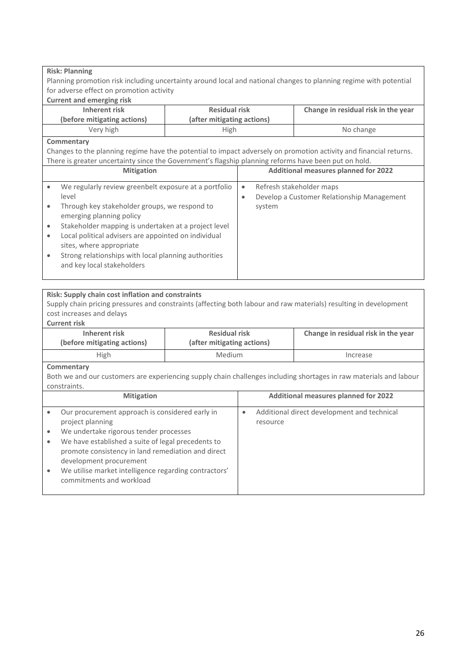| <b>Risk: Planning</b>                                                                                                                                                                                                                                                                                                                                                                                                                                                                                                                                                                                                                                                        |                                                    |                                                                                                            |                                                                                                                    |  |
|------------------------------------------------------------------------------------------------------------------------------------------------------------------------------------------------------------------------------------------------------------------------------------------------------------------------------------------------------------------------------------------------------------------------------------------------------------------------------------------------------------------------------------------------------------------------------------------------------------------------------------------------------------------------------|----------------------------------------------------|------------------------------------------------------------------------------------------------------------|--------------------------------------------------------------------------------------------------------------------|--|
| Planning promotion risk including uncertainty around local and national changes to planning regime with potential                                                                                                                                                                                                                                                                                                                                                                                                                                                                                                                                                            |                                                    |                                                                                                            |                                                                                                                    |  |
| for adverse effect on promotion activity                                                                                                                                                                                                                                                                                                                                                                                                                                                                                                                                                                                                                                     |                                                    |                                                                                                            |                                                                                                                    |  |
| <b>Current and emerging risk</b>                                                                                                                                                                                                                                                                                                                                                                                                                                                                                                                                                                                                                                             |                                                    |                                                                                                            |                                                                                                                    |  |
| <b>Inherent risk</b>                                                                                                                                                                                                                                                                                                                                                                                                                                                                                                                                                                                                                                                         | <b>Residual risk</b>                               |                                                                                                            | Change in residual risk in the year                                                                                |  |
| (before mitigating actions)                                                                                                                                                                                                                                                                                                                                                                                                                                                                                                                                                                                                                                                  | (after mitigating actions)                         |                                                                                                            |                                                                                                                    |  |
| Very high                                                                                                                                                                                                                                                                                                                                                                                                                                                                                                                                                                                                                                                                    | High                                               |                                                                                                            | No change                                                                                                          |  |
| Commentary                                                                                                                                                                                                                                                                                                                                                                                                                                                                                                                                                                                                                                                                   |                                                    |                                                                                                            |                                                                                                                    |  |
| Changes to the planning regime have the potential to impact adversely on promotion activity and financial returns.                                                                                                                                                                                                                                                                                                                                                                                                                                                                                                                                                           |                                                    |                                                                                                            |                                                                                                                    |  |
| There is greater uncertainty since the Government's flagship planning reforms have been put on hold.                                                                                                                                                                                                                                                                                                                                                                                                                                                                                                                                                                         |                                                    |                                                                                                            |                                                                                                                    |  |
| <b>Mitigation</b>                                                                                                                                                                                                                                                                                                                                                                                                                                                                                                                                                                                                                                                            |                                                    |                                                                                                            | <b>Additional measures planned for 2022</b>                                                                        |  |
| We regularly review greenbelt exposure at a portfolio<br>$\bullet$<br>level<br>Through key stakeholder groups, we respond to<br>$\bullet$<br>emerging planning policy<br>Stakeholder mapping is undertaken at a project level<br>$\bullet$<br>Local political advisers are appointed on individual<br>$\bullet$<br>sites, where appropriate<br>Strong relationships with local planning authorities<br>$\bullet$<br>and key local stakeholders<br>Risk: Supply chain cost inflation and constraints<br>Supply chain pricing pressures and constraints (affecting both labour and raw materials) resulting in development<br>cost increases and delays<br><b>Current risk</b> |                                                    | Refresh stakeholder maps<br>$\bullet$<br>Develop a Customer Relationship Management<br>$\bullet$<br>system |                                                                                                                    |  |
| <b>Inherent risk</b><br>(before mitigating actions)                                                                                                                                                                                                                                                                                                                                                                                                                                                                                                                                                                                                                          | <b>Residual risk</b><br>(after mitigating actions) |                                                                                                            | Change in residual risk in the year                                                                                |  |
| High                                                                                                                                                                                                                                                                                                                                                                                                                                                                                                                                                                                                                                                                         | Medium                                             |                                                                                                            | Increase                                                                                                           |  |
| Commentary                                                                                                                                                                                                                                                                                                                                                                                                                                                                                                                                                                                                                                                                   |                                                    |                                                                                                            |                                                                                                                    |  |
|                                                                                                                                                                                                                                                                                                                                                                                                                                                                                                                                                                                                                                                                              |                                                    |                                                                                                            | Both we and our customers are experiencing supply chain challenges including shortages in raw materials and labour |  |
| constraints.                                                                                                                                                                                                                                                                                                                                                                                                                                                                                                                                                                                                                                                                 |                                                    |                                                                                                            |                                                                                                                    |  |
| <b>Mitigation</b>                                                                                                                                                                                                                                                                                                                                                                                                                                                                                                                                                                                                                                                            |                                                    | <b>Additional measures planned for 2022</b>                                                                |                                                                                                                    |  |
| Our procurement approach is considered early in<br>$\bullet$<br>project planning<br>We undertake rigorous tender processes<br>$\bullet$<br>We have established a suite of legal precedents to<br>$\bullet$<br>promote consistency in land remediation and direct<br>development procurement<br>We utilise market intelligence regarding contractors'<br>$\bullet$<br>commitments and workload                                                                                                                                                                                                                                                                                |                                                    | $\bullet$<br>resource                                                                                      | Additional direct development and technical                                                                        |  |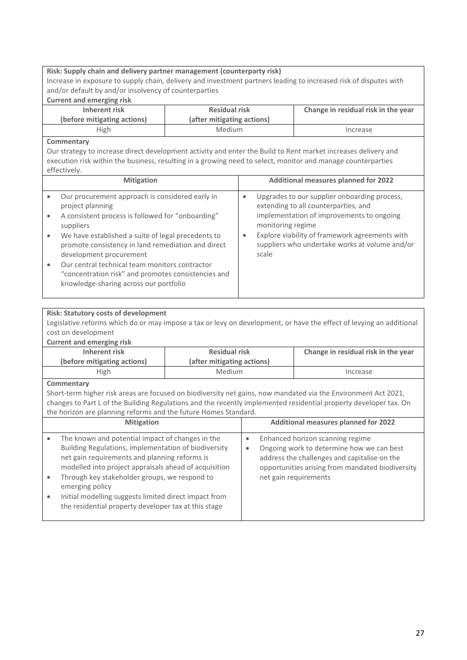#### **Risk: Supply chain and delivery partner management (counterparty risk)**

Increase in exposure to supply chain, delivery and investment partners leading to increased risk of disputes with and/or default by and/or insolvency of counterparties

#### **Current and emerging risk**

| Inherent risk               | <b>Residual risk</b>       | Change in residual risk in the year |
|-----------------------------|----------------------------|-------------------------------------|
| (before mitigating actions) | (after mitigating actions) |                                     |
| <b>High</b>                 | Medium                     | Increase                            |

#### **Commentary**

Our strategy to increase direct development activity and enter the Build to Rent market increases delivery and execution risk within the business, resulting in a growing need to select, monitor and manage counterparties effectively.

| <b>Mitigation</b>                                                                                                                                                                                                                                 |           | <b>Additional measures planned for 2022</b>                                                                                                                                                                                                                |
|---------------------------------------------------------------------------------------------------------------------------------------------------------------------------------------------------------------------------------------------------|-----------|------------------------------------------------------------------------------------------------------------------------------------------------------------------------------------------------------------------------------------------------------------|
| Our procurement approach is considered early in<br>project planning<br>A consistent process is followed for "onboarding"<br>suppliers<br>We have established a suite of legal precedents to<br>promote consistency in land remediation and direct | $\bullet$ | Upgrades to our supplier onboarding process,<br>extending to all counterparties, and<br>implementation of improvements to ongoing<br>monitoring regime<br>Explore viability of framework agreements with<br>suppliers who undertake works at volume and/or |
| development procurement<br>Our central technical team monitors contractor<br>"concentration risk" and promotes consistencies and<br>knowledge-sharing across our portfolio                                                                        |           | scale                                                                                                                                                                                                                                                      |

#### **Risk: Statutory costs of development**

Legislative reforms which do or may impose a tax or levy on development, or have the effect of levying an additional cost on development

#### **Current and emerging risk**

| Inherent risk               | <b>Residual risk</b>       | Change in residual risk in the year |
|-----------------------------|----------------------------|-------------------------------------|
| (before mitigating actions) | (after mitigating actions) |                                     |
| <b>High</b>                 | Medium                     | Increase                            |

#### **Commentary**

Short-term higher risk areas are focused on biodiversity net gains, now mandated via the Environment Act 2021, changes to Part L of the Building Regulations and the recently implemented residential property developer tax. On the horizon are planning reforms and the future Homes Standard.

| <b>Mitigation</b>                                                                                                                                                                                                                                                                                                                                                                                       | <b>Additional measures planned for 2022</b>                                                                                                                                                                             |
|---------------------------------------------------------------------------------------------------------------------------------------------------------------------------------------------------------------------------------------------------------------------------------------------------------------------------------------------------------------------------------------------------------|-------------------------------------------------------------------------------------------------------------------------------------------------------------------------------------------------------------------------|
| The known and potential impact of changes in the<br>Building Regulations, implementation of biodiversity<br>net gain requirements and planning reforms is<br>modelled into project appraisals ahead of acquisition<br>Through key stakeholder groups, we respond to<br>emerging policy<br>Initial modelling suggests limited direct impact from<br>the residential property developer tax at this stage | Enhanced horizon scanning regime<br>Ongoing work to determine how we can best<br>$\bullet$<br>address the challenges and capitalise on the<br>opportunities arising from mandated biodiversity<br>net gain requirements |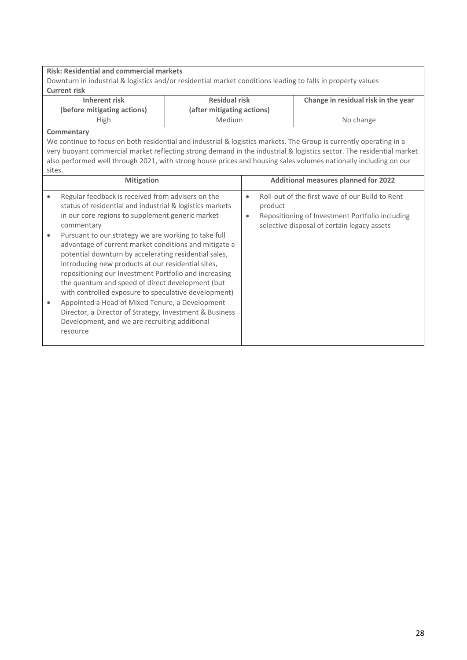#### **Risk: Residential and commercial markets**

Downturn in industrial & logistics and/or residential market conditions leading to falls in property values **Current risk**

| <b>Residual risk</b><br>Inherent risk<br>(after mitigating actions)<br>(before mitigating actions) |               | Change in residual risk in the year |
|----------------------------------------------------------------------------------------------------|---------------|-------------------------------------|
| High                                                                                               | <b>Medium</b> | No change                           |

#### **Commentary**

We continue to focus on both residential and industrial & logistics markets. The Group is currently operating in a very buoyant commercial market reflecting strong demand in the industrial & logistics sector. The residential market also performed well through 2021, with strong house prices and housing sales volumes nationally including on our sites.

|                                          | <b>Mitigation</b>                                                                                                                                                                                                                                                                                                                                                                                                                                                                                                                                                                                                                                                                                                                     |                        | <b>Additional measures planned for 2022</b>                                                                                                                  |
|------------------------------------------|---------------------------------------------------------------------------------------------------------------------------------------------------------------------------------------------------------------------------------------------------------------------------------------------------------------------------------------------------------------------------------------------------------------------------------------------------------------------------------------------------------------------------------------------------------------------------------------------------------------------------------------------------------------------------------------------------------------------------------------|------------------------|--------------------------------------------------------------------------------------------------------------------------------------------------------------|
| commentary<br>٠<br>$\bullet$<br>resource | Regular feedback is received from advisers on the<br>status of residential and industrial & logistics markets<br>in our core regions to supplement generic market<br>Pursuant to our strategy we are working to take full<br>advantage of current market conditions and mitigate a<br>potential downturn by accelerating residential sales,<br>introducing new products at our residential sites.<br>repositioning our Investment Portfolio and increasing<br>the quantum and speed of direct development (but<br>with controlled exposure to speculative development)<br>Appointed a Head of Mixed Tenure, a Development<br>Director, a Director of Strategy, Investment & Business<br>Development, and we are recruiting additional | $\bullet$<br>$\bullet$ | Roll-out of the first wave of our Build to Rent<br>product<br>Repositioning of Investment Portfolio including<br>selective disposal of certain legacy assets |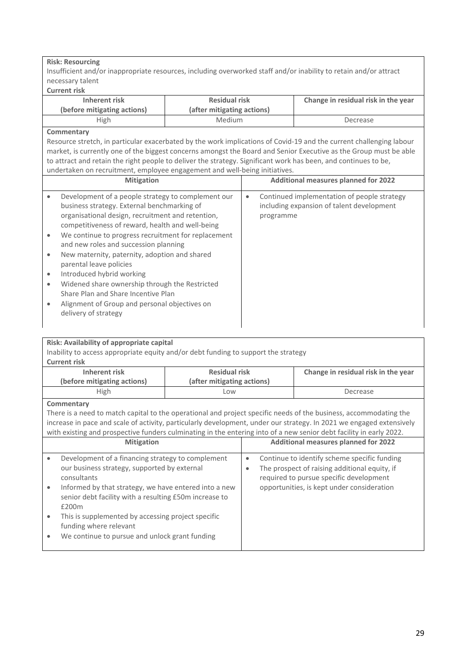#### **Risk: Resourcing**

Insufficient and/or inappropriate resources, including overworked staff and/or inability to retain and/or attract necessary talent

**Current risk**

| <b>Residual risk</b><br>Inherent risk<br>(before mitigating actions)<br>(after mitigating actions) |        | Change in residual risk in the year |
|----------------------------------------------------------------------------------------------------|--------|-------------------------------------|
| High                                                                                               | Medium | Decrease                            |

#### **Commentary**

Resource stretch, in particular exacerbated by the work implications of Covid-19 and the current challenging labour market, is currently one of the biggest concerns amongst the Board and Senior Executive as the Group must be able to attract and retain the right people to deliver the strategy. Significant work has been, and continues to be, undertaken on recruitment, employee engagement and well-being initiatives.

|           | <b>Mitigation</b>                                                                                                                                                                                          |           | <b>Additional measures planned for 2022</b>                                                           |
|-----------|------------------------------------------------------------------------------------------------------------------------------------------------------------------------------------------------------------|-----------|-------------------------------------------------------------------------------------------------------|
| $\bullet$ | Development of a people strategy to complement our<br>business strategy. External benchmarking of<br>organisational design, recruitment and retention,<br>competitiveness of reward, health and well-being | $\bullet$ | Continued implementation of people strategy<br>including expansion of talent development<br>programme |
| $\bullet$ | We continue to progress recruitment for replacement<br>and new roles and succession planning                                                                                                               |           |                                                                                                       |
| $\bullet$ | New maternity, paternity, adoption and shared<br>parental leave policies                                                                                                                                   |           |                                                                                                       |
| $\bullet$ | Introduced hybrid working                                                                                                                                                                                  |           |                                                                                                       |
| ٠         | Widened share ownership through the Restricted<br>Share Plan and Share Incentive Plan                                                                                                                      |           |                                                                                                       |
|           | Alignment of Group and personal objectives on<br>delivery of strategy                                                                                                                                      |           |                                                                                                       |

#### **Risk: Availability of appropriate capital**

Inability to access appropriate equity and/or debt funding to support the strategy **Current risk**

|                                                                                                                                                                                                                                                                                                                                                                  | CULLEIIL LISN                                                                                                            |                                             |                                            |  |                                                                                                                                          |  |  |
|------------------------------------------------------------------------------------------------------------------------------------------------------------------------------------------------------------------------------------------------------------------------------------------------------------------------------------------------------------------|--------------------------------------------------------------------------------------------------------------------------|---------------------------------------------|--------------------------------------------|--|------------------------------------------------------------------------------------------------------------------------------------------|--|--|
|                                                                                                                                                                                                                                                                                                                                                                  | Inherent risk                                                                                                            | <b>Residual risk</b>                        |                                            |  | Change in residual risk in the year                                                                                                      |  |  |
|                                                                                                                                                                                                                                                                                                                                                                  | (before mitigating actions)                                                                                              | (after mitigating actions)                  |                                            |  |                                                                                                                                          |  |  |
|                                                                                                                                                                                                                                                                                                                                                                  | High                                                                                                                     | Low                                         |                                            |  | Decrease                                                                                                                                 |  |  |
|                                                                                                                                                                                                                                                                                                                                                                  | Commentary                                                                                                               |                                             |                                            |  |                                                                                                                                          |  |  |
| There is a need to match capital to the operational and project specific needs of the business, accommodating the<br>increase in pace and scale of activity, particularly development, under our strategy. In 2021 we engaged extensively<br>with existing and prospective funders culminating in the entering into of a new senior debt facility in early 2022. |                                                                                                                          |                                             |                                            |  |                                                                                                                                          |  |  |
| <b>Mitigation</b>                                                                                                                                                                                                                                                                                                                                                |                                                                                                                          | <b>Additional measures planned for 2022</b> |                                            |  |                                                                                                                                          |  |  |
| $\bullet$                                                                                                                                                                                                                                                                                                                                                        | Development of a financing strategy to complement<br>our business strategy, supported by external<br>consultants         |                                             | $\bullet$<br>$\bullet$                     |  | Continue to identify scheme specific funding<br>The prospect of raising additional equity, if<br>required to pursue specific development |  |  |
| $\bullet$                                                                                                                                                                                                                                                                                                                                                        | Informed by that strategy, we have entered into a new<br>senior debt facility with a resulting £50m increase to<br>£200m |                                             | opportunities, is kept under consideration |  |                                                                                                                                          |  |  |
| $\bullet$                                                                                                                                                                                                                                                                                                                                                        | This is supplemented by accessing project specific<br>funding where relevant                                             |                                             |                                            |  |                                                                                                                                          |  |  |
|                                                                                                                                                                                                                                                                                                                                                                  | We continue to pursue and unlock grant funding                                                                           |                                             |                                            |  |                                                                                                                                          |  |  |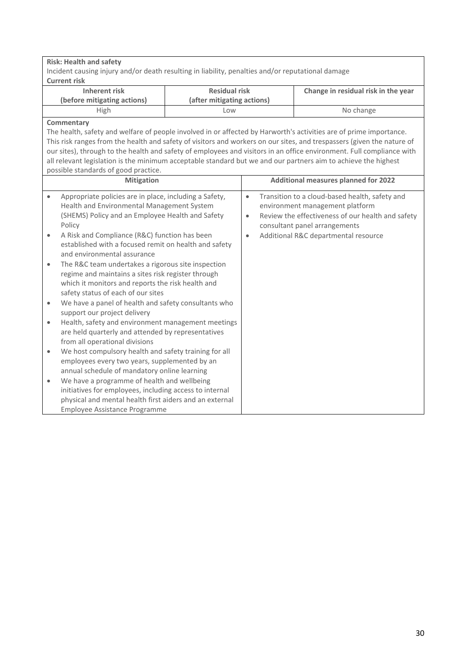**Risk: Health and safety**

Incident causing injury and/or death resulting in liability, penalties and/or reputational damage **Current risk**

| <b>Residual risk</b><br>Inherent risk<br>(after mitigating actions)<br>(before mitigating actions) |     | Change in residual risk in the year |
|----------------------------------------------------------------------------------------------------|-----|-------------------------------------|
| High                                                                                               | LOW | No change                           |

#### **Commentary**

The health, safety and welfare of people involved in or affected by Harworth's activities are of prime importance. This risk ranges from the health and safety of visitors and workers on our sites, and trespassers (given the nature of our sites), through to the health and safety of employees and visitors in an office environment. Full compliance with all relevant legislation is the minimum acceptable standard but we and our partners aim to achieve the highest possible standards of good practice.

|           | <b>Mitigation</b>                                                                                                                                                                                   |                        | <b>Additional measures planned for 2022</b>                                                                                                                             |
|-----------|-----------------------------------------------------------------------------------------------------------------------------------------------------------------------------------------------------|------------------------|-------------------------------------------------------------------------------------------------------------------------------------------------------------------------|
| $\bullet$ | Appropriate policies are in place, including a Safety,<br>Health and Environmental Management System<br>(SHEMS) Policy and an Employee Health and Safety<br>Policy                                  | $\bullet$<br>$\bullet$ | Transition to a cloud-based health, safety and<br>environment management platform<br>Review the effectiveness of our health and safety<br>consultant panel arrangements |
| $\bullet$ | A Risk and Compliance (R&C) function has been<br>established with a focused remit on health and safety<br>and environmental assurance                                                               | $\bullet$              | Additional R&C departmental resource                                                                                                                                    |
| $\bullet$ | The R&C team undertakes a rigorous site inspection<br>regime and maintains a sites risk register through<br>which it monitors and reports the risk health and<br>safety status of each of our sites |                        |                                                                                                                                                                         |
| $\bullet$ | We have a panel of health and safety consultants who<br>support our project delivery                                                                                                                |                        |                                                                                                                                                                         |
| $\bullet$ | Health, safety and environment management meetings<br>are held quarterly and attended by representatives<br>from all operational divisions                                                          |                        |                                                                                                                                                                         |
| $\bullet$ | We host compulsory health and safety training for all<br>employees every two years, supplemented by an<br>annual schedule of mandatory online learning                                              |                        |                                                                                                                                                                         |
| $\bullet$ | We have a programme of health and wellbeing<br>initiatives for employees, including access to internal<br>physical and mental health first aiders and an external<br>Employee Assistance Programme  |                        |                                                                                                                                                                         |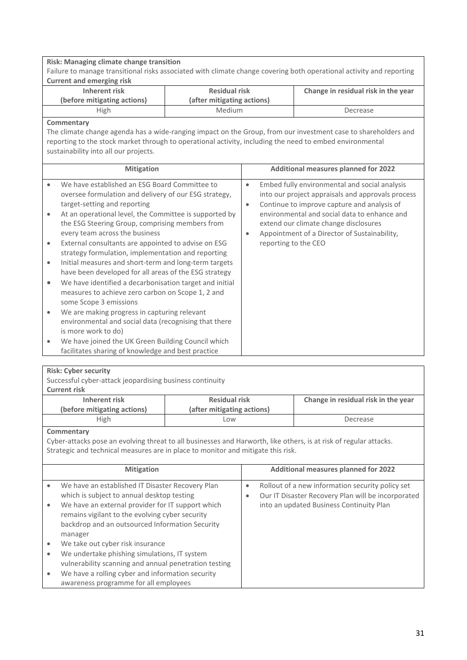| Risk: Managing climate change transition<br>Failure to manage transitional risks associated with climate change covering both operational activity and reporting<br><b>Current and emerging risk</b>                                                                              |                                                                                                                                                                                                                                                                                                                                                                                                                                                                                                                                                                                                                                                                                                                                   |  |                                                                                                                                                                                                                                                                                                                    |  |
|-----------------------------------------------------------------------------------------------------------------------------------------------------------------------------------------------------------------------------------------------------------------------------------|-----------------------------------------------------------------------------------------------------------------------------------------------------------------------------------------------------------------------------------------------------------------------------------------------------------------------------------------------------------------------------------------------------------------------------------------------------------------------------------------------------------------------------------------------------------------------------------------------------------------------------------------------------------------------------------------------------------------------------------|--|--------------------------------------------------------------------------------------------------------------------------------------------------------------------------------------------------------------------------------------------------------------------------------------------------------------------|--|
| <b>Inherent risk</b>                                                                                                                                                                                                                                                              | <b>Residual risk</b>                                                                                                                                                                                                                                                                                                                                                                                                                                                                                                                                                                                                                                                                                                              |  | Change in residual risk in the year                                                                                                                                                                                                                                                                                |  |
| (before mitigating actions)                                                                                                                                                                                                                                                       | (after mitigating actions)                                                                                                                                                                                                                                                                                                                                                                                                                                                                                                                                                                                                                                                                                                        |  |                                                                                                                                                                                                                                                                                                                    |  |
| High                                                                                                                                                                                                                                                                              | Medium                                                                                                                                                                                                                                                                                                                                                                                                                                                                                                                                                                                                                                                                                                                            |  | Decrease                                                                                                                                                                                                                                                                                                           |  |
| Commentary<br>The climate change agenda has a wide-ranging impact on the Group, from our investment case to shareholders and<br>reporting to the stock market through to operational activity, including the need to embed environmental<br>sustainability into all our projects. |                                                                                                                                                                                                                                                                                                                                                                                                                                                                                                                                                                                                                                                                                                                                   |  |                                                                                                                                                                                                                                                                                                                    |  |
| <b>Mitigation</b>                                                                                                                                                                                                                                                                 |                                                                                                                                                                                                                                                                                                                                                                                                                                                                                                                                                                                                                                                                                                                                   |  | <b>Additional measures planned for 2022</b>                                                                                                                                                                                                                                                                        |  |
| $\bullet$<br>target-setting and reporting<br>$\bullet$<br>every team across the business<br>$\bullet$<br>$\bullet$<br>$\bullet$<br>some Scope 3 emissions<br>$\bullet$<br>is more work to do)<br>$\bullet$<br>facilitates sharing of knowledge and best practice                  | We have established an ESG Board Committee to<br>oversee formulation and delivery of our ESG strategy,<br>At an operational level, the Committee is supported by<br>the ESG Steering Group, comprising members from<br>External consultants are appointed to advise on ESG<br>strategy formulation, implementation and reporting<br>Initial measures and short-term and long-term targets<br>have been developed for all areas of the ESG strategy<br>We have identified a decarbonisation target and initial<br>measures to achieve zero carbon on Scope 1, 2 and<br>We are making progress in capturing relevant<br>environmental and social data (recognising that there<br>We have joined the UK Green Building Council which |  | Embed fully environmental and social analysis<br>into our project appraisals and approvals process<br>Continue to improve capture and analysis of<br>environmental and social data to enhance and<br>extend our climate change disclosures<br>Appointment of a Director of Sustainability,<br>reporting to the CEO |  |

#### **Risk: Cyber security**

| Successful cyber-attack jeopardising business continuity<br><b>Current risk</b>                                   |                            |                                                         |  |                                                  |  |  |
|-------------------------------------------------------------------------------------------------------------------|----------------------------|---------------------------------------------------------|--|--------------------------------------------------|--|--|
| <b>Inherent risk</b>                                                                                              | <b>Residual risk</b>       |                                                         |  | Change in residual risk in the year              |  |  |
| (before mitigating actions)                                                                                       | (after mitigating actions) |                                                         |  |                                                  |  |  |
| High                                                                                                              | Low                        |                                                         |  | Decrease                                         |  |  |
| Commentary                                                                                                        |                            |                                                         |  |                                                  |  |  |
| Cyber-attacks pose an evolving threat to all businesses and Harworth, like others, is at risk of regular attacks. |                            |                                                         |  |                                                  |  |  |
| Strategic and technical measures are in place to monitor and mitigate this risk.                                  |                            |                                                         |  |                                                  |  |  |
|                                                                                                                   |                            |                                                         |  |                                                  |  |  |
| <b>Mitigation</b>                                                                                                 |                            | <b>Additional measures planned for 2022</b>             |  |                                                  |  |  |
| We have an established IT Disaster Recovery Plan<br>$\bullet$                                                     |                            | $\bullet$                                               |  | Rollout of a new information security policy set |  |  |
| which is subject to annual desktop testing                                                                        |                            | Our IT Disaster Recovery Plan will be incorporated<br>۰ |  |                                                  |  |  |
| We have an external provider for IT support which<br>$\bullet$                                                    |                            |                                                         |  | into an updated Business Continuity Plan         |  |  |
| remains vigilant to the evolving cyber security                                                                   |                            |                                                         |  |                                                  |  |  |
| backdrop and an outsourced Information Security                                                                   |                            |                                                         |  |                                                  |  |  |
| manager                                                                                                           |                            |                                                         |  |                                                  |  |  |
| We take out cyber risk insurance<br>$\bullet$                                                                     |                            |                                                         |  |                                                  |  |  |
| We undertake phishing simulations, IT system<br>$\bullet$                                                         |                            |                                                         |  |                                                  |  |  |
| vulnerability scanning and annual penetration testing                                                             |                            |                                                         |  |                                                  |  |  |
| We have a rolling cyber and information security<br>$\bullet$                                                     |                            |                                                         |  |                                                  |  |  |
| awareness programme for all employees                                                                             |                            |                                                         |  |                                                  |  |  |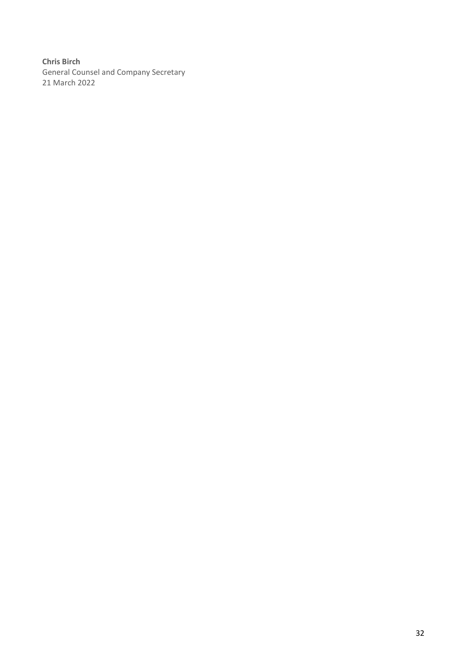**Chris Birch** General Counsel and Company Secretary 21 March 2022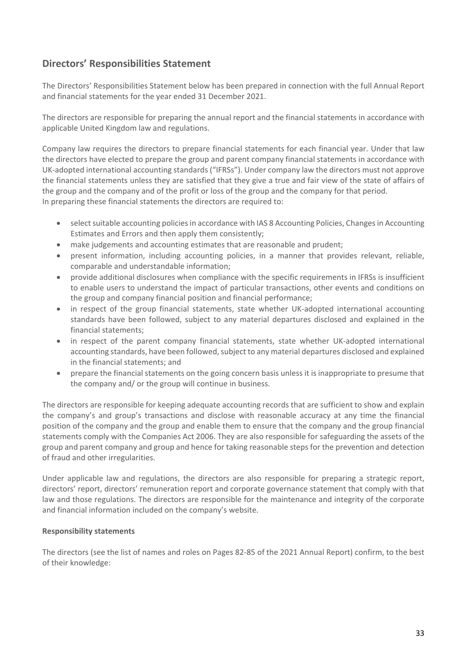### **Directors' Responsibilities Statement**

The Directors' Responsibilities Statement below has been prepared in connection with the full Annual Report and financial statements for the year ended 31 December 2021.

The directors are responsible for preparing the annual report and the financial statements in accordance with applicable United Kingdom law and regulations.

Company law requires the directors to prepare financial statements for each financial year. Under that law the directors have elected to prepare the group and parent company financial statements in accordance with UK-adopted international accounting standards ("IFRSs"). Under company law the directors must not approve the financial statements unless they are satisfied that they give a true and fair view of the state of affairs of the group and the company and of the profit or loss of the group and the company for that period. In preparing these financial statements the directors are required to:

- select suitable accounting policies in accordance with IAS 8 Accounting Policies, Changes in Accounting Estimates and Errors and then apply them consistently;
- make judgements and accounting estimates that are reasonable and prudent;
- present information, including accounting policies, in a manner that provides relevant, reliable, comparable and understandable information;
- provide additional disclosures when compliance with the specific requirements in IFRSs is insufficient to enable users to understand the impact of particular transactions, other events and conditions on the group and company financial position and financial performance;
- in respect of the group financial statements, state whether UK-adopted international accounting standards have been followed, subject to any material departures disclosed and explained in the financial statements;
- in respect of the parent company financial statements, state whether UK-adopted international accounting standards, have been followed, subject to any material departures disclosed and explained in the financial statements; and
- prepare the financial statements on the going concern basis unless it is inappropriate to presume that the company and/ or the group will continue in business.

The directors are responsible for keeping adequate accounting records that are sufficient to show and explain the company's and group's transactions and disclose with reasonable accuracy at any time the financial position of the company and the group and enable them to ensure that the company and the group financial statements comply with the Companies Act 2006. They are also responsible for safeguarding the assets of the group and parent company and group and hence for taking reasonable steps for the prevention and detection of fraud and other irregularities.

Under applicable law and regulations, the directors are also responsible for preparing a strategic report, directors' report, directors' remuneration report and corporate governance statement that comply with that law and those regulations. The directors are responsible for the maintenance and integrity of the corporate and financial information included on the company's website.

#### **Responsibility statements**

The directors (see the list of names and roles on Pages 82-85 of the 2021 Annual Report) confirm, to the best of their knowledge: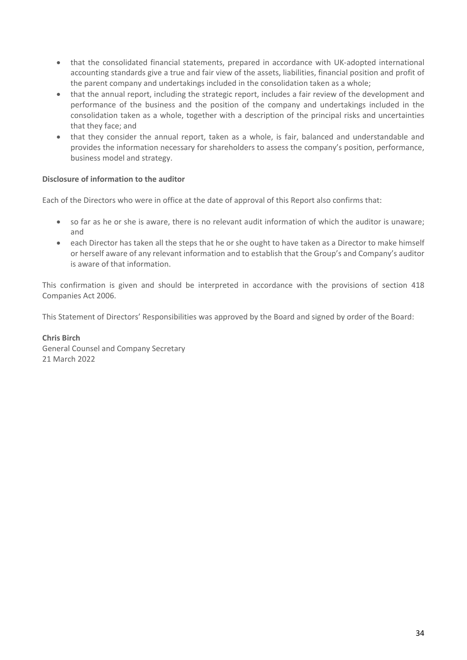- that the consolidated financial statements, prepared in accordance with UK-adopted international accounting standards give a true and fair view of the assets, liabilities, financial position and profit of the parent company and undertakings included in the consolidation taken as a whole;
- that the annual report, including the strategic report, includes a fair review of the development and performance of the business and the position of the company and undertakings included in the consolidation taken as a whole, together with a description of the principal risks and uncertainties that they face; and
- that they consider the annual report, taken as a whole, is fair, balanced and understandable and provides the information necessary for shareholders to assess the company's position, performance, business model and strategy.

#### **Disclosure of information to the auditor**

Each of the Directors who were in office at the date of approval of this Report also confirms that:

- so far as he or she is aware, there is no relevant audit information of which the auditor is unaware; and
- each Director has taken all the steps that he or she ought to have taken as a Director to make himself or herself aware of any relevant information and to establish that the Group's and Company's auditor is aware of that information.

This confirmation is given and should be interpreted in accordance with the provisions of section 418 Companies Act 2006.

This Statement of Directors' Responsibilities was approved by the Board and signed by order of the Board:

#### **Chris Birch** General Counsel and Company Secretary 21 March 2022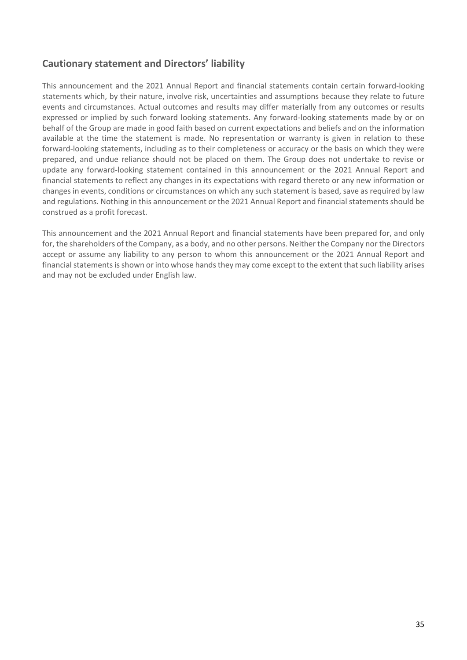### **Cautionary statement and Directors' liability**

This announcement and the 2021 Annual Report and financial statements contain certain forward-looking statements which, by their nature, involve risk, uncertainties and assumptions because they relate to future events and circumstances. Actual outcomes and results may differ materially from any outcomes or results expressed or implied by such forward looking statements. Any forward-looking statements made by or on behalf of the Group are made in good faith based on current expectations and beliefs and on the information available at the time the statement is made. No representation or warranty is given in relation to these forward-looking statements, including as to their completeness or accuracy or the basis on which they were prepared, and undue reliance should not be placed on them. The Group does not undertake to revise or update any forward-looking statement contained in this announcement or the 2021 Annual Report and financial statements to reflect any changes in its expectations with regard thereto or any new information or changes in events, conditions or circumstances on which any such statement is based, save as required by law and regulations. Nothing in this announcement or the 2021 Annual Report and financial statements should be construed as a profit forecast.

This announcement and the 2021 Annual Report and financial statements have been prepared for, and only for, the shareholders of the Company, as a body, and no other persons. Neither the Company nor the Directors accept or assume any liability to any person to whom this announcement or the 2021 Annual Report and financial statementsis shown or into whose hands they may come except to the extent that such liability arises and may not be excluded under English law.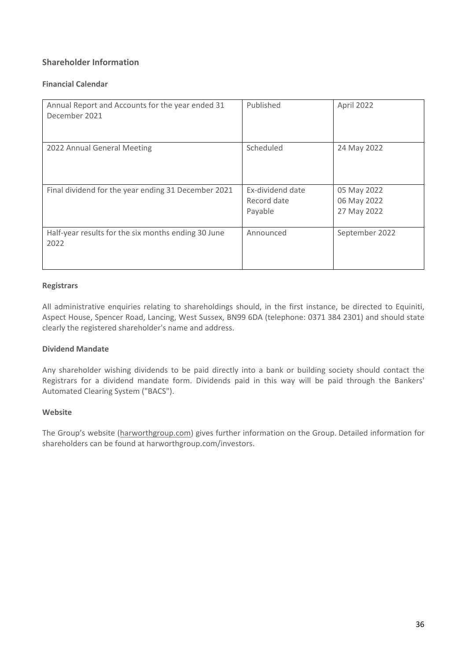### **Shareholder Information**

#### **Financial Calendar**

| Annual Report and Accounts for the year ended 31<br>December 2021 | Published                                  | April 2022                                |
|-------------------------------------------------------------------|--------------------------------------------|-------------------------------------------|
| 2022 Annual General Meeting                                       | Scheduled                                  | 24 May 2022                               |
| Final dividend for the year ending 31 December 2021               | Ex-dividend date<br>Record date<br>Payable | 05 May 2022<br>06 May 2022<br>27 May 2022 |
| Half-year results for the six months ending 30 June<br>2022       | Announced                                  | September 2022                            |

#### **Registrars**

All administrative enquiries relating to shareholdings should, in the first instance, be directed to Equiniti, Aspect House, Spencer Road, Lancing, West Sussex, BN99 6DA (telephone: 0371 384 2301) and should state clearly the registered shareholder's name and address.

#### **Dividend Mandate**

Any shareholder wishing dividends to be paid directly into a bank or building society should contact the Registrars for a dividend mandate form. Dividends paid in this way will be paid through the Bankers' Automated Clearing System ("BACS").

#### **Website**

The Group's website [\(harworthgroup.com\)](http://harworthgroup.com/) gives further information on the Group. Detailed information for shareholders can be found at harworthgroup.com/investors.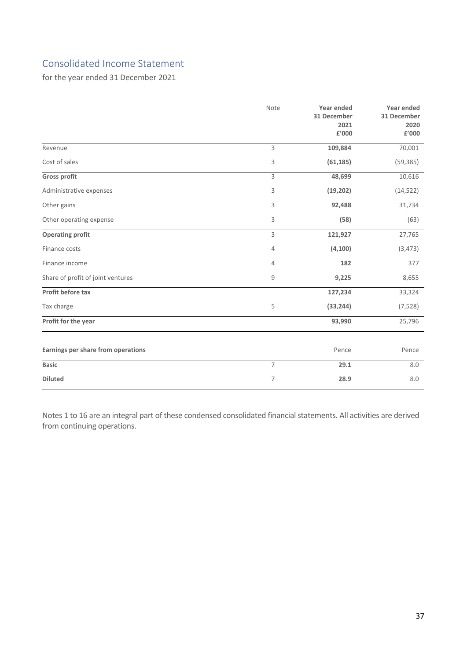### Consolidated Income Statement

for the year ended 31 December 2021

|                                    | Note           | Year ended<br>31 December<br>2021<br>£'000 | <b>Year ended</b><br>31 December<br>2020<br>£'000 |
|------------------------------------|----------------|--------------------------------------------|---------------------------------------------------|
| Revenue                            | 3              | 109,884                                    | 70,001                                            |
| Cost of sales                      | 3              | (61, 185)                                  | (59, 385)                                         |
| <b>Gross profit</b>                | 3              | 48,699                                     | 10,616                                            |
| Administrative expenses            | 3              | (19, 202)                                  | (14, 522)                                         |
| Other gains                        | 3              | 92,488                                     | 31,734                                            |
| Other operating expense            | 3              | (58)                                       | (63)                                              |
| <b>Operating profit</b>            | 3              | 121,927                                    | 27,765                                            |
| Finance costs                      | 4              | (4, 100)                                   | (3, 473)                                          |
| Finance income                     | 4              | 182                                        | 377                                               |
| Share of profit of joint ventures  | 9              | 9,225                                      | 8,655                                             |
| Profit before tax                  |                | 127,234                                    | 33,324                                            |
| Tax charge                         | 5              | (33, 244)                                  | (7, 528)                                          |
| Profit for the year                |                | 93,990                                     | 25,796                                            |
| Earnings per share from operations |                | Pence                                      | Pence                                             |
| <b>Basic</b>                       | $\overline{7}$ | 29.1                                       | 8.0                                               |
| <b>Diluted</b>                     | 7              | 28.9                                       | 8.0                                               |

Notes 1 to 16 are an integral part of these condensed consolidated financial statements. All activities are derived from continuing operations.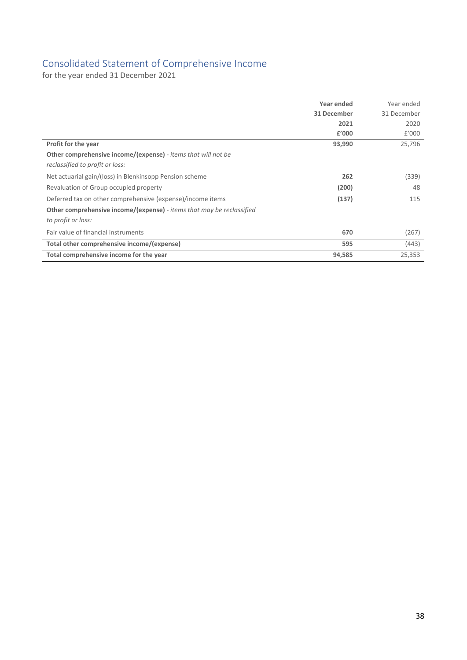### Consolidated Statement of Comprehensive Income

for the year ended 31 December 2021

|                                                                              | Year ended  | Year ended  |
|------------------------------------------------------------------------------|-------------|-------------|
|                                                                              | 31 December | 31 December |
|                                                                              | 2021        | 2020        |
|                                                                              | £'000       | £'000       |
| Profit for the year                                                          | 93,990      | 25,796      |
| <b>Other comprehensive income/(expense)</b> - <i>items that will not be</i>  |             |             |
| reclassified to profit or loss:                                              |             |             |
| Net actuarial gain/(loss) in Blenkinsopp Pension scheme                      | 262         | (339)       |
| Revaluation of Group occupied property                                       | (200)       | 48          |
| Deferred tax on other comprehensive (expense)/income items                   | (137)       | 115         |
| <b>Other comprehensive income/(expense)</b> - items that may be reclassified |             |             |
| to profit or loss:                                                           |             |             |
| Fair value of financial instruments                                          | 670         | (267)       |
| Total other comprehensive income/(expense)                                   | 595         | (443)       |
| Total comprehensive income for the year                                      | 94,585      | 25,353      |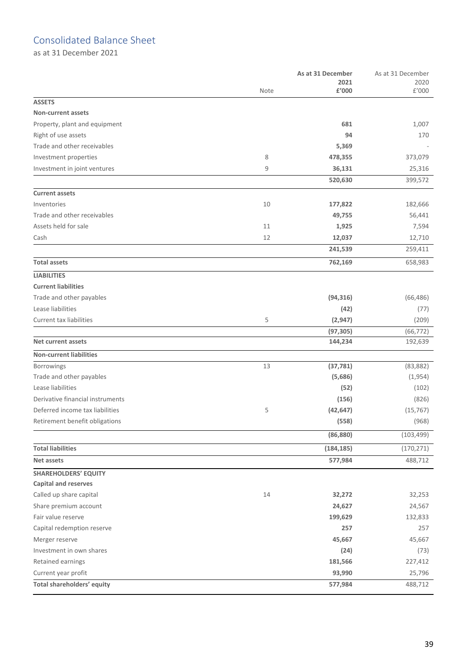### Consolidated Balance Sheet

as at 31 December 2021

| 2021<br>2020<br>£'000<br>£'000<br>Note<br><b>ASSETS</b><br><b>Non-current assets</b><br>Property, plant and equipment<br>681<br>1,007<br>Right of use assets<br>94<br>170<br>Trade and other receivables<br>5,369<br>Investment properties<br>8<br>373,079<br>478,355<br>9<br>Investment in joint ventures<br>36,131<br>25,316<br>399,572<br>520,630<br><b>Current assets</b><br>Inventories<br>10<br>177,822<br>182,666<br>Trade and other receivables<br>49,755<br>56,441<br>Assets held for sale<br>11<br>1,925<br>7,594<br>12<br>Cash<br>12,037<br>12,710<br>241,539<br>259,411<br><b>Total assets</b><br>762,169<br>658,983<br><b>LIABILITIES</b><br><b>Current liabilities</b><br>Trade and other payables<br>(94, 316)<br>(66, 486)<br>Lease liabilities<br>(42)<br>(77)<br>Current tax liabilities<br>5<br>(2, 947)<br>(209)<br>(97, 305)<br>(66, 772)<br><b>Net current assets</b><br>144,234<br>192,639<br><b>Non-current liabilities</b><br>Borrowings<br>13<br>(37, 781)<br>(83, 882)<br>Trade and other payables<br>(5,686)<br>(1,954)<br>Lease liabilities<br>(52)<br>(102)<br>Derivative financial instruments<br>(156)<br>(826)<br>Deferred income tax liabilities<br>5<br>(42, 647)<br>(15, 767)<br>(558)<br>Retirement benefit obligations<br>(968)<br>(86, 880)<br>(103, 499)<br><b>Total liabilities</b><br>(184, 185)<br>(170, 271)<br>Net assets<br>577,984<br>488,712<br><b>SHAREHOLDERS' EQUITY</b><br>Capital and reserves<br>Called up share capital<br>14<br>32,272<br>32,253<br>Share premium account<br>24,627<br>24,567<br>Fair value reserve<br>199,629<br>132,833<br>Capital redemption reserve<br>257<br>257<br>45,667<br>45,667<br>Merger reserve<br>Investment in own shares<br>(24)<br>(73)<br>Retained earnings<br>181,566<br>227,412<br>Current year profit<br>93,990<br>25,796<br>Total shareholders' equity<br>488,712<br>577,984 |  | As at 31 December |  |
|---------------------------------------------------------------------------------------------------------------------------------------------------------------------------------------------------------------------------------------------------------------------------------------------------------------------------------------------------------------------------------------------------------------------------------------------------------------------------------------------------------------------------------------------------------------------------------------------------------------------------------------------------------------------------------------------------------------------------------------------------------------------------------------------------------------------------------------------------------------------------------------------------------------------------------------------------------------------------------------------------------------------------------------------------------------------------------------------------------------------------------------------------------------------------------------------------------------------------------------------------------------------------------------------------------------------------------------------------------------------------------------------------------------------------------------------------------------------------------------------------------------------------------------------------------------------------------------------------------------------------------------------------------------------------------------------------------------------------------------------------------------------------------------------------------------------------------------------------------------------------|--|-------------------|--|
|                                                                                                                                                                                                                                                                                                                                                                                                                                                                                                                                                                                                                                                                                                                                                                                                                                                                                                                                                                                                                                                                                                                                                                                                                                                                                                                                                                                                                                                                                                                                                                                                                                                                                                                                                                                                                                                                           |  |                   |  |
|                                                                                                                                                                                                                                                                                                                                                                                                                                                                                                                                                                                                                                                                                                                                                                                                                                                                                                                                                                                                                                                                                                                                                                                                                                                                                                                                                                                                                                                                                                                                                                                                                                                                                                                                                                                                                                                                           |  |                   |  |
|                                                                                                                                                                                                                                                                                                                                                                                                                                                                                                                                                                                                                                                                                                                                                                                                                                                                                                                                                                                                                                                                                                                                                                                                                                                                                                                                                                                                                                                                                                                                                                                                                                                                                                                                                                                                                                                                           |  |                   |  |
|                                                                                                                                                                                                                                                                                                                                                                                                                                                                                                                                                                                                                                                                                                                                                                                                                                                                                                                                                                                                                                                                                                                                                                                                                                                                                                                                                                                                                                                                                                                                                                                                                                                                                                                                                                                                                                                                           |  |                   |  |
|                                                                                                                                                                                                                                                                                                                                                                                                                                                                                                                                                                                                                                                                                                                                                                                                                                                                                                                                                                                                                                                                                                                                                                                                                                                                                                                                                                                                                                                                                                                                                                                                                                                                                                                                                                                                                                                                           |  |                   |  |
|                                                                                                                                                                                                                                                                                                                                                                                                                                                                                                                                                                                                                                                                                                                                                                                                                                                                                                                                                                                                                                                                                                                                                                                                                                                                                                                                                                                                                                                                                                                                                                                                                                                                                                                                                                                                                                                                           |  |                   |  |
|                                                                                                                                                                                                                                                                                                                                                                                                                                                                                                                                                                                                                                                                                                                                                                                                                                                                                                                                                                                                                                                                                                                                                                                                                                                                                                                                                                                                                                                                                                                                                                                                                                                                                                                                                                                                                                                                           |  |                   |  |
|                                                                                                                                                                                                                                                                                                                                                                                                                                                                                                                                                                                                                                                                                                                                                                                                                                                                                                                                                                                                                                                                                                                                                                                                                                                                                                                                                                                                                                                                                                                                                                                                                                                                                                                                                                                                                                                                           |  |                   |  |
|                                                                                                                                                                                                                                                                                                                                                                                                                                                                                                                                                                                                                                                                                                                                                                                                                                                                                                                                                                                                                                                                                                                                                                                                                                                                                                                                                                                                                                                                                                                                                                                                                                                                                                                                                                                                                                                                           |  |                   |  |
|                                                                                                                                                                                                                                                                                                                                                                                                                                                                                                                                                                                                                                                                                                                                                                                                                                                                                                                                                                                                                                                                                                                                                                                                                                                                                                                                                                                                                                                                                                                                                                                                                                                                                                                                                                                                                                                                           |  |                   |  |
|                                                                                                                                                                                                                                                                                                                                                                                                                                                                                                                                                                                                                                                                                                                                                                                                                                                                                                                                                                                                                                                                                                                                                                                                                                                                                                                                                                                                                                                                                                                                                                                                                                                                                                                                                                                                                                                                           |  |                   |  |
|                                                                                                                                                                                                                                                                                                                                                                                                                                                                                                                                                                                                                                                                                                                                                                                                                                                                                                                                                                                                                                                                                                                                                                                                                                                                                                                                                                                                                                                                                                                                                                                                                                                                                                                                                                                                                                                                           |  |                   |  |
|                                                                                                                                                                                                                                                                                                                                                                                                                                                                                                                                                                                                                                                                                                                                                                                                                                                                                                                                                                                                                                                                                                                                                                                                                                                                                                                                                                                                                                                                                                                                                                                                                                                                                                                                                                                                                                                                           |  |                   |  |
|                                                                                                                                                                                                                                                                                                                                                                                                                                                                                                                                                                                                                                                                                                                                                                                                                                                                                                                                                                                                                                                                                                                                                                                                                                                                                                                                                                                                                                                                                                                                                                                                                                                                                                                                                                                                                                                                           |  |                   |  |
|                                                                                                                                                                                                                                                                                                                                                                                                                                                                                                                                                                                                                                                                                                                                                                                                                                                                                                                                                                                                                                                                                                                                                                                                                                                                                                                                                                                                                                                                                                                                                                                                                                                                                                                                                                                                                                                                           |  |                   |  |
|                                                                                                                                                                                                                                                                                                                                                                                                                                                                                                                                                                                                                                                                                                                                                                                                                                                                                                                                                                                                                                                                                                                                                                                                                                                                                                                                                                                                                                                                                                                                                                                                                                                                                                                                                                                                                                                                           |  |                   |  |
|                                                                                                                                                                                                                                                                                                                                                                                                                                                                                                                                                                                                                                                                                                                                                                                                                                                                                                                                                                                                                                                                                                                                                                                                                                                                                                                                                                                                                                                                                                                                                                                                                                                                                                                                                                                                                                                                           |  |                   |  |
|                                                                                                                                                                                                                                                                                                                                                                                                                                                                                                                                                                                                                                                                                                                                                                                                                                                                                                                                                                                                                                                                                                                                                                                                                                                                                                                                                                                                                                                                                                                                                                                                                                                                                                                                                                                                                                                                           |  |                   |  |
|                                                                                                                                                                                                                                                                                                                                                                                                                                                                                                                                                                                                                                                                                                                                                                                                                                                                                                                                                                                                                                                                                                                                                                                                                                                                                                                                                                                                                                                                                                                                                                                                                                                                                                                                                                                                                                                                           |  |                   |  |
|                                                                                                                                                                                                                                                                                                                                                                                                                                                                                                                                                                                                                                                                                                                                                                                                                                                                                                                                                                                                                                                                                                                                                                                                                                                                                                                                                                                                                                                                                                                                                                                                                                                                                                                                                                                                                                                                           |  |                   |  |
|                                                                                                                                                                                                                                                                                                                                                                                                                                                                                                                                                                                                                                                                                                                                                                                                                                                                                                                                                                                                                                                                                                                                                                                                                                                                                                                                                                                                                                                                                                                                                                                                                                                                                                                                                                                                                                                                           |  |                   |  |
|                                                                                                                                                                                                                                                                                                                                                                                                                                                                                                                                                                                                                                                                                                                                                                                                                                                                                                                                                                                                                                                                                                                                                                                                                                                                                                                                                                                                                                                                                                                                                                                                                                                                                                                                                                                                                                                                           |  |                   |  |
|                                                                                                                                                                                                                                                                                                                                                                                                                                                                                                                                                                                                                                                                                                                                                                                                                                                                                                                                                                                                                                                                                                                                                                                                                                                                                                                                                                                                                                                                                                                                                                                                                                                                                                                                                                                                                                                                           |  |                   |  |
|                                                                                                                                                                                                                                                                                                                                                                                                                                                                                                                                                                                                                                                                                                                                                                                                                                                                                                                                                                                                                                                                                                                                                                                                                                                                                                                                                                                                                                                                                                                                                                                                                                                                                                                                                                                                                                                                           |  |                   |  |
|                                                                                                                                                                                                                                                                                                                                                                                                                                                                                                                                                                                                                                                                                                                                                                                                                                                                                                                                                                                                                                                                                                                                                                                                                                                                                                                                                                                                                                                                                                                                                                                                                                                                                                                                                                                                                                                                           |  |                   |  |
|                                                                                                                                                                                                                                                                                                                                                                                                                                                                                                                                                                                                                                                                                                                                                                                                                                                                                                                                                                                                                                                                                                                                                                                                                                                                                                                                                                                                                                                                                                                                                                                                                                                                                                                                                                                                                                                                           |  |                   |  |
|                                                                                                                                                                                                                                                                                                                                                                                                                                                                                                                                                                                                                                                                                                                                                                                                                                                                                                                                                                                                                                                                                                                                                                                                                                                                                                                                                                                                                                                                                                                                                                                                                                                                                                                                                                                                                                                                           |  |                   |  |
|                                                                                                                                                                                                                                                                                                                                                                                                                                                                                                                                                                                                                                                                                                                                                                                                                                                                                                                                                                                                                                                                                                                                                                                                                                                                                                                                                                                                                                                                                                                                                                                                                                                                                                                                                                                                                                                                           |  |                   |  |
|                                                                                                                                                                                                                                                                                                                                                                                                                                                                                                                                                                                                                                                                                                                                                                                                                                                                                                                                                                                                                                                                                                                                                                                                                                                                                                                                                                                                                                                                                                                                                                                                                                                                                                                                                                                                                                                                           |  |                   |  |
|                                                                                                                                                                                                                                                                                                                                                                                                                                                                                                                                                                                                                                                                                                                                                                                                                                                                                                                                                                                                                                                                                                                                                                                                                                                                                                                                                                                                                                                                                                                                                                                                                                                                                                                                                                                                                                                                           |  |                   |  |
|                                                                                                                                                                                                                                                                                                                                                                                                                                                                                                                                                                                                                                                                                                                                                                                                                                                                                                                                                                                                                                                                                                                                                                                                                                                                                                                                                                                                                                                                                                                                                                                                                                                                                                                                                                                                                                                                           |  |                   |  |
|                                                                                                                                                                                                                                                                                                                                                                                                                                                                                                                                                                                                                                                                                                                                                                                                                                                                                                                                                                                                                                                                                                                                                                                                                                                                                                                                                                                                                                                                                                                                                                                                                                                                                                                                                                                                                                                                           |  |                   |  |
|                                                                                                                                                                                                                                                                                                                                                                                                                                                                                                                                                                                                                                                                                                                                                                                                                                                                                                                                                                                                                                                                                                                                                                                                                                                                                                                                                                                                                                                                                                                                                                                                                                                                                                                                                                                                                                                                           |  |                   |  |
|                                                                                                                                                                                                                                                                                                                                                                                                                                                                                                                                                                                                                                                                                                                                                                                                                                                                                                                                                                                                                                                                                                                                                                                                                                                                                                                                                                                                                                                                                                                                                                                                                                                                                                                                                                                                                                                                           |  |                   |  |
|                                                                                                                                                                                                                                                                                                                                                                                                                                                                                                                                                                                                                                                                                                                                                                                                                                                                                                                                                                                                                                                                                                                                                                                                                                                                                                                                                                                                                                                                                                                                                                                                                                                                                                                                                                                                                                                                           |  |                   |  |
|                                                                                                                                                                                                                                                                                                                                                                                                                                                                                                                                                                                                                                                                                                                                                                                                                                                                                                                                                                                                                                                                                                                                                                                                                                                                                                                                                                                                                                                                                                                                                                                                                                                                                                                                                                                                                                                                           |  |                   |  |
|                                                                                                                                                                                                                                                                                                                                                                                                                                                                                                                                                                                                                                                                                                                                                                                                                                                                                                                                                                                                                                                                                                                                                                                                                                                                                                                                                                                                                                                                                                                                                                                                                                                                                                                                                                                                                                                                           |  |                   |  |
|                                                                                                                                                                                                                                                                                                                                                                                                                                                                                                                                                                                                                                                                                                                                                                                                                                                                                                                                                                                                                                                                                                                                                                                                                                                                                                                                                                                                                                                                                                                                                                                                                                                                                                                                                                                                                                                                           |  |                   |  |
|                                                                                                                                                                                                                                                                                                                                                                                                                                                                                                                                                                                                                                                                                                                                                                                                                                                                                                                                                                                                                                                                                                                                                                                                                                                                                                                                                                                                                                                                                                                                                                                                                                                                                                                                                                                                                                                                           |  |                   |  |
|                                                                                                                                                                                                                                                                                                                                                                                                                                                                                                                                                                                                                                                                                                                                                                                                                                                                                                                                                                                                                                                                                                                                                                                                                                                                                                                                                                                                                                                                                                                                                                                                                                                                                                                                                                                                                                                                           |  |                   |  |
|                                                                                                                                                                                                                                                                                                                                                                                                                                                                                                                                                                                                                                                                                                                                                                                                                                                                                                                                                                                                                                                                                                                                                                                                                                                                                                                                                                                                                                                                                                                                                                                                                                                                                                                                                                                                                                                                           |  |                   |  |
|                                                                                                                                                                                                                                                                                                                                                                                                                                                                                                                                                                                                                                                                                                                                                                                                                                                                                                                                                                                                                                                                                                                                                                                                                                                                                                                                                                                                                                                                                                                                                                                                                                                                                                                                                                                                                                                                           |  |                   |  |
|                                                                                                                                                                                                                                                                                                                                                                                                                                                                                                                                                                                                                                                                                                                                                                                                                                                                                                                                                                                                                                                                                                                                                                                                                                                                                                                                                                                                                                                                                                                                                                                                                                                                                                                                                                                                                                                                           |  |                   |  |
|                                                                                                                                                                                                                                                                                                                                                                                                                                                                                                                                                                                                                                                                                                                                                                                                                                                                                                                                                                                                                                                                                                                                                                                                                                                                                                                                                                                                                                                                                                                                                                                                                                                                                                                                                                                                                                                                           |  |                   |  |
|                                                                                                                                                                                                                                                                                                                                                                                                                                                                                                                                                                                                                                                                                                                                                                                                                                                                                                                                                                                                                                                                                                                                                                                                                                                                                                                                                                                                                                                                                                                                                                                                                                                                                                                                                                                                                                                                           |  |                   |  |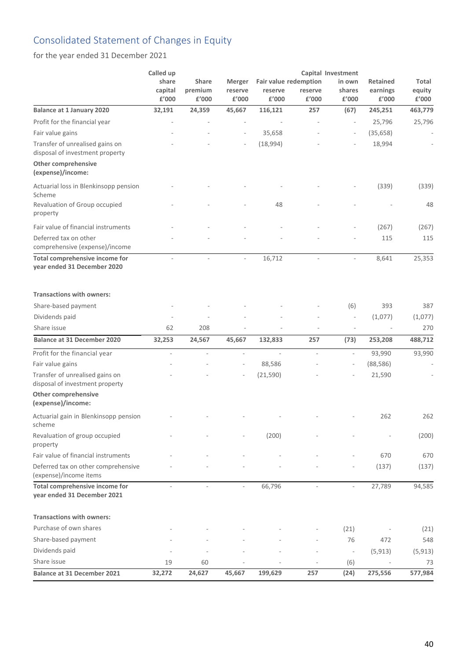## Consolidated Statement of Changes in Equity

for the year ended 31 December 2021

|                                                                    | Called up<br>share<br>capital<br>£'000 | <b>Share</b><br>premium<br>£'000 | Merger<br>reserve<br>£'000 | Fair value redemption<br>reserve<br>£'000 | reserve<br>£'000 | Capital Investment<br>in own<br>shares<br>£'000 | <b>Retained</b><br>earnings<br>£'000 | Total<br>equity<br>£'000 |
|--------------------------------------------------------------------|----------------------------------------|----------------------------------|----------------------------|-------------------------------------------|------------------|-------------------------------------------------|--------------------------------------|--------------------------|
| <b>Balance at 1 January 2020</b>                                   | 32,191                                 | 24,359                           | 45,667                     | 116,121                                   | 257              | (67)                                            | 245,251                              | 463,779                  |
| Profit for the financial year                                      |                                        |                                  |                            |                                           |                  | $\bar{ }$                                       | 25,796                               | 25,796                   |
| Fair value gains                                                   |                                        |                                  |                            | 35,658                                    |                  | $\overline{\phantom{a}}$                        | (35, 658)                            |                          |
| Transfer of unrealised gains on<br>disposal of investment property |                                        |                                  |                            | (18,994)                                  |                  |                                                 | 18,994                               |                          |
| <b>Other comprehensive</b><br>(expense)/income:                    |                                        |                                  |                            |                                           |                  |                                                 |                                      |                          |
| Actuarial loss in Blenkinsopp pension<br>Scheme                    |                                        |                                  |                            |                                           |                  |                                                 | (339)                                | (339)                    |
| Revaluation of Group occupied<br>property                          |                                        |                                  |                            | 48                                        |                  |                                                 |                                      | 48                       |
| Fair value of financial instruments                                |                                        |                                  |                            |                                           |                  |                                                 | (267)                                | (267)                    |
| Deferred tax on other<br>comprehensive (expense)/income            |                                        |                                  |                            |                                           |                  |                                                 | 115                                  | 115                      |
| Total comprehensive income for<br>year ended 31 December 2020      |                                        | $\overline{\phantom{a}}$         | L,                         | 16,712                                    |                  |                                                 | 8,641                                | 25,353                   |
| <b>Transactions with owners:</b>                                   |                                        |                                  |                            |                                           |                  |                                                 |                                      |                          |
| Share-based payment                                                |                                        |                                  |                            |                                           |                  | (6)                                             | 393                                  | 387                      |
| Dividends paid                                                     |                                        |                                  |                            |                                           |                  | $\qquad \qquad -$                               | (1,077)                              | (1,077)                  |
| Share issue                                                        | 62                                     | 208                              |                            |                                           |                  | ÷,                                              |                                      | 270                      |
| <b>Balance at 31 December 2020</b>                                 | 32,253                                 | 24,567                           | 45,667                     | 132,833                                   | 257              | (73)                                            | 253,208                              | 488,712                  |
| Profit for the financial year                                      | ä,                                     | $\bar{a}$                        | ä,                         | ÷.                                        | $\bar{a}$        | $\mathbf{r}$                                    | 93,990                               | 93,990                   |
| Fair value gains                                                   |                                        |                                  | $\overline{\phantom{a}}$   | 88,586                                    |                  | $\overline{\phantom{m}}$                        | (88, 586)                            |                          |
| Transfer of unrealised gains on<br>disposal of investment property |                                        |                                  |                            | (21, 590)                                 |                  |                                                 | 21,590                               |                          |
| <b>Other comprehensive</b><br>(expense)/income:                    |                                        |                                  |                            |                                           |                  |                                                 |                                      |                          |
| Actuarial gain in Blenkinsopp pension<br>scheme                    |                                        |                                  |                            |                                           |                  |                                                 | 262                                  | 262                      |
| Revaluation of group occupied<br>property                          |                                        |                                  |                            | (200)                                     |                  |                                                 |                                      | (200)                    |
| Fair value of financial instruments                                |                                        |                                  |                            |                                           |                  |                                                 | 670                                  | 670                      |
| Deferred tax on other comprehensive<br>(expense)/income items      |                                        |                                  |                            |                                           |                  |                                                 | (137)                                | (137)                    |
| Total comprehensive income for<br>year ended 31 December 2021      |                                        |                                  |                            | 66,796                                    |                  |                                                 | 27,789                               | 94,585                   |
| <b>Transactions with owners:</b>                                   |                                        |                                  |                            |                                           |                  |                                                 |                                      |                          |
| Purchase of own shares                                             |                                        |                                  |                            |                                           |                  | (21)                                            |                                      | (21)                     |
| Share-based payment                                                |                                        |                                  |                            |                                           |                  | 76                                              | 472                                  | 548                      |
| Dividends paid                                                     |                                        |                                  |                            |                                           |                  | $\overline{\phantom{a}}$                        | (5, 913)                             | (5, 913)                 |
| Share issue                                                        | 19                                     | 60                               |                            |                                           |                  | (6)                                             |                                      | 73                       |
| <b>Balance at 31 December 2021</b>                                 | 32,272                                 | 24,627                           | 45,667                     | 199,629                                   | 257              | (24)                                            | 275,556                              | 577,984                  |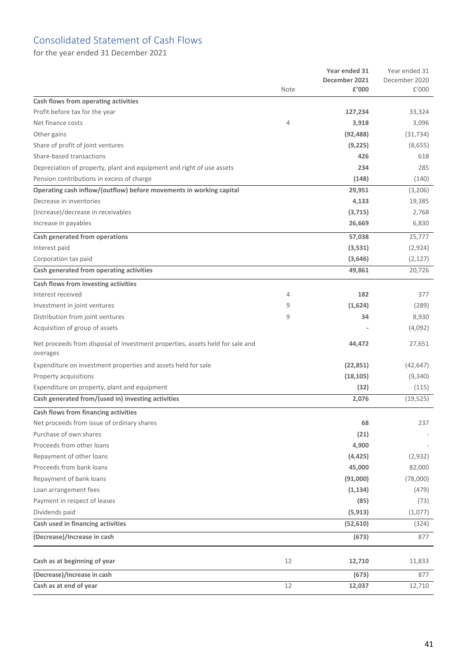### Consolidated Statement of Cash Flows

for the year ended 31 December 2021

|                                                                                           | Note | Year ended 31<br>December 2021<br>£'000 | Year ended 31<br>December 2020<br>£'000 |
|-------------------------------------------------------------------------------------------|------|-----------------------------------------|-----------------------------------------|
| Cash flows from operating activities                                                      |      |                                         |                                         |
| Profit before tax for the year                                                            |      | 127,234                                 | 33,324                                  |
| Net finance costs                                                                         | 4    | 3,918                                   | 3,096                                   |
| Other gains                                                                               |      | (92, 488)                               | (31, 734)                               |
| Share of profit of joint ventures                                                         |      | (9,225)                                 | (8,655)                                 |
| Share-based transactions                                                                  |      | 426                                     | 618                                     |
| Depreciation of property, plant and equipment and right of use assets                     |      | 234                                     | 285                                     |
| Pension contributions in excess of charge                                                 |      | (148)                                   | (140)                                   |
| Operating cash inflow/(outflow) before movements in working capital                       |      | 29,951                                  | (3, 206)                                |
| Decrease in inventories                                                                   |      | 4,133                                   | 19,385                                  |
| (Increase)/decrease in receivables                                                        |      | (3, 715)                                | 2,768                                   |
| Increase in payables                                                                      |      | 26,669                                  | 6,830                                   |
| Cash generated from operations                                                            |      | 57,038                                  | 25,777                                  |
| Interest paid                                                                             |      | (3,531)                                 | (2,924)                                 |
| Corporation tax paid                                                                      |      | (3,646)                                 | (2, 127)                                |
| Cash generated from operating activities                                                  |      | 49,861                                  | 20,726                                  |
| Cash flows from investing activities                                                      |      |                                         |                                         |
| Interest received                                                                         | 4    | 182                                     | 377                                     |
| Investment in joint ventures                                                              | 9    | (1,624)                                 | (289)                                   |
| Distribution from joint ventures                                                          | 9    | 34                                      | 8,930                                   |
| Acquisition of group of assets                                                            |      |                                         | (4,092)                                 |
| Net proceeds from disposal of investment properties, assets held for sale and<br>overages |      | 44,472                                  | 27,651                                  |
| Expenditure on investment properties and assets held for sale                             |      | (22, 851)                               | (42, 647)                               |
| Property acquisitions                                                                     |      | (18, 105)                               | (9,340)                                 |
| Expenditure on property, plant and equipment                                              |      | (32)                                    | (115)                                   |
| Cash generated from/(used in) investing activities                                        |      | 2,076                                   | (19, 525)                               |
| Cash flows from financing activities                                                      |      |                                         |                                         |
| Net proceeds from issue of ordinary shares                                                |      | 68                                      | 237                                     |
| Purchase of own shares                                                                    |      | (21)                                    |                                         |
| Proceeds from other loans                                                                 |      | 4,900                                   |                                         |
| Repayment of other loans                                                                  |      | (4, 425)                                | (2,932)                                 |
| Proceeds from bank loans                                                                  |      | 45,000                                  | 82,000                                  |
| Repayment of bank loans                                                                   |      | (91,000)                                | (78,000)                                |
| Loan arrangement fees                                                                     |      | (1, 134)                                | (479)                                   |
| Payment in respect of leases                                                              |      | (85)                                    | (73)                                    |
| Dividends paid                                                                            |      | (5, 913)                                | (1,077)                                 |
| Cash used in financing activities                                                         |      | (52, 610)                               | (324)                                   |
| (Decrease)/Increase in cash                                                               |      | (673)                                   | 877                                     |
| Cash as at beginning of year                                                              | 12   | 12,710                                  | 11,833                                  |
| (Decrease)/Increase in cash                                                               |      | (673)                                   | 877                                     |
| Cash as at end of year                                                                    | 12   | 12,037                                  | 12,710                                  |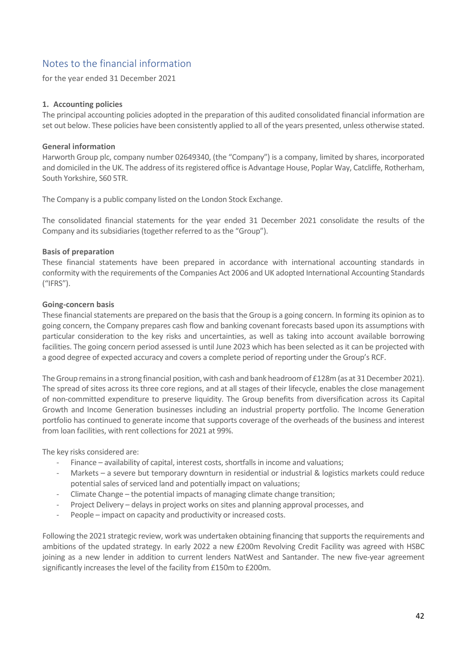### Notes to the financial information

for the year ended 31 December 2021

#### **1. Accounting policies**

The principal accounting policies adopted in the preparation of this audited consolidated financial information are set out below. These policies have been consistently applied to all of the years presented, unless otherwise stated.

#### **General information**

Harworth Group plc, company number 02649340, (the "Company") is a company, limited by shares, incorporated and domiciled in the UK. The address of its registered office is Advantage House, Poplar Way, Catcliffe, Rotherham, South Yorkshire, S60 5TR.

The Company is a public company listed on the London Stock Exchange.

The consolidated financial statements for the year ended 31 December 2021 consolidate the results of the Company and its subsidiaries (together referred to as the "Group").

#### **Basis of preparation**

These financial statements have been prepared in accordance with international accounting standards in conformity with the requirements of the Companies Act 2006 and UK adopted International Accounting Standards ("IFRS").

#### **Going-concern basis**

These financial statements are prepared on the basis that the Group is a going concern. In forming its opinion as to going concern, the Company prepares cash flow and banking covenant forecasts based upon its assumptions with particular consideration to the key risks and uncertainties, as well as taking into account available borrowing facilities. The going concern period assessed is until June 2023 which has been selected as it can be projected with a good degree of expected accuracy and covers a complete period of reporting under the Group's RCF.

The Group remains in a strong financial position, with cash and bank headroom of £128m (as at 31 December 2021). The spread of sites across its three core regions, and at all stages of their lifecycle, enables the close management of non-committed expenditure to preserve liquidity. The Group benefits from diversification across its Capital Growth and Income Generation businesses including an industrial property portfolio. The Income Generation portfolio has continued to generate income that supports coverage of the overheads of the business and interest from loan facilities, with rent collections for 2021 at 99%.

The key risks considered are:

- Finance availability of capital, interest costs, shortfalls in income and valuations;
- Markets a severe but temporary downturn in residential or industrial & logistics markets could reduce potential sales of serviced land and potentially impact on valuations;
- Climate Change the potential impacts of managing climate change transition;
- Project Delivery delays in project works on sites and planning approval processes, and
- People impact on capacity and productivity or increased costs.

Following the 2021 strategic review, work was undertaken obtaining financing that supports the requirements and ambitions of the updated strategy. In early 2022 a new £200m Revolving Credit Facility was agreed with HSBC joining as a new lender in addition to current lenders NatWest and Santander. The new five-year agreement significantly increases the level of the facility from £150m to £200m.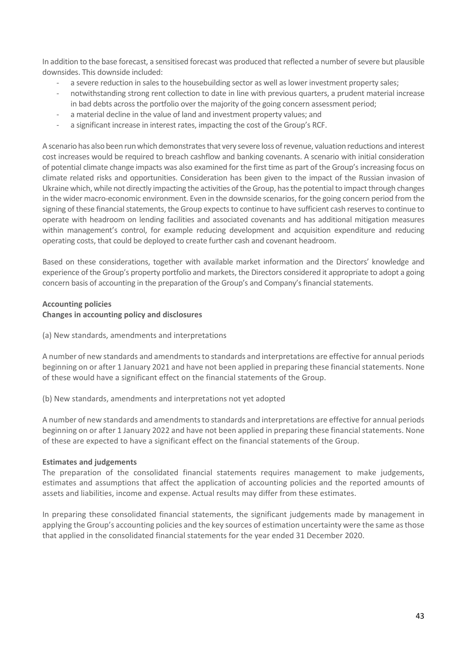In addition to the base forecast, a sensitised forecast was produced that reflected a number of severe but plausible downsides. This downside included:

- a severe reduction in sales to the housebuilding sector as well as lower investment property sales;
- notwithstanding strong rent collection to date in line with previous quarters, a prudent material increase in bad debts across the portfolio over the majority of the going concern assessment period;
- a material decline in the value of land and investment property values; and
- a significant increase in interest rates, impacting the cost of the Group's RCF.

A scenario has also been run which demonstrates that very severe loss of revenue, valuation reductions and interest cost increases would be required to breach cashflow and banking covenants. A scenario with initial consideration of potential climate change impacts was also examined for the first time as part of the Group's increasing focus on climate related risks and opportunities. Consideration has been given to the impact of the Russian invasion of Ukraine which, while not directly impacting the activities of the Group, has the potential to impact through changes in the wider macro-economic environment. Even in the downside scenarios, for the going concern period from the signing of these financial statements, the Group expects to continue to have sufficient cash reserves to continue to operate with headroom on lending facilities and associated covenants and has additional mitigation measures within management's control, for example reducing development and acquisition expenditure and reducing operating costs, that could be deployed to create further cash and covenant headroom.

Based on these considerations, together with available market information and the Directors' knowledge and experience of the Group's property portfolio and markets, the Directors considered it appropriate to adopt a going concern basis of accounting in the preparation of the Group's and Company's financial statements.

#### **Accounting policies**

#### **Changes in accounting policy and disclosures**

(a) New standards, amendments and interpretations

A number of new standards and amendments to standards and interpretations are effective for annual periods beginning on or after 1 January 2021 and have not been applied in preparing these financial statements. None of these would have a significant effect on the financial statements of the Group.

(b) New standards, amendments and interpretations not yet adopted

A number of new standards and amendments to standards and interpretations are effective for annual periods beginning on or after 1 January 2022 and have not been applied in preparing these financial statements. None of these are expected to have a significant effect on the financial statements of the Group.

#### **Estimates and judgements**

The preparation of the consolidated financial statements requires management to make judgements, estimates and assumptions that affect the application of accounting policies and the reported amounts of assets and liabilities, income and expense. Actual results may differ from these estimates.

In preparing these consolidated financial statements, the significant judgements made by management in applying the Group's accounting policies and the key sources of estimation uncertainty were the same as those that applied in the consolidated financial statements for the year ended 31 December 2020.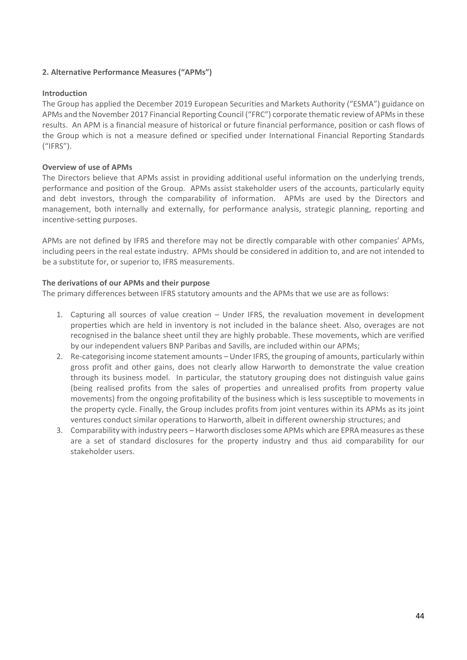#### **2. Alternative Performance Measures ("APMs")**

#### **Introduction**

The Group has applied the December 2019 European Securities and Markets Authority ("ESMA") guidance on APMs and the November 2017 Financial Reporting Council ("FRC") corporate thematic review of APMs in these results. An APM is a financial measure of historical or future financial performance, position or cash flows of the Group which is not a measure defined or specified under International Financial Reporting Standards ("IFRS").

#### **Overview of use of APMs**

The Directors believe that APMs assist in providing additional useful information on the underlying trends, performance and position of the Group. APMs assist stakeholder users of the accounts, particularly equity and debt investors, through the comparability of information. APMs are used by the Directors and management, both internally and externally, for performance analysis, strategic planning, reporting and incentive-setting purposes.

APMs are not defined by IFRS and therefore may not be directly comparable with other companies' APMs, including peers in the real estate industry. APMs should be considered in addition to, and are not intended to be a substitute for, or superior to, IFRS measurements.

#### **The derivations of our APMs and their purpose**

The primary differences between IFRS statutory amounts and the APMs that we use are as follows:

- 1. Capturing all sources of value creation Under IFRS, the revaluation movement in development properties which are held in inventory is not included in the balance sheet. Also, overages are not recognised in the balance sheet until they are highly probable. These movements, which are verified by our independent valuers BNP Paribas and Savills, are included within our APMs;
- 2. Re-categorising income statement amounts Under IFRS, the grouping of amounts, particularly within gross profit and other gains, does not clearly allow Harworth to demonstrate the value creation through its business model. In particular, the statutory grouping does not distinguish value gains (being realised profits from the sales of properties and unrealised profits from property value movements) from the ongoing profitability of the business which is less susceptible to movements in the property cycle. Finally, the Group includes profits from joint ventures within its APMs as its joint ventures conduct similar operations to Harworth, albeit in different ownership structures; and
- 3. Comparability with industry peers Harworth discloses some APMs which are EPRA measures as these are a set of standard disclosures for the property industry and thus aid comparability for our stakeholder users.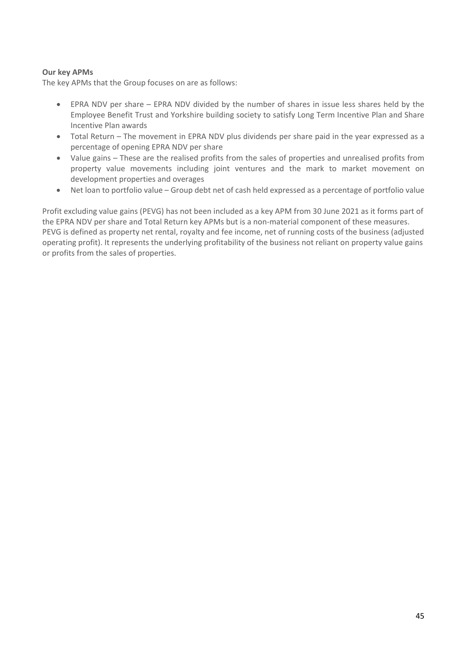#### **Our key APMs**

The key APMs that the Group focuses on are as follows:

- EPRA NDV per share EPRA NDV divided by the number of shares in issue less shares held by the Employee Benefit Trust and Yorkshire building society to satisfy Long Term Incentive Plan and Share Incentive Plan awards
- Total Return The movement in EPRA NDV plus dividends per share paid in the year expressed as a percentage of opening EPRA NDV per share
- Value gains These are the realised profits from the sales of properties and unrealised profits from property value movements including joint ventures and the mark to market movement on development properties and overages
- Net loan to portfolio value Group debt net of cash held expressed as a percentage of portfolio value

Profit excluding value gains (PEVG) has not been included as a key APM from 30 June 2021 as it forms part of the EPRA NDV per share and Total Return key APMs but is a non-material component of these measures. PEVG is defined as property net rental, royalty and fee income, net of running costs of the business (adjusted operating profit). It represents the underlying profitability of the business not reliant on property value gains or profits from the sales of properties.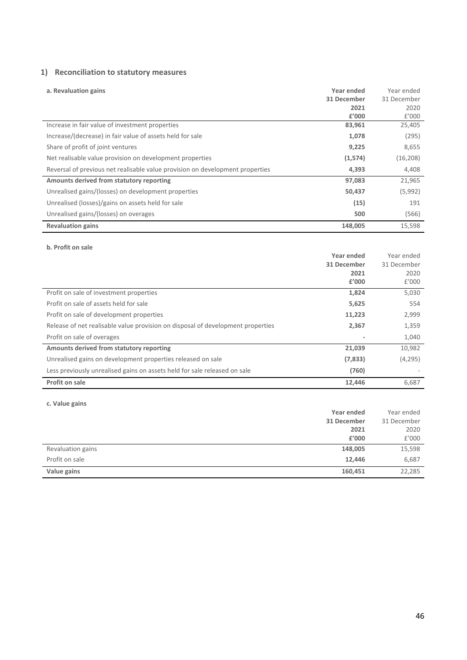#### **1) Reconciliation to statutory measures**

| a. Revaluation gains                                                          | Year ended<br>31 December<br>2021<br>£'000 | Year ended<br>31 December<br>2020<br>f'000 |
|-------------------------------------------------------------------------------|--------------------------------------------|--------------------------------------------|
| Increase in fair value of investment properties                               | 83,961                                     | 25,405                                     |
| Increase/(decrease) in fair value of assets held for sale                     | 1,078                                      | (295)                                      |
| Share of profit of joint ventures                                             | 9,225                                      | 8,655                                      |
| Net realisable value provision on development properties                      | (1,574)                                    | (16, 208)                                  |
| Reversal of previous net realisable value provision on development properties | 4,393                                      | 4,408                                      |
| Amounts derived from statutory reporting                                      | 97,083                                     | 21,965                                     |
| Unrealised gains/(losses) on development properties                           | 50,437                                     | (5,992)                                    |
| Unrealised (losses)/gains on assets held for sale                             | (15)                                       | 191                                        |
| Unrealised gains/(losses) on overages                                         | 500                                        | (566)                                      |
| <b>Revaluation gains</b>                                                      | 148,005                                    | 15,598                                     |

#### **b. Profit on sale**

|                                                                                 | Year ended  | Year ended  |
|---------------------------------------------------------------------------------|-------------|-------------|
|                                                                                 | 31 December | 31 December |
|                                                                                 | 2021        | 2020        |
|                                                                                 | £'000       | f'000       |
| Profit on sale of investment properties                                         | 1,824       | 5,030       |
| Profit on sale of assets held for sale                                          | 5,625       | 554         |
| Profit on sale of development properties                                        | 11,223      | 2,999       |
| Release of net realisable value provision on disposal of development properties | 2,367       | 1,359       |
| Profit on sale of overages                                                      |             | 1,040       |
| Amounts derived from statutory reporting                                        | 21,039      | 10,982      |
| Unrealised gains on development properties released on sale                     | (7,833)     | (4,295)     |
| Less previously unrealised gains on assets held for sale released on sale       | (760)       |             |
| Profit on sale                                                                  | 12,446      | 6,687       |

**c. Value gains** 

|                   | Year ended  | Year ended  |
|-------------------|-------------|-------------|
|                   | 31 December | 31 December |
|                   | 2021        | 2020        |
|                   | £'000       | E'000       |
| Revaluation gains | 148,005     | 15,598      |
| Profit on sale    | 12,446      | 6,687       |
| Value gains       | 160,451     | 22,285      |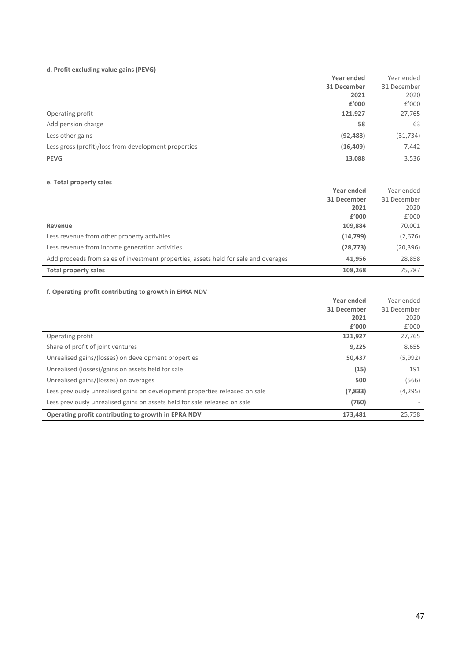#### **d. Profit excluding value gains (PEVG)**

|                                                      | Year ended  | Year ended  |
|------------------------------------------------------|-------------|-------------|
|                                                      | 31 December | 31 December |
|                                                      | 2021        | 2020        |
|                                                      | £'000       | £'000       |
| Operating profit                                     | 121,927     | 27,765      |
| Add pension charge                                   | 58          | 63          |
| Less other gains                                     | (92, 488)   | (31, 734)   |
| Less gross (profit)/loss from development properties | (16, 409)   | 7,442       |
| <b>PEVG</b>                                          | 13,088      | 3,536       |

#### **e. Total property sales**

|                                                                                     | Year ended  | Year ended  |
|-------------------------------------------------------------------------------------|-------------|-------------|
|                                                                                     | 31 December | 31 December |
|                                                                                     | 2021        | 2020        |
|                                                                                     | £'000       | f'000       |
| Revenue                                                                             | 109.884     | 70,001      |
| Less revenue from other property activities                                         | (14, 799)   | (2,676)     |
| Less revenue from income generation activities                                      | (28, 773)   | (20, 396)   |
| Add proceeds from sales of investment properties, assets held for sale and overages | 41.956      | 28,858      |
| <b>Total property sales</b>                                                         | 108.268     | 75,787      |

#### **f. Operating profit contributing to growth in EPRA NDV**

|                                                                             | Year ended  | Year ended  |
|-----------------------------------------------------------------------------|-------------|-------------|
|                                                                             | 31 December | 31 December |
|                                                                             | 2021        | 2020        |
|                                                                             | f'000       | f'000       |
| Operating profit                                                            | 121,927     | 27,765      |
| Share of profit of joint ventures                                           | 9,225       | 8,655       |
| Unrealised gains/(losses) on development properties                         | 50,437      | (5,992)     |
| Unrealised (losses)/gains on assets held for sale                           | (15)        | 191         |
| Unrealised gains/(losses) on overages                                       | 500         | (566)       |
| Less previously unrealised gains on development properties released on sale | (7,833)     | (4, 295)    |
| Less previously unrealised gains on assets held for sale released on sale   | (760)       |             |
| Operating profit contributing to growth in EPRA NDV                         | 173.481     | 25.758      |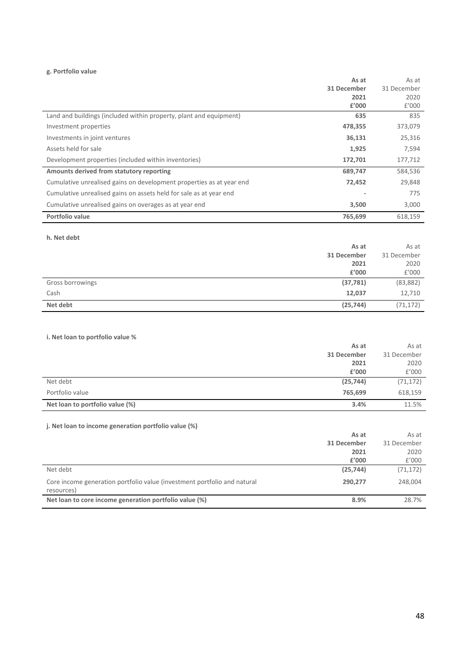#### **g. Portfolio value**

|                                                                      | As at       | As at       |
|----------------------------------------------------------------------|-------------|-------------|
|                                                                      | 31 December | 31 December |
|                                                                      | 2021        | 2020        |
|                                                                      | £'000       | f'000       |
| Land and buildings (included within property, plant and equipment)   | 635         | 835         |
| Investment properties                                                | 478,355     | 373,079     |
| Investments in joint ventures                                        | 36,131      | 25,316      |
| Assets held for sale                                                 | 1,925       | 7,594       |
| Development properties (included within inventories)                 | 172,701     | 177,712     |
| Amounts derived from statutory reporting                             | 689,747     | 584,536     |
| Cumulative unrealised gains on development properties as at year end | 72,452      | 29,848      |
| Cumulative unrealised gains on assets held for sale as at year end   |             | 775         |
| Cumulative unrealised gains on overages as at year end               | 3,500       | 3,000       |
| Portfolio value                                                      | 765,699     | 618,159     |

**h. Net debt**

|                  | As at       | As at       |
|------------------|-------------|-------------|
|                  | 31 December | 31 December |
|                  | 2021        | 2020        |
|                  | £'000       | £'000       |
| Gross borrowings | (37, 781)   | (83, 882)   |
| Cash             | 12,037      | 12,710      |
| Net debt         | (25, 744)   | (71, 172)   |

#### **i. Net loan to portfolio value %**

|                                 | As at       | As at       |
|---------------------------------|-------------|-------------|
|                                 | 31 December | 31 December |
|                                 | 2021        | 2020        |
|                                 | £'000       | f'000       |
| Net debt                        | (25, 744)   | (71, 172)   |
| Portfolio value                 | 765.699     | 618,159     |
| Net loan to portfolio value (%) | 3.4%        | 11.5%       |

### **j. Net loan to income generation portfolio value (%)**

| $\mu$ is the fourt to modific generation portrollo value (79)                          |             |             |
|----------------------------------------------------------------------------------------|-------------|-------------|
|                                                                                        | As at       | As at       |
|                                                                                        | 31 December | 31 December |
|                                                                                        | 2021        | 2020        |
|                                                                                        | £'000       | f'000       |
| Net debt                                                                               | (25, 744)   | (71, 172)   |
| Core income generation portfolio value (investment portfolio and natural<br>resources) | 290,277     | 248,004     |
| Net loan to core income generation portfolio value (%)                                 | 8.9%        | 28.7%       |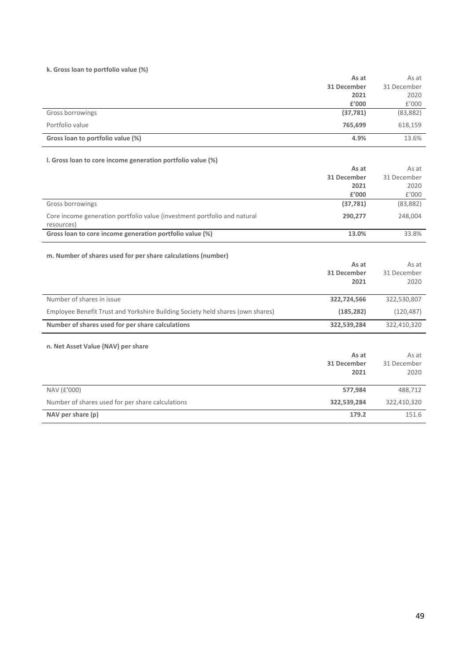#### **k. Gross loan to portfolio value (%)**

|                                                             | As at       | As at       |
|-------------------------------------------------------------|-------------|-------------|
|                                                             | 31 December | 31 December |
|                                                             | 2021        | 2020        |
|                                                             | £'000       | f'000       |
| Gross borrowings                                            | (37, 781)   | (83, 882)   |
| Portfolio value                                             | 765,699     | 618,159     |
| Gross loan to portfolio value (%)                           | 4.9%        | 13.6%       |
| I. Gross loan to core income generation portfolio value (%) |             |             |
|                                                             | As at       | As at       |
|                                                             | 31 December | 31 December |
|                                                             | 2021        | 2020        |
|                                                             | £'000       | f'000       |

| Gross borrowings                                                                       | (37, 781)   | (83, 882)   |
|----------------------------------------------------------------------------------------|-------------|-------------|
| Core income generation portfolio value (investment portfolio and natural<br>resources) | 290,277     | 248,004     |
| Gross loan to core income generation portfolio value (%)                               | 13.0%       | 33.8%       |
| m. Number of shares used for per share calculations (number)                           |             |             |
|                                                                                        | As at       | As at       |
|                                                                                        | 31 December | 31 December |
|                                                                                        | 2021        | 2020        |
| Number of shares in issue                                                              | 322,724,566 | 322,530,807 |
| Employee Benefit Trust and Yorkshire Building Society held shares (own shares)         | (185, 282)  | (120, 487)  |
| Number of shares used for per share calculations                                       | 322,539,284 | 322,410,320 |
| n. Net Asset Value (NAV) per share                                                     |             |             |
|                                                                                        | As at       | As at       |
|                                                                                        | 31 December | 31 December |
|                                                                                        | 2021        | 2020        |
| NAV (£'000)                                                                            | 577,984     | 488,712     |
| Number of shares used for per share calculations                                       | 322,539,284 | 322,410,320 |
| NAV per share (p)                                                                      | 179.2       | 151.6       |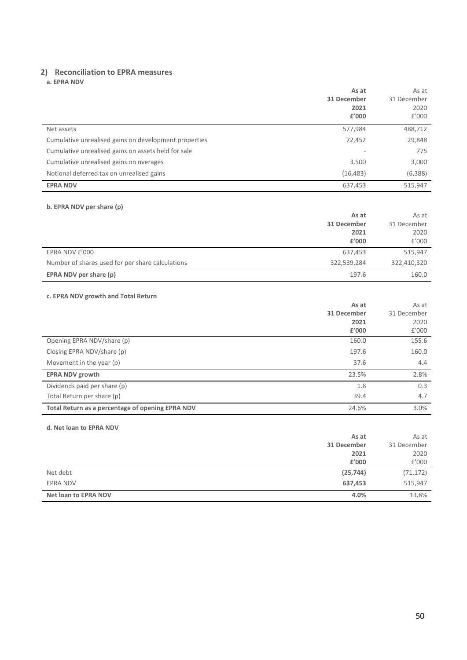### **2) Reconciliation to EPRA measures**

**a. EPRA NDV** 

|                                                       | As at<br>31 December<br>2021<br>£'000 | As at<br>31 December<br>2020<br>f'000 |
|-------------------------------------------------------|---------------------------------------|---------------------------------------|
| Net assets                                            | 577,984                               | 488,712                               |
| Cumulative unrealised gains on development properties | 72,452                                | 29,848                                |
| Cumulative unrealised gains on assets held for sale   |                                       | 775                                   |
| Cumulative unrealised gains on overages               | 3,500                                 | 3,000                                 |
| Notional deferred tax on unrealised gains             | (16, 483)                             | (6,388)                               |
| <b>EPRA NDV</b>                                       | 637,453                               | 515,947                               |

#### **b. EPRA NDV per share (p)**

|                                                  | As at<br>31 December<br>2021<br>£'000 | As at<br>31 December<br>2020<br>f'000 |
|--------------------------------------------------|---------------------------------------|---------------------------------------|
| EPRA NDV £'000                                   | 637,453                               | 515,947                               |
| Number of shares used for per share calculations | 322,539,284                           | 322,410,320                           |
| EPRA NDV per share (p)                           | 197.6                                 | 160.0                                 |

#### **c. EPRA NDV growth and Total Return**

|                                                  | As at       | As at       |
|--------------------------------------------------|-------------|-------------|
|                                                  | 31 December | 31 December |
|                                                  | 2021        | 2020        |
|                                                  | £'000       | £'000       |
| Opening EPRA NDV/share (p)                       | 160.0       | 155.6       |
| Closing EPRA NDV/share (p)                       | 197.6       | 160.0       |
| Movement in the year (p)                         | 37.6        | 4.4         |
| <b>EPRA NDV growth</b>                           | 23.5%       | 2.8%        |
| Dividends paid per share (p)                     | 1.8         | 0.3         |
| Total Return per share (p)                       | 39.4        | 4.7         |
| Total Return as a percentage of opening EPRA NDV | 24.6%       | 3.0%        |

#### **d. Net loan to EPRA NDV**

| $U: I \times I \cup I \times I \times I \times I \times I \times I$ |             |             |
|---------------------------------------------------------------------|-------------|-------------|
|                                                                     | As at       | As at       |
|                                                                     | 31 December | 31 December |
|                                                                     | 2021        | 2020        |
|                                                                     | £'000       | f'000       |
| Net debt                                                            | (25, 744)   | (71, 172)   |
| <b>EPRA NDV</b>                                                     | 637,453     | 515,947     |
| <b>Net loan to EPRA NDV</b>                                         | 4.0%        | 13.8%       |
|                                                                     |             |             |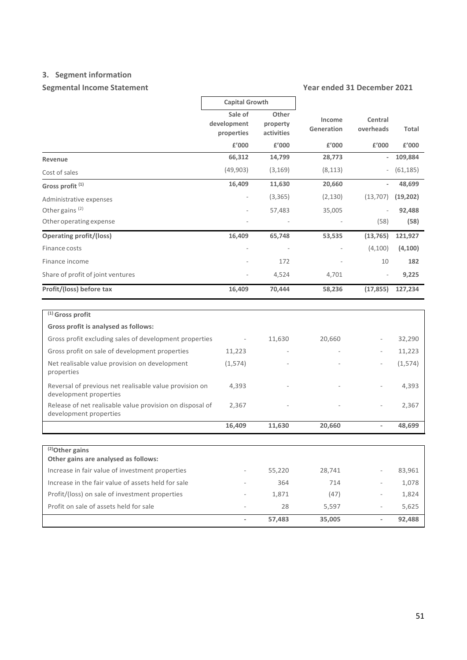### **3. Segment information**

### **Segmental Income Statement Year ended 31 December 2021**

|                                                                                    | <b>Capital Growth</b>                |                                 |                      |                          |           |
|------------------------------------------------------------------------------------|--------------------------------------|---------------------------------|----------------------|--------------------------|-----------|
|                                                                                    | Sale of<br>development<br>properties | Other<br>property<br>activities | Income<br>Generation | Central<br>overheads     | Total     |
|                                                                                    | £'000                                | £'000                           | £'000                | £'000                    | £'000     |
| Revenue                                                                            | 66,312                               | 14,799                          | 28,773               |                          | 109,884   |
| Cost of sales                                                                      | (49,903)                             | (3, 169)                        | (8, 113)             |                          | (61, 185) |
| Gross profit <sup>(1)</sup>                                                        | 16,409                               | 11.630                          | 20,660               |                          | 48,699    |
| Administrative expenses                                                            |                                      | (3,365)                         | (2, 130)             | (13, 707)                | (19, 202) |
| Other gains <sup>(2)</sup>                                                         |                                      | 57,483                          | 35,005               |                          | 92,488    |
| Other operating expense                                                            |                                      |                                 |                      | (58)                     | (58)      |
| <b>Operating profit/(loss)</b>                                                     | 16,409                               | 65,748                          | 53,535               | (13, 765)                | 121,927   |
| Finance costs                                                                      |                                      |                                 |                      | (4, 100)                 | (4, 100)  |
| Finance income                                                                     |                                      | 172                             |                      | 10                       | 182       |
| Share of profit of joint ventures                                                  |                                      | 4,524                           | 4,701                |                          | 9,225     |
| Profit/(loss) before tax                                                           | 16,409                               | 70,444                          | 58,236               | (17, 855)                | 127,234   |
|                                                                                    |                                      |                                 |                      |                          |           |
| $(1)$ Gross profit                                                                 |                                      |                                 |                      |                          |           |
| Gross profit is analysed as follows:                                               |                                      |                                 |                      |                          |           |
| Gross profit excluding sales of development properties                             | $\overline{\phantom{a}}$             | 11,630                          | 20,660               |                          | 32,290    |
| Gross profit on sale of development properties                                     | 11,223                               |                                 |                      |                          | 11,223    |
| Net realisable value provision on development<br>properties                        | (1,574)                              |                                 |                      |                          | (1, 574)  |
| Reversal of previous net realisable value provision on<br>development properties   | 4,393                                |                                 |                      |                          | 4,393     |
| Release of net realisable value provision on disposal of<br>development properties | 2,367                                |                                 |                      |                          | 2,367     |
|                                                                                    | 16,409                               | 11,630                          | 20,660               |                          | 48,699    |
|                                                                                    |                                      |                                 |                      |                          |           |
| $\sqrt{(2)}$ Other gains<br>Other gains are analysed as follows:                   |                                      |                                 |                      |                          |           |
| Increase in fair value of investment properties                                    |                                      | 55,220                          | 28,741               |                          | 83,961    |
| Increase in the fair value of assets held for sale                                 |                                      | 364                             | 714                  |                          | 1,078     |
| Profit/(loss) on sale of investment properties                                     |                                      | 1,871                           | (47)                 |                          | 1,824     |
| Profit on sale of assets held for sale                                             |                                      | 28                              | 5,597                | ÷,                       | 5,625     |
|                                                                                    |                                      | 57,483                          | 35,005               | $\overline{\phantom{a}}$ | 92,488    |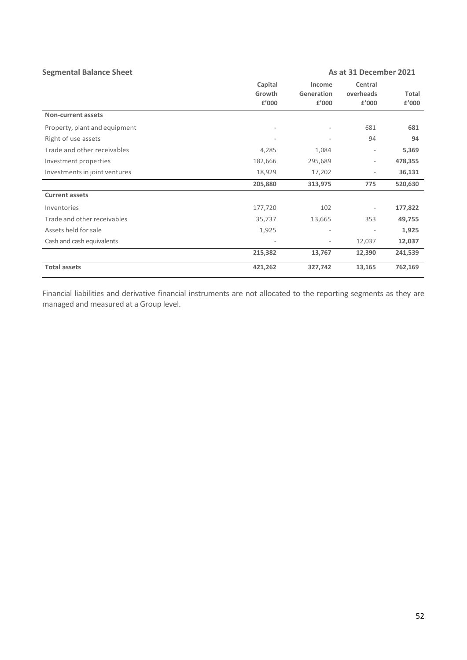| <b>Segmental Balance Sheet</b> |                            | As at 31 December 2021        |                               |                |
|--------------------------------|----------------------------|-------------------------------|-------------------------------|----------------|
|                                | Capital<br>Growth<br>£'000 | Income<br>Generation<br>£'000 | Central<br>overheads<br>£'000 | Total<br>£'000 |
| <b>Non-current assets</b>      |                            |                               |                               |                |
| Property, plant and equipment  |                            |                               | 681                           | 681            |
| Right of use assets            |                            | $\overline{\phantom{a}}$      | 94                            | 94             |
| Trade and other receivables    | 4,285                      | 1,084                         | ٠                             | 5,369          |
| Investment properties          | 182,666                    | 295,689                       | $\overline{\phantom{0}}$      | 478,355        |
| Investments in joint ventures  | 18,929                     | 17,202                        | ۰                             | 36,131         |
|                                | 205,880                    | 313,975                       | 775                           | 520,630        |
| <b>Current assets</b>          |                            |                               |                               |                |
| Inventories                    | 177,720                    | 102                           | ٠                             | 177,822        |
| Trade and other receivables    | 35,737                     | 13,665                        | 353                           | 49,755         |
| Assets held for sale           | 1,925                      | $\overline{\phantom{a}}$      | $\bar{ }$                     | 1,925          |
| Cash and cash equivalents      |                            | $\overline{\phantom{a}}$      | 12,037                        | 12,037         |
|                                | 215,382                    | 13,767                        | 12,390                        | 241,539        |
| <b>Total assets</b>            | 421,262                    | 327,742                       | 13,165                        | 762,169        |

Financial liabilities and derivative financial instruments are not allocated to the reporting segments as they are managed and measured at a Group level.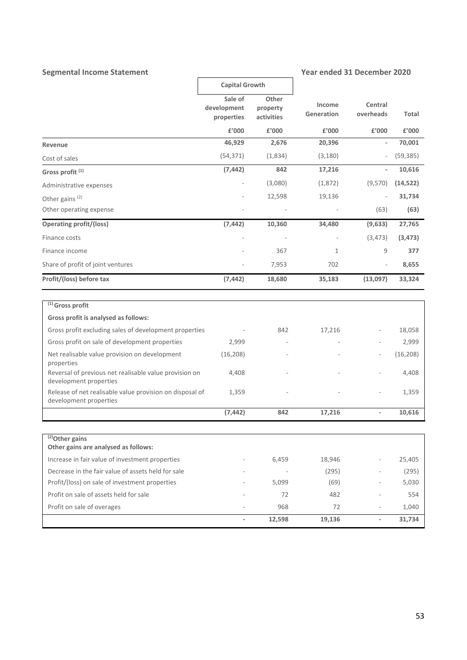## Segmental Income Statement Year ended 31 December 2020

|                                                                                    | <b>Capital Growth</b>                |                                 |                                              |                          |           |
|------------------------------------------------------------------------------------|--------------------------------------|---------------------------------|----------------------------------------------|--------------------------|-----------|
|                                                                                    | Sale of<br>development<br>properties | Other<br>property<br>activities | Income<br>Central<br>Generation<br>overheads |                          | Total     |
|                                                                                    | £'000                                | £'000                           | £'000                                        | £'000                    | £'000     |
| Revenue                                                                            | 46,929                               | 2,676                           | 20,396                                       | $\blacksquare$           | 70,001    |
| Cost of sales                                                                      | (54, 371)                            | (1,834)                         | (3, 180)                                     |                          | (59, 385) |
| Gross profit <sup>(1)</sup>                                                        | (7, 442)                             | 842                             | 17,216                                       |                          | 10,616    |
| Administrative expenses                                                            |                                      | (3,080)                         | (1,872)                                      | (9,570)                  | (14, 522) |
| Other gains <sup>(2)</sup>                                                         |                                      | 12,598                          | 19,136                                       |                          | 31,734    |
| Other operating expense                                                            |                                      |                                 |                                              | (63)                     | (63)      |
| <b>Operating profit/(loss)</b>                                                     | (7, 442)                             | 10,360                          | 34,480                                       | (9,633)                  | 27,765    |
| Finance costs                                                                      |                                      |                                 |                                              | (3, 473)                 | (3, 473)  |
| Finance income                                                                     |                                      | 367                             | 1                                            | 9                        | 377       |
| Share of profit of joint ventures                                                  |                                      | 7,953                           | 702                                          |                          | 8,655     |
| Profit/(loss) before tax                                                           | (7, 442)                             | 18,680                          | 35,183                                       | (13,097)                 | 33,324    |
| $(1)$ Gross profit<br>Gross profit is analysed as follows:                         |                                      |                                 |                                              |                          |           |
| Gross profit excluding sales of development properties                             |                                      | 842                             | 17,216                                       |                          | 18,058    |
| Gross profit on sale of development properties                                     | 2,999                                |                                 |                                              |                          | 2,999     |
| Net realisable value provision on development<br>properties                        | (16, 208)                            |                                 |                                              |                          | (16, 208) |
| Reversal of previous net realisable value provision on<br>development properties   | 4,408                                |                                 |                                              |                          | 4,408     |
| Release of net realisable value provision on disposal of<br>development properties | 1,359                                |                                 |                                              |                          | 1,359     |
|                                                                                    | (7, 442)                             | 842                             | 17,216                                       |                          | 10,616    |
|                                                                                    |                                      |                                 |                                              |                          |           |
| $\sqrt{(2)}$ Other gains<br>Other gains are analysed as follows:                   |                                      |                                 |                                              |                          |           |
| Increase in fair value of investment properties                                    |                                      | 6,459                           | 18,946                                       | $\overline{\phantom{a}}$ | 25,405    |
| Decrease in the fair value of assets held for sale                                 |                                      |                                 | (295)                                        |                          | (295)     |
| Profit/(loss) on sale of investment properties                                     |                                      | 5,099                           | (69)                                         |                          | 5,030     |
| Profit on sale of assets held for sale                                             |                                      | 72                              | 482                                          |                          | 554       |
| Profit on sale of overages                                                         |                                      | 968                             | 72                                           |                          | 1,040     |
|                                                                                    | $\overline{\phantom{a}}$             | 12,598                          | 19,136                                       | $\overline{\phantom{a}}$ | 31,734    |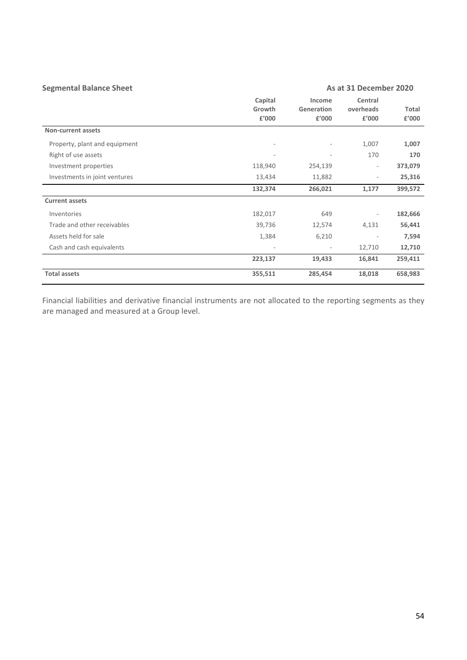| <b>Segmental Balance Sheet</b> |                            |                               | As at 31 December 2020        |                |  |  |
|--------------------------------|----------------------------|-------------------------------|-------------------------------|----------------|--|--|
|                                | Capital<br>Growth<br>£'000 | Income<br>Generation<br>£'000 | Central<br>overheads<br>£'000 | Total<br>£'000 |  |  |
| <b>Non-current assets</b>      |                            |                               |                               |                |  |  |
| Property, plant and equipment  |                            | ÷                             | 1,007                         | 1,007          |  |  |
| Right of use assets            |                            |                               | 170                           | 170            |  |  |
| Investment properties          | 118,940                    | 254,139                       | $\overline{\phantom{a}}$      | 373,079        |  |  |
| Investments in joint ventures  | 13,434                     | 11,882                        | $\overline{\phantom{a}}$      | 25,316         |  |  |
|                                | 132,374                    | 266,021                       | 1,177                         | 399,572        |  |  |
| <b>Current assets</b>          |                            |                               |                               |                |  |  |
| Inventories                    | 182,017                    | 649                           | $\overline{\phantom{a}}$      | 182,666        |  |  |
| Trade and other receivables    | 39,736                     | 12,574                        | 4,131                         | 56,441         |  |  |
| Assets held for sale           | 1,384                      | 6,210                         |                               | 7,594          |  |  |
| Cash and cash equivalents      | ٠                          | ٠                             | 12,710                        | 12,710         |  |  |
|                                | 223,137                    | 19,433                        | 16,841                        | 259,411        |  |  |
| <b>Total assets</b>            | 355,511                    | 285,454                       | 18,018                        | 658,983        |  |  |

Financial liabilities and derivative financial instruments are not allocated to the reporting segments as they are managed and measured at a Group level.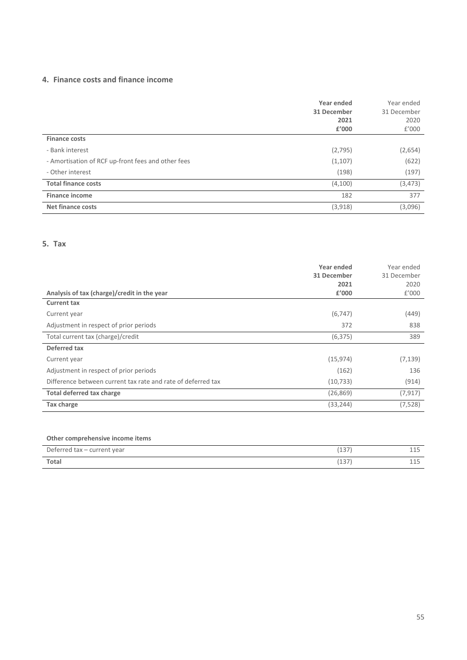#### **4. Finance costs and finance income**

|                                                    | Year ended<br>31 December<br>2021 | Year ended<br>31 December<br>2020 |
|----------------------------------------------------|-----------------------------------|-----------------------------------|
|                                                    | £'000                             | f'000                             |
| <b>Finance costs</b>                               |                                   |                                   |
| - Bank interest                                    | (2,795)                           | (2,654)                           |
| - Amortisation of RCF up-front fees and other fees | (1, 107)                          | (622)                             |
| - Other interest                                   | (198)                             | (197)                             |
| <b>Total finance costs</b>                         | (4,100)                           | (3, 473)                          |
| <b>Finance income</b>                              | 182                               | 377                               |
| <b>Net finance costs</b>                           | (3,918)                           | (3,096)                           |

#### **5. Tax**

| Analysis of tax (charge)/credit in the year                  | Year ended<br>31 December<br>2021<br>£'000 | Year ended<br>31 December<br>2020<br>f'000 |
|--------------------------------------------------------------|--------------------------------------------|--------------------------------------------|
| <b>Current tax</b>                                           |                                            |                                            |
| Current year                                                 | (6, 747)                                   | (449)                                      |
| Adjustment in respect of prior periods                       | 372                                        | 838                                        |
| Total current tax (charge)/credit                            | (6, 375)                                   | 389                                        |
| Deferred tax                                                 |                                            |                                            |
| Current year                                                 | (15, 974)                                  | (7, 139)                                   |
| Adjustment in respect of prior periods                       | (162)                                      | 136                                        |
| Difference between current tax rate and rate of deferred tax | (10, 733)                                  | (914)                                      |
| Total deferred tax charge                                    | (26, 869)                                  | (7, 917)                                   |
| Tax charge                                                   | (33, 244)                                  | (7,528)                                    |

### **Other comprehensive income items**

| Deferred tax - current year | 227            | --- |
|-----------------------------|----------------|-----|
| <b>Total</b>                | 227<br>( L J / | --- |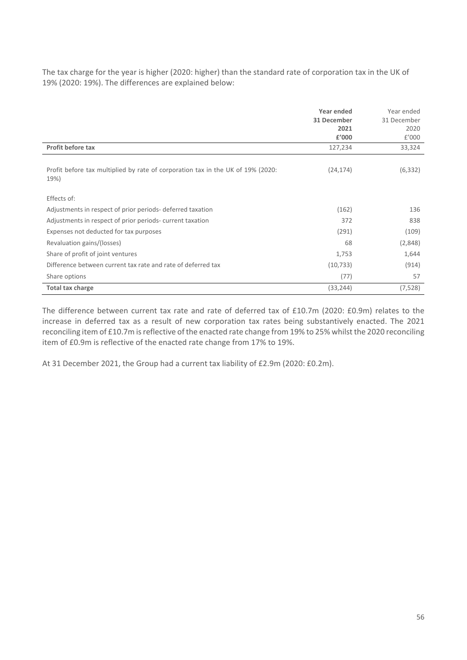The tax charge for the year is higher (2020: higher) than the standard rate of corporation tax in the UK of 19% (2020: 19%). The differences are explained below:

|                                                                                 | Year ended    | Year ended    |
|---------------------------------------------------------------------------------|---------------|---------------|
|                                                                                 | 31 December   | 31 December   |
|                                                                                 | 2021<br>£'000 | 2020<br>f'000 |
|                                                                                 |               |               |
| <b>Profit before tax</b>                                                        | 127,234       | 33,324        |
|                                                                                 |               |               |
| Profit before tax multiplied by rate of corporation tax in the UK of 19% (2020: | (24, 174)     | (6, 332)      |
| 19%)                                                                            |               |               |
|                                                                                 |               |               |
| Effects of:                                                                     |               |               |
| Adjustments in respect of prior periods-deferred taxation                       | (162)         | 136           |
| Adjustments in respect of prior periods- current taxation                       | 372           | 838           |
| Expenses not deducted for tax purposes                                          | (291)         | (109)         |
| Revaluation gains/(losses)                                                      | 68            | (2,848)       |
| Share of profit of joint ventures                                               | 1,753         | 1,644         |
| Difference between current tax rate and rate of deferred tax                    | (10, 733)     | (914)         |
| Share options                                                                   | (77)          | 57            |
| Total tax charge                                                                | (33, 244)     | (7,528)       |

The difference between current tax rate and rate of deferred tax of £10.7m (2020: £0.9m) relates to the increase in deferred tax as a result of new corporation tax rates being substantively enacted. The 2021 reconciling item of £10.7m is reflective of the enacted rate change from 19% to 25% whilst the 2020 reconciling item of £0.9m is reflective of the enacted rate change from 17% to 19%.

At 31 December 2021, the Group had a current tax liability of £2.9m (2020: £0.2m).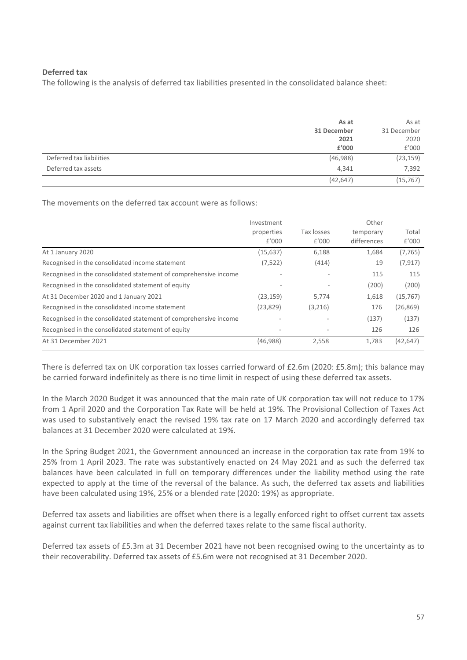#### **Deferred tax**

The following is the analysis of deferred tax liabilities presented in the consolidated balance sheet:

|                          | As at       | As at       |
|--------------------------|-------------|-------------|
|                          | 31 December | 31 December |
|                          | 2021        | 2020        |
|                          | £'000       | £'000       |
| Deferred tax liabilities | (46,988)    | (23, 159)   |
| Deferred tax assets      | 4,341       | 7,392       |
|                          | (42, 647)   | (15, 767)   |

The movements on the deferred tax account were as follows:

|                                                                  | Investment               |            | Other       |           |
|------------------------------------------------------------------|--------------------------|------------|-------------|-----------|
|                                                                  | properties               | Tax losses | temporary   | Total     |
|                                                                  | f'000                    | f'000      | differences | f'000     |
| At 1 January 2020                                                | (15, 637)                | 6,188      | 1,684       | (7, 765)  |
| Recognised in the consolidated income statement                  | (7, 522)                 | (414)      | 19          | (7, 917)  |
| Recognised in the consolidated statement of comprehensive income |                          |            | 115         | 115       |
| Recognised in the consolidated statement of equity               |                          |            | (200)       | (200)     |
| At 31 December 2020 and 1 January 2021                           | (23, 159)                | 5,774      | 1,618       | (15, 767) |
| Recognised in the consolidated income statement                  | (23, 829)                | (3,216)    | 176         | (26, 869) |
| Recognised in the consolidated statement of comprehensive income | $\overline{\phantom{a}}$ |            | (137)       | (137)     |
| Recognised in the consolidated statement of equity               |                          |            | 126         | 126       |
| At 31 December 2021                                              | (46,988)                 | 2,558      | 1,783       | (42, 647) |

There is deferred tax on UK corporation tax losses carried forward of £2.6m (2020: £5.8m); this balance may be carried forward indefinitely as there is no time limit in respect of using these deferred tax assets.

In the March 2020 Budget it was announced that the main rate of UK corporation tax will not reduce to 17% from 1 April 2020 and the Corporation Tax Rate will be held at 19%. The Provisional Collection of Taxes Act was used to substantively enact the revised 19% tax rate on 17 March 2020 and accordingly deferred tax balances at 31 December 2020 were calculated at 19%.

In the Spring Budget 2021, the Government announced an increase in the corporation tax rate from 19% to 25% from 1 April 2023. The rate was substantively enacted on 24 May 2021 and as such the deferred tax balances have been calculated in full on temporary differences under the liability method using the rate expected to apply at the time of the reversal of the balance. As such, the deferred tax assets and liabilities have been calculated using 19%, 25% or a blended rate (2020: 19%) as appropriate.

Deferred tax assets and liabilities are offset when there is a legally enforced right to offset current tax assets against current tax liabilities and when the deferred taxes relate to the same fiscal authority.

Deferred tax assets of £5.3m at 31 December 2021 have not been recognised owing to the uncertainty as to their recoverability. Deferred tax assets of £5.6m were not recognised at 31 December 2020.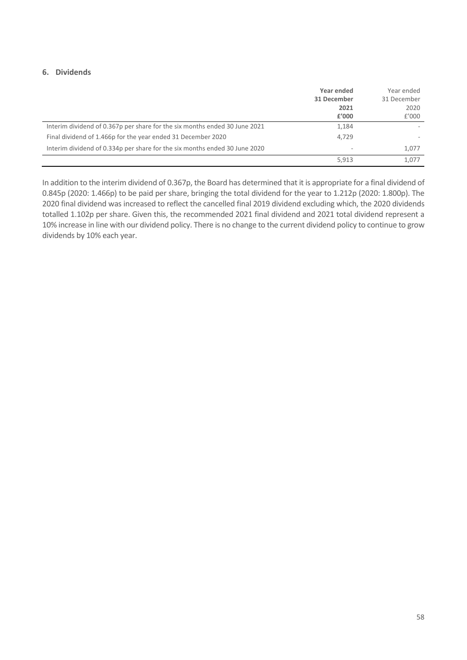#### **6. Dividends**

|                                                                            | Year ended<br>31 December<br>2021<br>f'000 | Year ended<br>31 December<br>2020<br>f'000 |
|----------------------------------------------------------------------------|--------------------------------------------|--------------------------------------------|
| Interim dividend of 0.367p per share for the six months ended 30 June 2021 | 1,184                                      |                                            |
| Final dividend of 1.466p for the year ended 31 December 2020               | 4.729                                      |                                            |
| Interim dividend of 0.334p per share for the six months ended 30 June 2020 | $\overline{\phantom{a}}$                   | 1.077                                      |
|                                                                            | 5,913                                      | 1.077                                      |

In addition to the interim dividend of 0.367p, the Board has determined that it is appropriate for a final dividend of 0.845p (2020: 1.466p) to be paid per share, bringing the total dividend for the year to 1.212p (2020: 1.800p). The 2020 final dividend was increased to reflect the cancelled final 2019 dividend excluding which, the 2020 dividends totalled 1.102p per share. Given this, the recommended 2021 final dividend and 2021 total dividend represent a 10% increase in line with our dividend policy. There is no change to the current dividend policy to continue to grow dividends by 10% each year.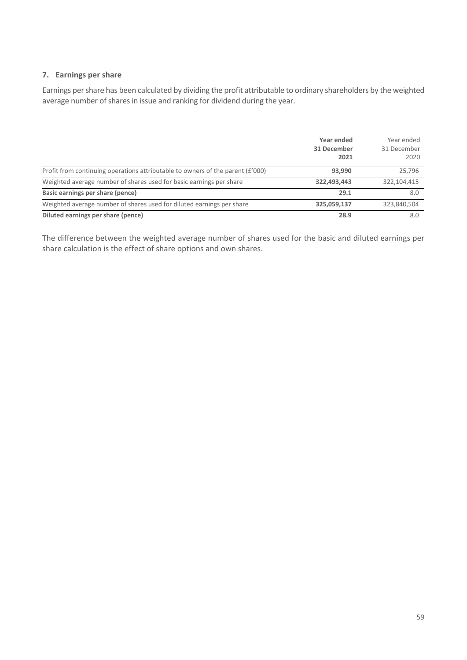#### **7. Earnings per share**

Earnings per share has been calculated by dividing the profit attributable to ordinary shareholders by the weighted average number of shares in issue and ranking for dividend during the year.

|                                                                                | Year ended<br>31 December<br>2021 | Year ended<br>31 December<br>2020 |
|--------------------------------------------------------------------------------|-----------------------------------|-----------------------------------|
| Profit from continuing operations attributable to owners of the parent (£'000) | 93,990                            | 25,796                            |
| Weighted average number of shares used for basic earnings per share            | 322,493,443                       | 322,104,415                       |
| Basic earnings per share (pence)                                               | 29.1                              | 8.0                               |
| Weighted average number of shares used for diluted earnings per share          | 325,059,137                       | 323,840,504                       |
| Diluted earnings per share (pence)                                             | 28.9                              | 8.0                               |

The difference between the weighted average number of shares used for the basic and diluted earnings per share calculation is the effect of share options and own shares.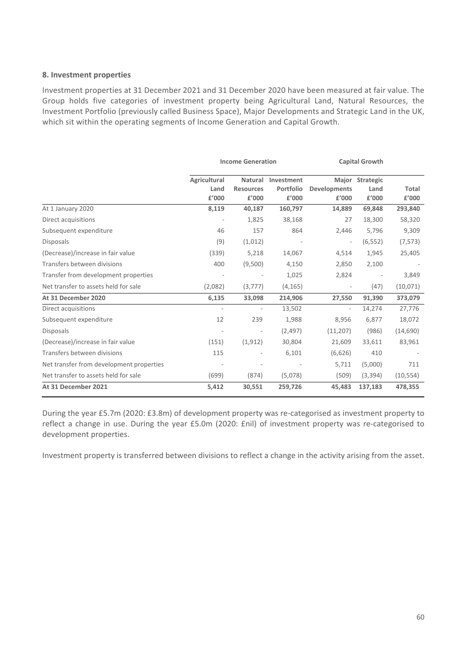#### **8. Investment properties**

Investment properties at 31 December 2021 and 31 December 2020 have been measured at fair value. The Group holds five categories of investment property being Agricultural Land, Natural Resources, the Investment Portfolio (previously called Business Space), Major Developments and Strategic Land in the UK, which sit within the operating segments of Income Generation and Capital Growth.

|                                          | <b>Income Generation</b>      |                                      | <b>Capital Growth</b>            |                              |                                  |                       |
|------------------------------------------|-------------------------------|--------------------------------------|----------------------------------|------------------------------|----------------------------------|-----------------------|
|                                          | Agricultural<br>Land<br>£'000 | Natural<br><b>Resources</b><br>£'000 | Investment<br>Portfolio<br>£'000 | <b>Developments</b><br>£'000 | Major Strategic<br>Land<br>£'000 | <b>Total</b><br>£'000 |
| At 1 January 2020                        | 8,119                         | 40,187                               | 160,797                          | 14,889                       | 69,848                           | 293,840               |
| Direct acquisitions                      |                               | 1,825                                | 38,168                           | 27                           | 18,300                           | 58,320                |
| Subsequent expenditure                   | 46                            | 157                                  | 864                              | 2,446                        | 5,796                            | 9,309                 |
| <b>Disposals</b>                         | (9)                           | (1,012)                              |                                  | $\overline{\phantom{a}}$     | (6, 552)                         | (7, 573)              |
| (Decrease)/increase in fair value        | (339)                         | 5,218                                | 14,067                           | 4,514                        | 1,945                            | 25,405                |
| Transfers between divisions              | 400                           | (9,500)                              | 4,150                            | 2,850                        | 2,100                            |                       |
| Transfer from development properties     |                               | $\overline{\phantom{a}}$             | 1,025                            | 2,824                        |                                  | 3,849                 |
| Net transfer to assets held for sale     | (2,082)                       | (3,777)                              | (4, 165)                         | $\overline{\phantom{a}}$     | (47)                             | (10,071)              |
| At 31 December 2020                      | 6,135                         | 33,098                               | 214,906                          | 27,550                       | 91,390                           | 373,079               |
| Direct acquisitions                      | $\overline{\phantom{a}}$      | $\overline{\phantom{a}}$             | 13,502                           | $\overline{\phantom{a}}$     | 14,274                           | 27,776                |
| Subsequent expenditure                   | 12                            | 239                                  | 1,988                            | 8,956                        | 6,877                            | 18,072                |
| <b>Disposals</b>                         |                               |                                      | (2, 497)                         | (11,207)                     | (986)                            | (14, 690)             |
| (Decrease)/increase in fair value        | (151)                         | (1, 912)                             | 30,804                           | 21,609                       | 33,611                           | 83,961                |
| Transfers between divisions              | 115                           |                                      | 6,101                            | (6,626)                      | 410                              |                       |
| Net transfer from development properties |                               |                                      |                                  | 5,711                        | (5,000)                          | 711                   |
| Net transfer to assets held for sale     | (699)                         | (874)                                | (5,078)                          | (509)                        | (3,394)                          | (10, 554)             |
| At 31 December 2021                      | 5,412                         | 30,551                               | 259,726                          | 45,483                       | 137,183                          | 478,355               |

During the year £5.7m (2020: £3.8m) of development property was re-categorised as investment property to reflect a change in use. During the year £5.0m (2020: £nil) of investment property was re-categorised to development properties.

Investment property is transferred between divisions to reflect a change in the activity arising from the asset.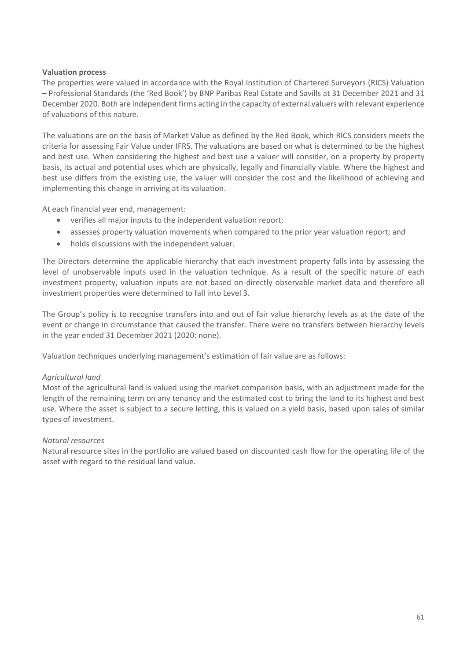#### **Valuation process**

The properties were valued in accordance with the Royal Institution of Chartered Surveyors (RICS) Valuation – Professional Standards (the 'Red Book') by BNP Paribas Real Estate and Savills at 31 December 2021 and 31 December 2020. Both are independent firms acting in the capacity of external valuers with relevant experience of valuations of this nature.

The valuations are on the basis of Market Value as defined by the Red Book, which RICS considers meets the criteria for assessing Fair Value under IFRS. The valuations are based on what is determined to be the highest and best use. When considering the highest and best use a valuer will consider, on a property by property basis, its actual and potential uses which are physically, legally and financially viable. Where the highest and best use differs from the existing use, the valuer will consider the cost and the likelihood of achieving and implementing this change in arriving at its valuation.

At each financial year end, management:

- verifies all major inputs to the independent valuation report;
- assesses property valuation movements when compared to the prior year valuation report; and
- holds discussions with the independent valuer.

The Directors determine the applicable hierarchy that each investment property falls into by assessing the level of unobservable inputs used in the valuation technique. As a result of the specific nature of each investment property, valuation inputs are not based on directly observable market data and therefore all investment properties were determined to fall into Level 3.

The Group's policy is to recognise transfers into and out of fair value hierarchy levels as at the date of the event or change in circumstance that caused the transfer. There were no transfers between hierarchy levels in the year ended 31 December 2021 (2020: none).

Valuation techniques underlying management's estimation of fair value are as follows:

#### *Agricultural land*

Most of the agricultural land is valued using the market comparison basis, with an adjustment made for the length of the remaining term on any tenancy and the estimated cost to bring the land to its highest and best use. Where the asset is subject to a secure letting, this is valued on a yield basis, based upon sales of similar types of investment.

#### *Natural resources*

Natural resource sites in the portfolio are valued based on discounted cash flow for the operating life of the asset with regard to the residual land value.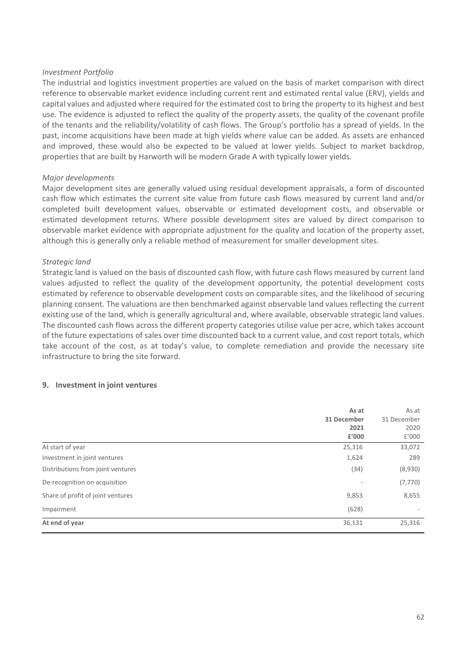#### *Investment Portfolio*

The industrial and logistics investment properties are valued on the basis of market comparison with direct reference to observable market evidence including current rent and estimated rental value (ERV), yields and capital values and adjusted where required for the estimated cost to bring the property to its highest and best use. The evidence is adjusted to reflect the quality of the property assets, the quality of the covenant profile of the tenants and the reliability/volatility of cash flows. The Group's portfolio has a spread of yields. In the past, income acquisitions have been made at high yields where value can be added. As assets are enhanced and improved, these would also be expected to be valued at lower yields. Subject to market backdrop, properties that are built by Harworth will be modern Grade A with typically lower yields.

#### *Major developments*

Major development sites are generally valued using residual development appraisals, a form of discounted cash flow which estimates the current site value from future cash flows measured by current land and/or completed built development values, observable or estimated development costs, and observable or estimated development returns. Where possible development sites are valued by direct comparison to observable market evidence with appropriate adjustment for the quality and location of the property asset, although this is generally only a reliable method of measurement for smaller development sites.

#### *Strategic land*

Strategic land is valued on the basis of discounted cash flow, with future cash flows measured by current land values adjusted to reflect the quality of the development opportunity, the potential development costs estimated by reference to observable development costs on comparable sites, and the likelihood of securing planning consent. The valuations are then benchmarked against observable land values reflecting the current existing use of the land, which is generally agricultural and, where available, observable strategic land values. The discounted cash flows across the different property categories utilise value per acre, which takes account of the future expectations of sales over time discounted back to a current value, and cost report totals, which take account of the cost, as at today's value, to complete remediation and provide the necessary site infrastructure to bring the site forward.

#### **9. Investment in joint ventures**

|                                   | As at                    | As at       |
|-----------------------------------|--------------------------|-------------|
|                                   | 31 December              | 31 December |
|                                   | 2021                     | 2020        |
|                                   | £'000                    | f'000       |
| At start of year                  | 25,316                   | 33,072      |
| Investment in joint ventures      | 1,624                    | 289         |
| Distributions from joint ventures | (34)                     | (8,930)     |
| De-recognition on acquisition     | $\overline{\phantom{a}}$ | (7, 770)    |
| Share of profit of joint ventures | 9,853                    | 8,655       |
| Impairment                        | (628)                    |             |
| At end of year                    | 36,131                   | 25,316      |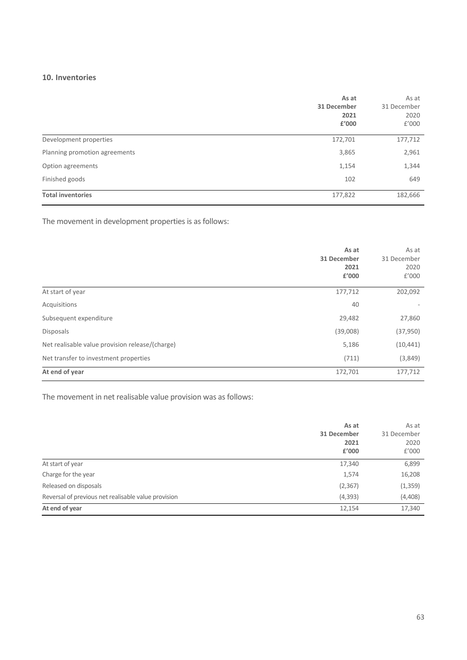#### **10. Inventories**

|                               | As at<br>31 December<br>2021<br>£'000 | As at<br>31 December<br>2020<br>f'000 |
|-------------------------------|---------------------------------------|---------------------------------------|
| Development properties        | 172,701                               | 177,712                               |
| Planning promotion agreements | 3,865                                 | 2,961                                 |
| Option agreements             | 1,154                                 | 1,344                                 |
| Finished goods                | 102                                   | 649                                   |
| <b>Total inventories</b>      | 177,822                               | 182,666                               |

The movement in development properties is as follows:

|                                                 | As at<br>31 December<br>2021<br>£'000 | As at<br>31 December<br>2020<br>f'000 |
|-------------------------------------------------|---------------------------------------|---------------------------------------|
| At start of year                                | 177,712                               | 202,092                               |
| Acquisitions                                    | 40                                    |                                       |
| Subsequent expenditure                          | 29,482                                | 27,860                                |
| <b>Disposals</b>                                | (39,008)                              | (37, 950)                             |
| Net realisable value provision release/(charge) | 5,186                                 | (10, 441)                             |
| Net transfer to investment properties           | (711)                                 | (3,849)                               |
| At end of year                                  | 172,701                               | 177,712                               |

The movement in net realisable value provision was as follows:

|                                                     | As at<br>31 December<br>2021<br>£'000 | As at<br>31 December<br>2020<br>£'000 |
|-----------------------------------------------------|---------------------------------------|---------------------------------------|
| At start of year                                    | 17,340                                | 6,899                                 |
| Charge for the year                                 | 1,574                                 | 16,208                                |
| Released on disposals                               | (2, 367)                              | (1, 359)                              |
| Reversal of previous net realisable value provision | (4, 393)                              | (4,408)                               |
| At end of year                                      | 12,154                                | 17,340                                |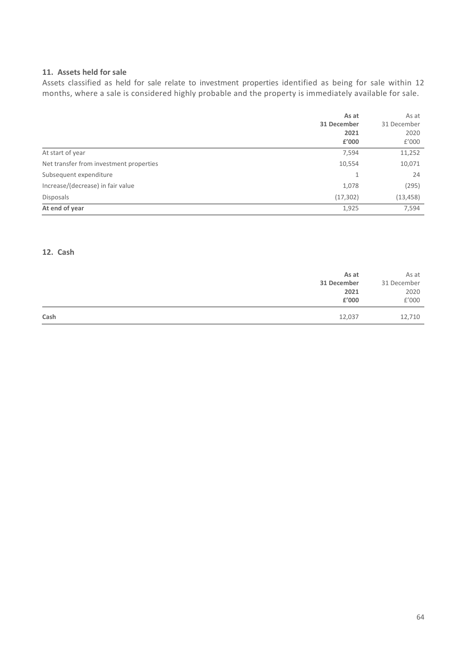#### **11. Assets held for sale**

Assets classified as held for sale relate to investment properties identified as being for sale within 12 months, where a sale is considered highly probable and the property is immediately available for sale.

|                                         | As at<br>31 December<br>2021<br>£'000 | As at<br>31 December<br>2020<br>f'000 |
|-----------------------------------------|---------------------------------------|---------------------------------------|
| At start of year                        | 7,594                                 | 11,252                                |
| Net transfer from investment properties | 10,554                                | 10,071                                |
| Subsequent expenditure                  | 1                                     | 24                                    |
| Increase/(decrease) in fair value       | 1,078                                 | (295)                                 |
| <b>Disposals</b>                        | (17, 302)                             | (13, 458)                             |
| At end of year                          | 1,925                                 | 7,594                                 |

#### **12. Cash**

| As at          | As at       |
|----------------|-------------|
| 31 December    | 31 December |
| 2021           | 2020        |
| £'000          | £'000       |
| Cash<br>12,037 | 12,710      |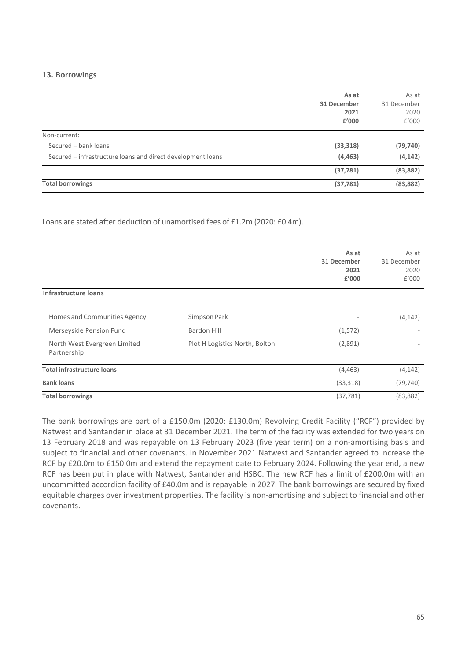#### **13. Borrowings**

|                                                             | As at<br>31 December<br>2021<br>£'000 | As at<br>31 December<br>2020<br>f'000 |
|-------------------------------------------------------------|---------------------------------------|---------------------------------------|
| Non-current:                                                |                                       |                                       |
| Secured - bank loans                                        | (33, 318)                             | (79, 740)                             |
| Secured – infrastructure loans and direct development loans | (4, 463)                              | (4, 142)                              |
|                                                             | (37, 781)                             | (83, 882)                             |
| <b>Total borrowings</b>                                     | (37, 781)                             | (83, 882)                             |

Loans are stated after deduction of unamortised fees of £1.2m (2020: £0.4m).

|                                             |                                | As at<br>31 December<br>2021<br>£'000 | As at<br>31 December<br>2020<br>E'000 |
|---------------------------------------------|--------------------------------|---------------------------------------|---------------------------------------|
| Infrastructure loans                        |                                |                                       |                                       |
| Homes and Communities Agency                | Simpson Park                   |                                       | (4, 142)                              |
| Merseyside Pension Fund                     | <b>Bardon Hill</b>             | (1, 572)                              |                                       |
| North West Evergreen Limited<br>Partnership | Plot H Logistics North, Bolton | (2,891)                               |                                       |
| <b>Total infrastructure loans</b>           |                                | (4, 463)                              | (4, 142)                              |
| <b>Bank loans</b>                           |                                | (33, 318)                             | (79, 740)                             |
| <b>Total borrowings</b>                     |                                | (37, 781)                             | (83, 882)                             |

The bank borrowings are part of a £150.0m (2020: £130.0m) Revolving Credit Facility ("RCF") provided by Natwest and Santander in place at 31 December 2021. The term of the facility was extended for two years on 13 February 2018 and was repayable on 13 February 2023 (five year term) on a non-amortising basis and subject to financial and other covenants. In November 2021 Natwest and Santander agreed to increase the RCF by £20.0m to £150.0m and extend the repayment date to February 2024. Following the year end, a new RCF has been put in place with Natwest, Santander and HSBC. The new RCF has a limit of £200.0m with an uncommitted accordion facility of £40.0m and is repayable in 2027. The bank borrowings are secured by fixed equitable charges over investment properties. The facility is non-amortising and subject to financial and other covenants.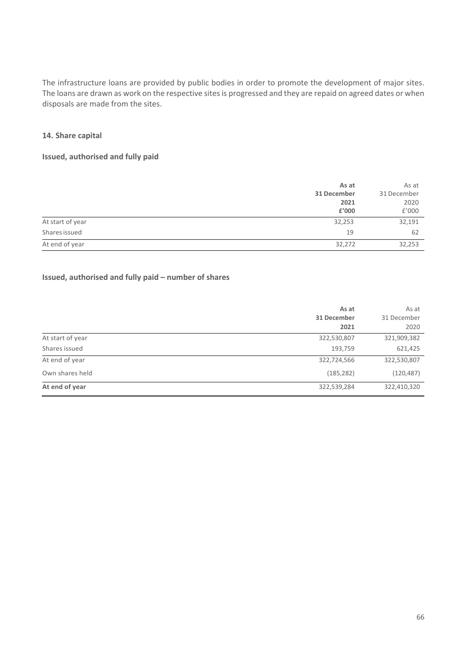The infrastructure loans are provided by public bodies in order to promote the development of major sites. The loans are drawn as work on the respective sites is progressed and they are repaid on agreed dates or when disposals are made from the sites.

#### **14. Share capital**

#### **Issued, authorised and fully paid**

|                  | As at       | As at       |
|------------------|-------------|-------------|
|                  | 31 December | 31 December |
|                  | 2021        | 2020        |
|                  | £'000       | £'000       |
| At start of year | 32,253      | 32,191      |
| Shares issued    | 19          | 62          |
| At end of year   | 32,272      | 32,253      |

#### **Issued, authorised and fully paid – number of shares**

|                  | As at<br>31 December<br>2021 | As at<br>31 December<br>2020 |
|------------------|------------------------------|------------------------------|
| At start of year | 322,530,807                  | 321,909,382                  |
| Shares issued    | 193,759                      | 621,425                      |
| At end of year   | 322,724,566                  | 322,530,807                  |
| Own shares held  | (185, 282)                   | (120, 487)                   |
| At end of year   | 322,539,284                  | 322,410,320                  |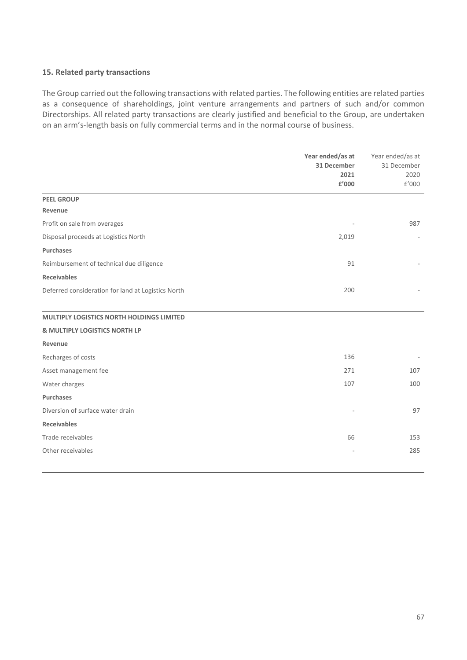#### **15. Related party transactions**

The Group carried out the following transactions with related parties. The following entities are related parties as a consequence of shareholdings, joint venture arrangements and partners of such and/or common Directorships. All related party transactions are clearly justified and beneficial to the Group, are undertaken on an arm's-length basis on fully commercial terms and in the normal course of business.

|                                                    | Year ended/as at<br>31 December | Year ended/as at<br>31 December<br>2020 |
|----------------------------------------------------|---------------------------------|-----------------------------------------|
|                                                    | 2021                            |                                         |
|                                                    | £'000                           | £'000                                   |
| <b>PEEL GROUP</b>                                  |                                 |                                         |
| Revenue                                            |                                 |                                         |
| Profit on sale from overages                       |                                 | 987                                     |
| Disposal proceeds at Logistics North               | 2,019                           |                                         |
| <b>Purchases</b>                                   |                                 |                                         |
| Reimbursement of technical due diligence           | 91                              |                                         |
| <b>Receivables</b>                                 |                                 |                                         |
| Deferred consideration for land at Logistics North | 200                             |                                         |
|                                                    |                                 |                                         |
| MULTIPLY LOGISTICS NORTH HOLDINGS LIMITED          |                                 |                                         |
| & MULTIPLY LOGISTICS NORTH LP                      |                                 |                                         |
| Revenue                                            |                                 |                                         |
| Recharges of costs                                 | 136                             |                                         |
| Asset management fee                               | 271                             | 107                                     |
| Water charges                                      | 107                             | 100                                     |
| Purchases                                          |                                 |                                         |
| Diversion of surface water drain                   |                                 | 97                                      |
| <b>Receivables</b>                                 |                                 |                                         |
| Trade receivables                                  | 66                              | 153                                     |
| Other receivables                                  |                                 | 285                                     |
|                                                    |                                 |                                         |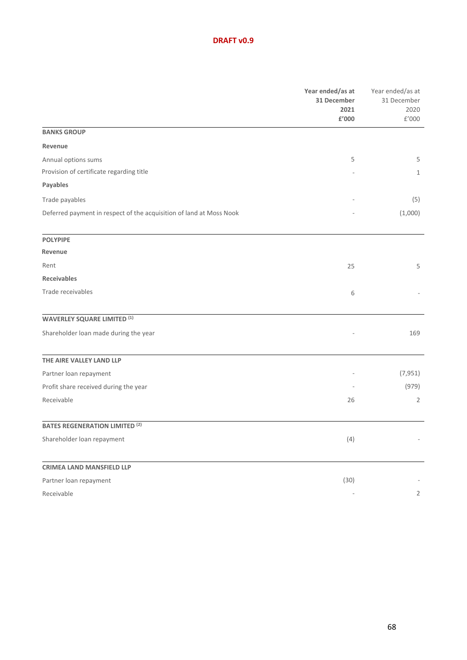#### **DRAFT v0.9**

|                                                                     | Year ended/as at<br>31 December<br>2021<br>£'000 | Year ended/as at<br>31 December<br>2020<br>£'000 |
|---------------------------------------------------------------------|--------------------------------------------------|--------------------------------------------------|
| <b>BANKS GROUP</b>                                                  |                                                  |                                                  |
| Revenue                                                             |                                                  |                                                  |
| Annual options sums                                                 | 5                                                | 5                                                |
| Provision of certificate regarding title                            |                                                  | $\mathbf{1}$                                     |
| Payables                                                            |                                                  |                                                  |
| Trade payables                                                      |                                                  | (5)                                              |
| Deferred payment in respect of the acquisition of land at Moss Nook |                                                  | (1,000)                                          |
| <b>POLYPIPE</b>                                                     |                                                  |                                                  |
| Revenue                                                             |                                                  |                                                  |
| Rent                                                                | 25                                               | 5                                                |
| <b>Receivables</b>                                                  |                                                  |                                                  |
| Trade receivables                                                   | 6                                                |                                                  |
| <b>WAVERLEY SQUARE LIMITED (1)</b>                                  |                                                  |                                                  |
| Shareholder loan made during the year                               |                                                  | 169                                              |
| THE AIRE VALLEY LAND LLP                                            |                                                  |                                                  |
| Partner loan repayment                                              |                                                  | (7, 951)                                         |
| Profit share received during the year                               |                                                  | (979)                                            |
| Receivable                                                          | 26                                               | 2                                                |
| <b>BATES REGENERATION LIMITED (2)</b>                               |                                                  |                                                  |
| Shareholder loan repayment                                          | (4)                                              |                                                  |
| <b>CRIMEA LAND MANSFIELD LLP</b>                                    |                                                  |                                                  |
| Partner loan repayment                                              | (30)                                             |                                                  |
| Receivable                                                          | $\sim$                                           | $\overline{2}$                                   |